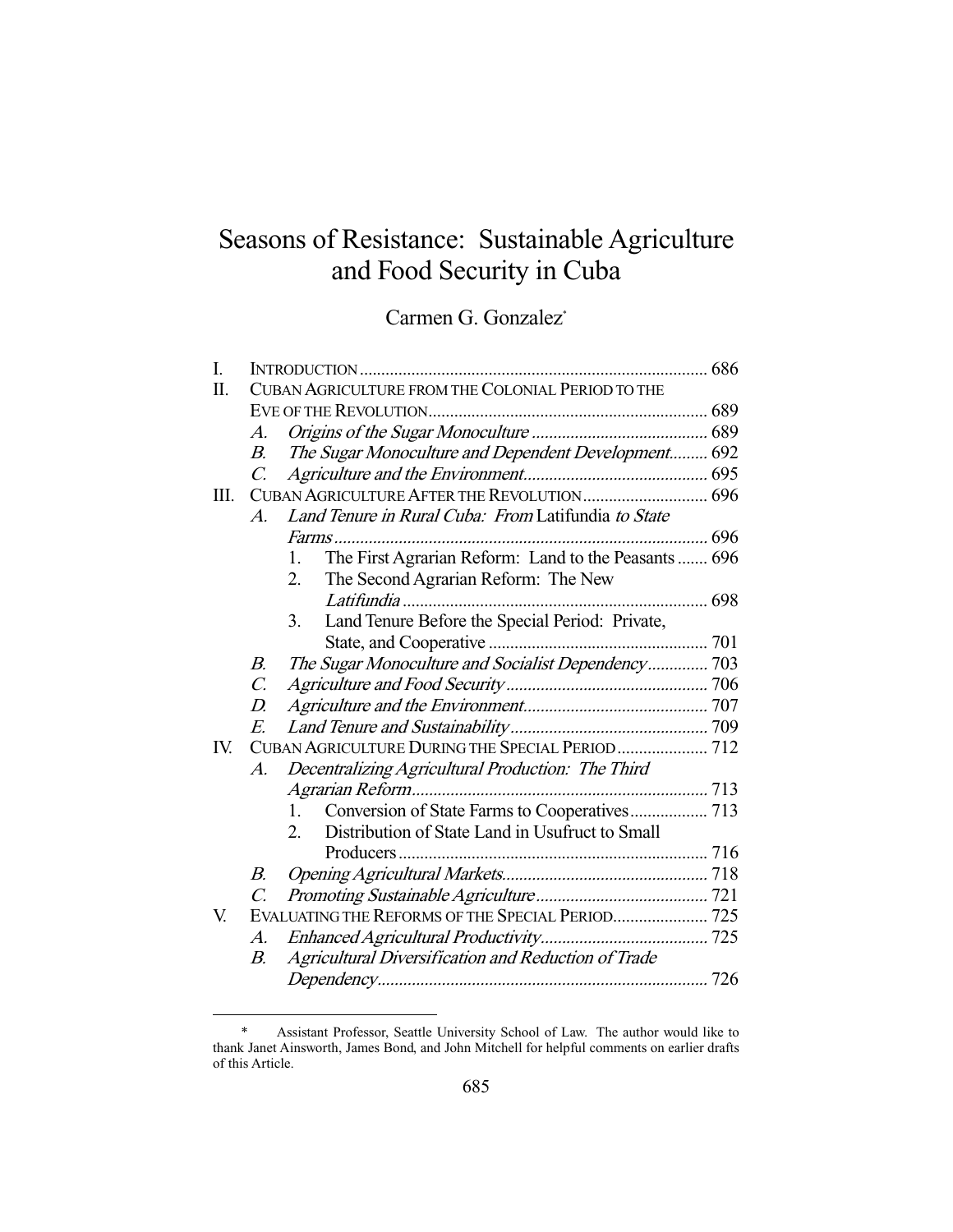# Seasons of Resistance: Sustainable Agriculture and Food Security in Cuba

Carmen G. Gonzalez<sup>\*</sup>

| CUBAN AGRICULTURE FROM THE COLONIAL PERIOD TO THE          |                                                                                                                                                                |
|------------------------------------------------------------|----------------------------------------------------------------------------------------------------------------------------------------------------------------|
|                                                            |                                                                                                                                                                |
| A.                                                         |                                                                                                                                                                |
| В.                                                         |                                                                                                                                                                |
| $\mathcal{C}$ .                                            |                                                                                                                                                                |
| CUBAN AGRICULTURE AFTER THE REVOLUTION 696<br>Ш.           |                                                                                                                                                                |
| Land Tenure in Rural Cuba: From Latifundia to State<br>A.  |                                                                                                                                                                |
| <i>Farms</i>                                               |                                                                                                                                                                |
| 1.                                                         |                                                                                                                                                                |
| The Second Agrarian Reform: The New<br>2.                  |                                                                                                                                                                |
| Latifundia                                                 |                                                                                                                                                                |
| 3.                                                         |                                                                                                                                                                |
|                                                            |                                                                                                                                                                |
| The Sugar Monoculture and Socialist Dependency 703<br>В.   |                                                                                                                                                                |
| $\mathcal{C}$ .                                            |                                                                                                                                                                |
| D.                                                         |                                                                                                                                                                |
| E.                                                         |                                                                                                                                                                |
| CUBAN AGRICULTURE DURING THE SPECIAL PERIOD  712<br>IV.    |                                                                                                                                                                |
| Decentralizing Agricultural Production: The Third<br>А.    |                                                                                                                                                                |
|                                                            |                                                                                                                                                                |
| 1.                                                         |                                                                                                                                                                |
| Distribution of State Land in Usufruct to Small<br>$2_{-}$ |                                                                                                                                                                |
| Producers                                                  |                                                                                                                                                                |
| В.                                                         |                                                                                                                                                                |
| C.                                                         |                                                                                                                                                                |
| EVALUATING THE REFORMS OF THE SPECIAL PERIOD 725           |                                                                                                                                                                |
| A.                                                         |                                                                                                                                                                |
| Agricultural Diversification and Reduction of Trade<br>В.  |                                                                                                                                                                |
|                                                            |                                                                                                                                                                |
|                                                            | The Sugar Monoculture and Dependent Development 692<br>The First Agrarian Reform: Land to the Peasants  696<br>Land Tenure Before the Special Period: Private, |

 <sup>\*</sup> Assistant Professor, Seattle University School of Law. The author would like to thank Janet Ainsworth, James Bond, and John Mitchell for helpful comments on earlier drafts of this Article.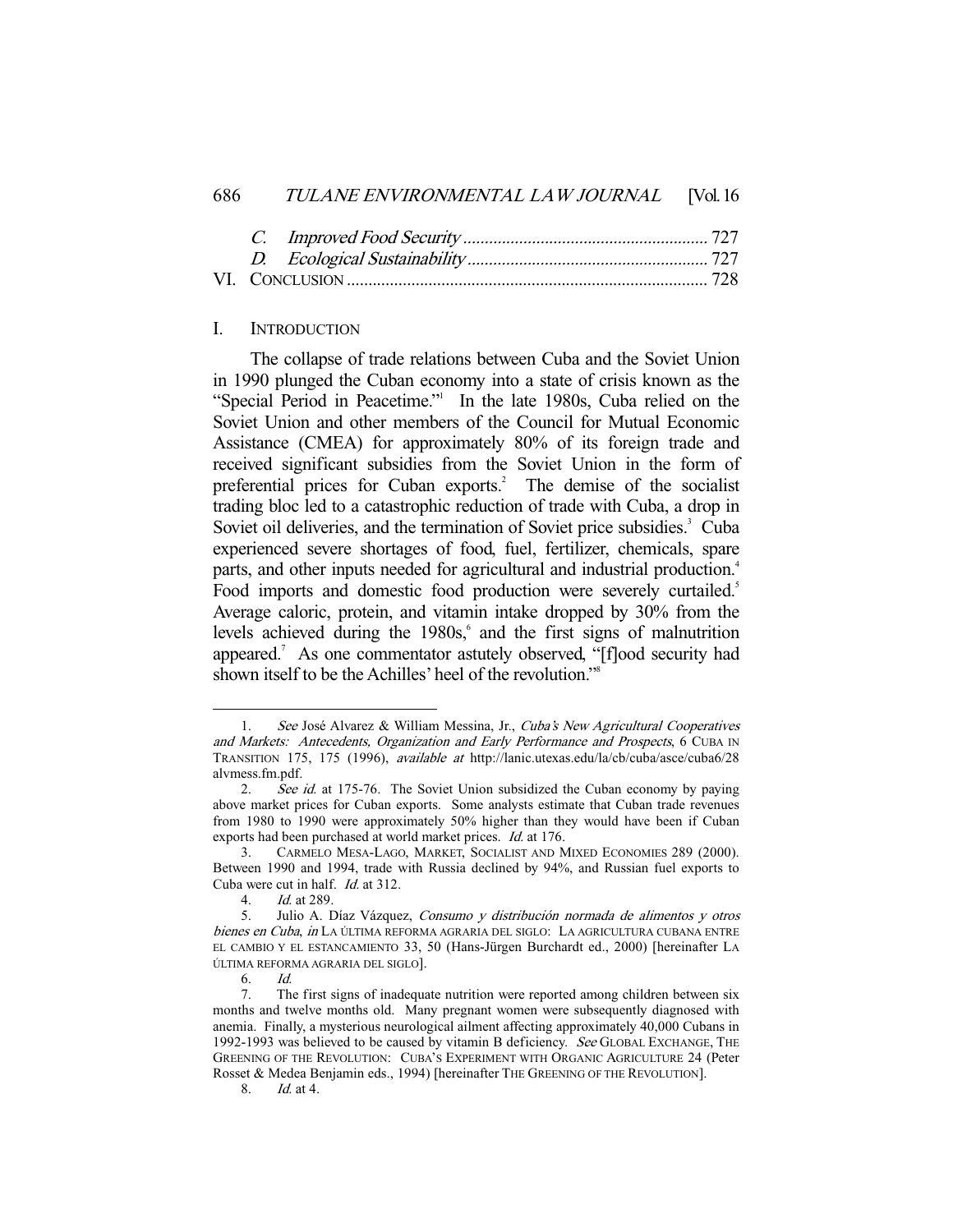#### I. INTRODUCTION

 The collapse of trade relations between Cuba and the Soviet Union in 1990 plunged the Cuban economy into a state of crisis known as the "Special Period in Peacetime."<sup>1</sup> In the late 1980s, Cuba relied on the Soviet Union and other members of the Council for Mutual Economic Assistance (CMEA) for approximately 80% of its foreign trade and received significant subsidies from the Soviet Union in the form of preferential prices for Cuban exports.<sup>2</sup> The demise of the socialist trading bloc led to a catastrophic reduction of trade with Cuba, a drop in Soviet oil deliveries, and the termination of Soviet price subsidies.<sup>3</sup> Cuba experienced severe shortages of food, fuel, fertilizer, chemicals, spare parts, and other inputs needed for agricultural and industrial production.<sup>4</sup> Food imports and domestic food production were severely curtailed.<sup>5</sup> Average caloric, protein, and vitamin intake dropped by 30% from the levels achieved during the 1980s,<sup>6</sup> and the first signs of malnutrition appeared.<sup>7</sup> As one commentator astutely observed, "[f]ood security had shown itself to be the Achilles' heel of the revolution."<sup>8</sup>

<sup>1.</sup> See José Alvarez & William Messina, Jr., Cuba's New Agricultural Cooperatives and Markets: Antecedents, Organization and Early Performance and Prospects, 6 CUBA IN TRANSITION 175, 175 (1996), available at http://lanic.utexas.edu/la/cb/cuba/asce/cuba6/28 alvmess.fm.pdf.

<sup>2.</sup> See id. at 175-76. The Soviet Union subsidized the Cuban economy by paying above market prices for Cuban exports. Some analysts estimate that Cuban trade revenues from 1980 to 1990 were approximately 50% higher than they would have been if Cuban exports had been purchased at world market prices. Id. at 176.

 <sup>3.</sup> CARMELO MESA-LAGO, MARKET, SOCIALIST AND MIXED ECONOMIES 289 (2000). Between 1990 and 1994, trade with Russia declined by 94%, and Russian fuel exports to Cuba were cut in half. Id. at 312.

 <sup>4.</sup> Id. at 289.

 <sup>5.</sup> Julio A. Díaz Vázquez, Consumo y distribución normada de alimentos y otros bienes en Cuba, in LA ÚLTIMA REFORMA AGRARIA DEL SIGLO: LA AGRICULTURA CUBANA ENTRE EL CAMBIO Y EL ESTANCAMIENTO 33, 50 (Hans-Jürgen Burchardt ed., 2000) [hereinafter LA ÚLTIMA REFORMA AGRARIA DEL SIGLO].

 <sup>6.</sup> Id.

 <sup>7.</sup> The first signs of inadequate nutrition were reported among children between six months and twelve months old. Many pregnant women were subsequently diagnosed with anemia. Finally, a mysterious neurological ailment affecting approximately 40,000 Cubans in 1992-1993 was believed to be caused by vitamin B deficiency. See GLOBAL EXCHANGE, THE GREENING OF THE REVOLUTION: CUBA'S EXPERIMENT WITH ORGANIC AGRICULTURE 24 (Peter Rosset & Medea Benjamin eds., 1994) [hereinafter THE GREENING OF THE REVOLUTION].

 <sup>8.</sup> Id. at 4.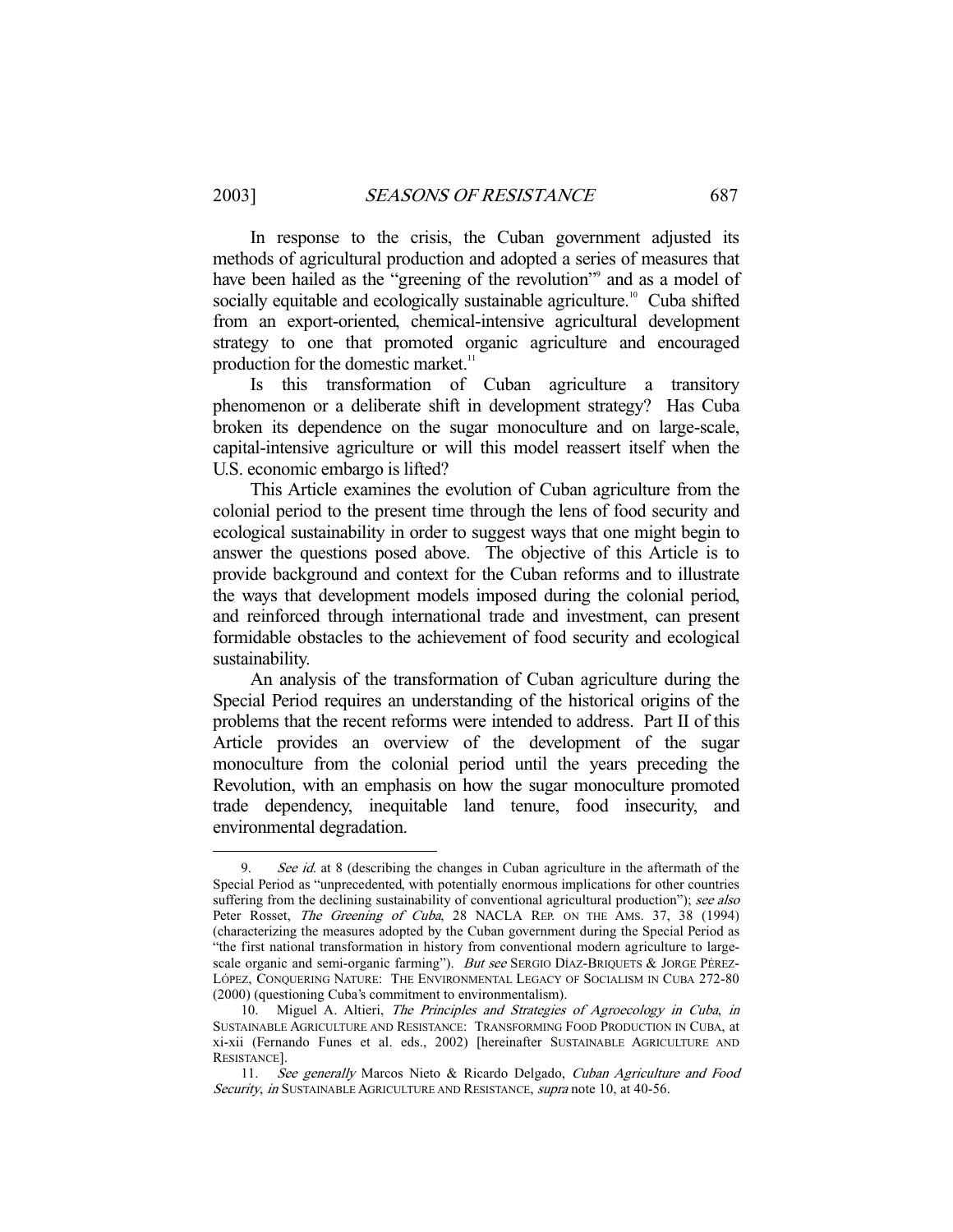In response to the crisis, the Cuban government adjusted its methods of agricultural production and adopted a series of measures that have been hailed as the "greening of the revolution" and as a model of socially equitable and ecologically sustainable agriculture.<sup>10</sup> Cuba shifted from an export-oriented, chemical-intensive agricultural development strategy to one that promoted organic agriculture and encouraged production for the domestic market.<sup>11</sup>

 Is this transformation of Cuban agriculture a transitory phenomenon or a deliberate shift in development strategy? Has Cuba broken its dependence on the sugar monoculture and on large-scale, capital-intensive agriculture or will this model reassert itself when the U.S. economic embargo is lifted?

 This Article examines the evolution of Cuban agriculture from the colonial period to the present time through the lens of food security and ecological sustainability in order to suggest ways that one might begin to answer the questions posed above. The objective of this Article is to provide background and context for the Cuban reforms and to illustrate the ways that development models imposed during the colonial period, and reinforced through international trade and investment, can present formidable obstacles to the achievement of food security and ecological sustainability.

 An analysis of the transformation of Cuban agriculture during the Special Period requires an understanding of the historical origins of the problems that the recent reforms were intended to address. Part II of this Article provides an overview of the development of the sugar monoculture from the colonial period until the years preceding the Revolution, with an emphasis on how the sugar monoculture promoted trade dependency, inequitable land tenure, food insecurity, and environmental degradation.

<sup>9.</sup> See id. at 8 (describing the changes in Cuban agriculture in the aftermath of the Special Period as "unprecedented, with potentially enormous implications for other countries suffering from the declining sustainability of conventional agricultural production"); see also Peter Rosset, The Greening of Cuba, 28 NACLA REP. ON THE AMS. 37, 38 (1994) (characterizing the measures adopted by the Cuban government during the Special Period as "the first national transformation in history from conventional modern agriculture to largescale organic and semi-organic farming"). But see SERGIO DÍAZ-BRIQUETS & JORGE PÉREZ-LÓPEZ, CONQUERING NATURE: THE ENVIRONMENTAL LEGACY OF SOCIALISM IN CUBA 272-80 (2000) (questioning Cuba's commitment to environmentalism).

<sup>10.</sup> Miguel A. Altieri, The Principles and Strategies of Agroecology in Cuba, in SUSTAINABLE AGRICULTURE AND RESISTANCE: TRANSFORMING FOOD PRODUCTION IN CUBA, at xi-xii (Fernando Funes et al. eds., 2002) [hereinafter SUSTAINABLE AGRICULTURE AND RESISTANCE].

 <sup>11.</sup> See generally Marcos Nieto & Ricardo Delgado, Cuban Agriculture and Food Security, in SUSTAINABLE AGRICULTURE AND RESISTANCE, supra note 10, at 40-56.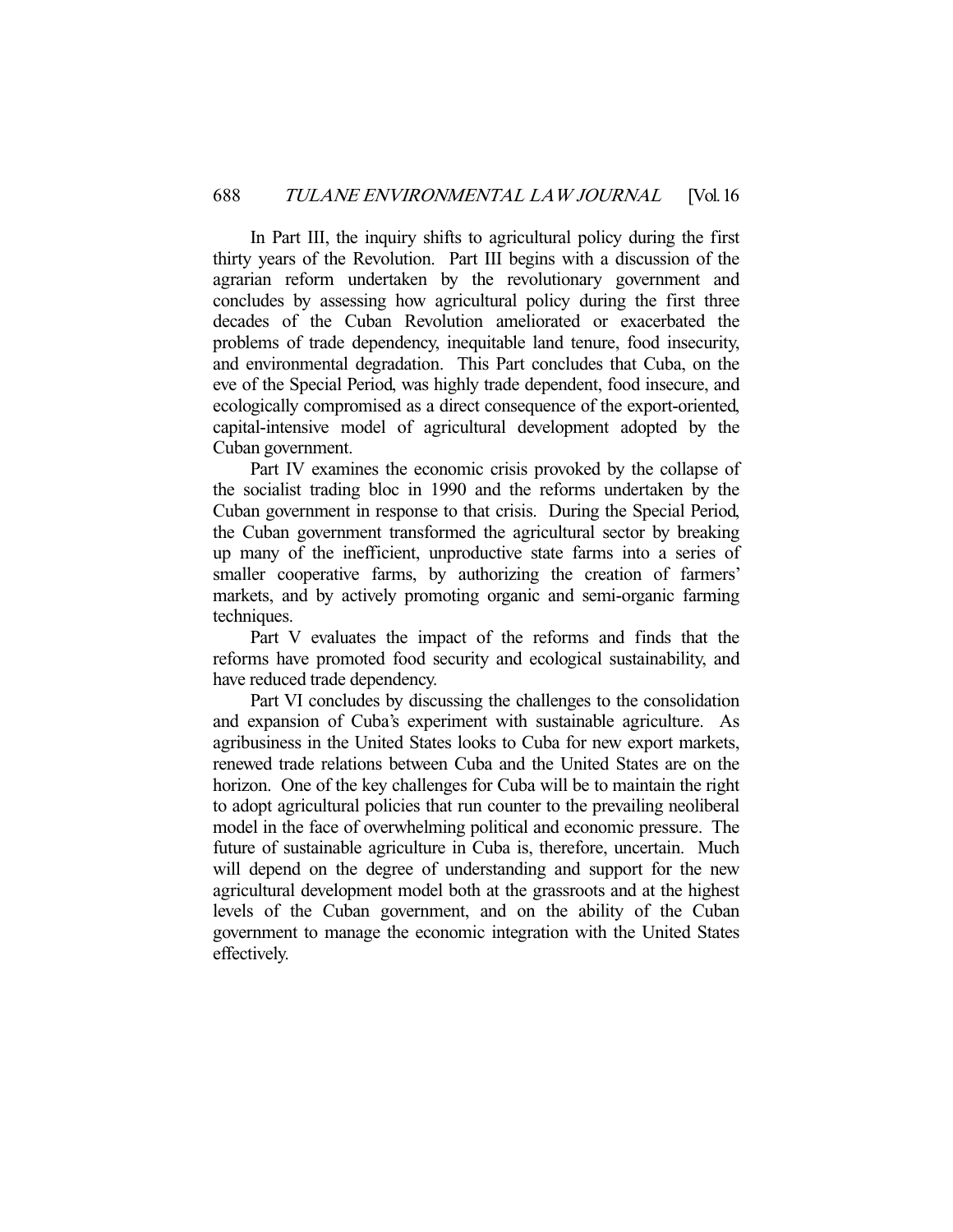In Part III, the inquiry shifts to agricultural policy during the first thirty years of the Revolution. Part III begins with a discussion of the agrarian reform undertaken by the revolutionary government and concludes by assessing how agricultural policy during the first three decades of the Cuban Revolution ameliorated or exacerbated the problems of trade dependency, inequitable land tenure, food insecurity, and environmental degradation. This Part concludes that Cuba, on the eve of the Special Period, was highly trade dependent, food insecure, and ecologically compromised as a direct consequence of the export-oriented, capital-intensive model of agricultural development adopted by the Cuban government.

 Part IV examines the economic crisis provoked by the collapse of the socialist trading bloc in 1990 and the reforms undertaken by the Cuban government in response to that crisis. During the Special Period, the Cuban government transformed the agricultural sector by breaking up many of the inefficient, unproductive state farms into a series of smaller cooperative farms, by authorizing the creation of farmers' markets, and by actively promoting organic and semi-organic farming techniques.

 Part V evaluates the impact of the reforms and finds that the reforms have promoted food security and ecological sustainability, and have reduced trade dependency.

 Part VI concludes by discussing the challenges to the consolidation and expansion of Cuba's experiment with sustainable agriculture. As agribusiness in the United States looks to Cuba for new export markets, renewed trade relations between Cuba and the United States are on the horizon. One of the key challenges for Cuba will be to maintain the right to adopt agricultural policies that run counter to the prevailing neoliberal model in the face of overwhelming political and economic pressure. The future of sustainable agriculture in Cuba is, therefore, uncertain. Much will depend on the degree of understanding and support for the new agricultural development model both at the grassroots and at the highest levels of the Cuban government, and on the ability of the Cuban government to manage the economic integration with the United States effectively.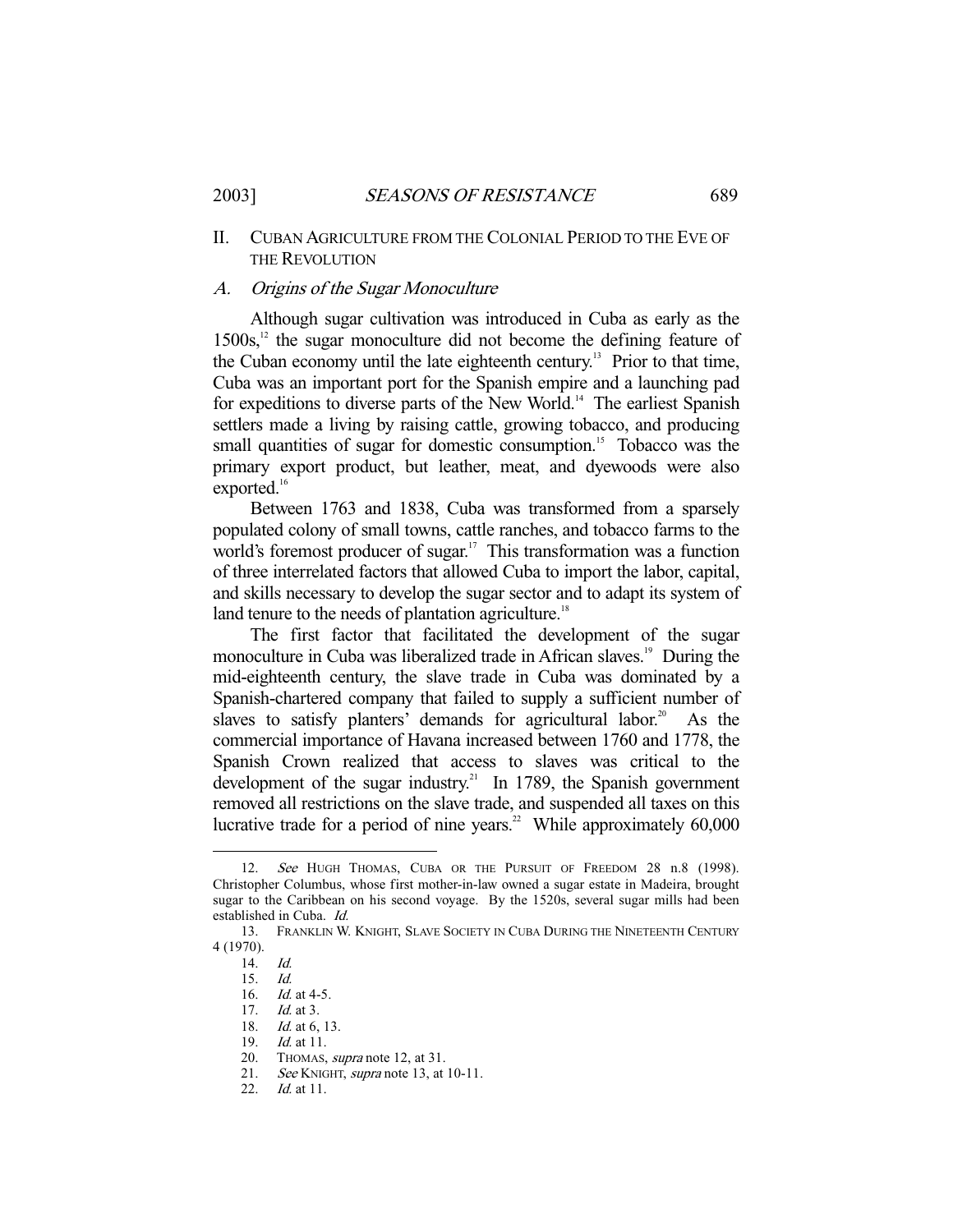# II. CUBAN AGRICULTURE FROM THE COLONIAL PERIOD TO THE EVE OF THE REVOLUTION

#### A. Origins of the Sugar Monoculture

 Although sugar cultivation was introduced in Cuba as early as the  $1500s$ ,<sup>12</sup> the sugar monoculture did not become the defining feature of the Cuban economy until the late eighteenth century.<sup>13</sup> Prior to that time, Cuba was an important port for the Spanish empire and a launching pad for expeditions to diverse parts of the New World.<sup>14</sup> The earliest Spanish settlers made a living by raising cattle, growing tobacco, and producing small quantities of sugar for domestic consumption.<sup>15</sup> Tobacco was the primary export product, but leather, meat, and dyewoods were also exported.<sup>16</sup>

 Between 1763 and 1838, Cuba was transformed from a sparsely populated colony of small towns, cattle ranches, and tobacco farms to the world's foremost producer of sugar.<sup>17</sup> This transformation was a function of three interrelated factors that allowed Cuba to import the labor, capital, and skills necessary to develop the sugar sector and to adapt its system of land tenure to the needs of plantation agriculture.<sup>18</sup>

 The first factor that facilitated the development of the sugar monoculture in Cuba was liberalized trade in African slaves.<sup>19</sup> During the mid-eighteenth century, the slave trade in Cuba was dominated by a Spanish-chartered company that failed to supply a sufficient number of slaves to satisfy planters' demands for agricultural labor.<sup>20</sup> As the commercial importance of Havana increased between 1760 and 1778, the Spanish Crown realized that access to slaves was critical to the development of the sugar industry.<sup>21</sup> In 1789, the Spanish government removed all restrictions on the slave trade, and suspended all taxes on this lucrative trade for a period of nine years.<sup>22</sup> While approximately  $60,000$ 

<sup>12.</sup> See HUGH THOMAS, CUBA OR THE PURSUIT OF FREEDOM 28 n.8 (1998). Christopher Columbus, whose first mother-in-law owned a sugar estate in Madeira, brought sugar to the Caribbean on his second voyage. By the 1520s, several sugar mills had been established in Cuba. Id.

 <sup>13.</sup> FRANKLIN W. KNIGHT, SLAVE SOCIETY IN CUBA DURING THE NINETEENTH CENTURY 4 (1970).

 <sup>14.</sup> Id.

 <sup>15.</sup> Id.

<sup>16.</sup> *Id.* at 4-5.<br>17. *Id.* at 3.

*Id.* at 3.

<sup>18.</sup> *Id.* at 6, 13.

 <sup>19.</sup> Id. at 11.

 <sup>20.</sup> THOMAS, supra note 12, at 31.

<sup>21.</sup> See KNIGHT, supra note 13, at 10-11.

 <sup>22.</sup> Id. at 11.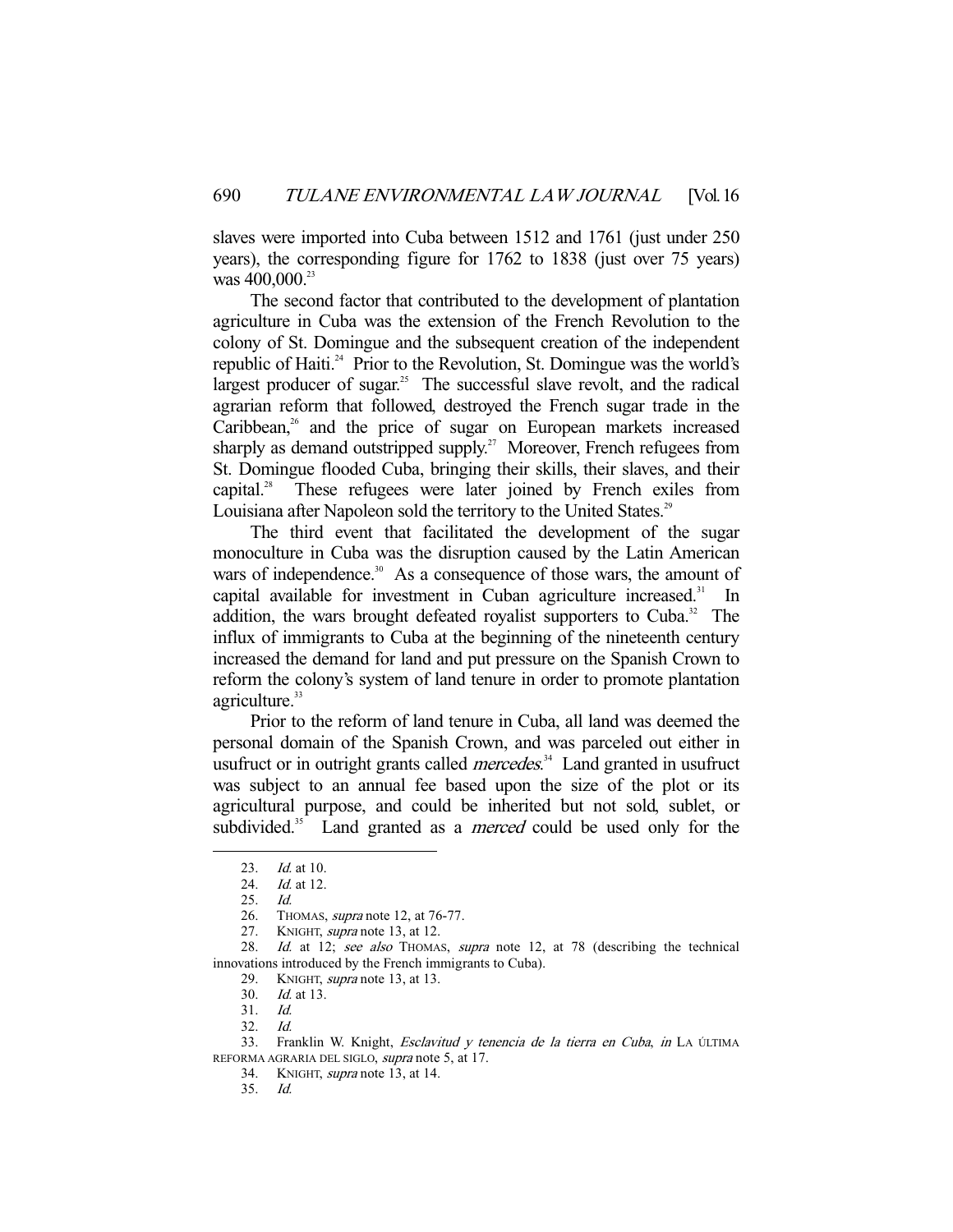slaves were imported into Cuba between 1512 and 1761 (just under 250 years), the corresponding figure for 1762 to 1838 (just over 75 years) was  $400,000$ .<sup>23</sup>

 The second factor that contributed to the development of plantation agriculture in Cuba was the extension of the French Revolution to the colony of St. Domingue and the subsequent creation of the independent republic of Haiti.<sup>24</sup> Prior to the Revolution, St. Domingue was the world's largest producer of sugar.<sup>25</sup> The successful slave revolt, and the radical agrarian reform that followed, destroyed the French sugar trade in the Caribbean, $26$  and the price of sugar on European markets increased sharply as demand outstripped supply.<sup>27</sup> Moreover, French refugees from St. Domingue flooded Cuba, bringing their skills, their slaves, and their capital.28 These refugees were later joined by French exiles from Louisiana after Napoleon sold the territory to the United States.<sup>29</sup>

 The third event that facilitated the development of the sugar monoculture in Cuba was the disruption caused by the Latin American wars of independence.<sup>30</sup> As a consequence of those wars, the amount of capital available for investment in Cuban agriculture increased. $31$  In addition, the wars brought defeated royalist supporters to Cuba.<sup>32</sup> The influx of immigrants to Cuba at the beginning of the nineteenth century increased the demand for land and put pressure on the Spanish Crown to reform the colony's system of land tenure in order to promote plantation agriculture.<sup>33</sup>

 Prior to the reform of land tenure in Cuba, all land was deemed the personal domain of the Spanish Crown, and was parceled out either in usufruct or in outright grants called *mercedes*.<sup>34</sup> Land granted in usufruct was subject to an annual fee based upon the size of the plot or its agricultural purpose, and could be inherited but not sold, sublet, or subdivided.<sup>35</sup> Land granted as a *merced* could be used only for the

 <sup>23.</sup> Id. at 10.

<sup>24.</sup> *Id.* at 12.

 <sup>25.</sup> Id.

 <sup>26.</sup> THOMAS, supra note 12, at 76-77.

<sup>27.</sup> KNIGHT, *supra* note 13, at 12.

<sup>28.</sup> Id. at 12; see also THOMAS, supra note 12, at 78 (describing the technical innovations introduced by the French immigrants to Cuba).

<sup>29.</sup> KNIGHT, *supra* note 13, at 13.<br>30. *Id.* at 13.

*Id.* at 13.

 <sup>31.</sup> Id.

 <sup>32.</sup> Id.

<sup>33.</sup> Franklin W. Knight, Esclavitud y tenencia de la tierra en Cuba, in LA ÚLTIMA REFORMA AGRARIA DEL SIGLO, supra note 5, at 17.

 <sup>34.</sup> KNIGHT, supra note 13, at 14.

 <sup>35.</sup> Id.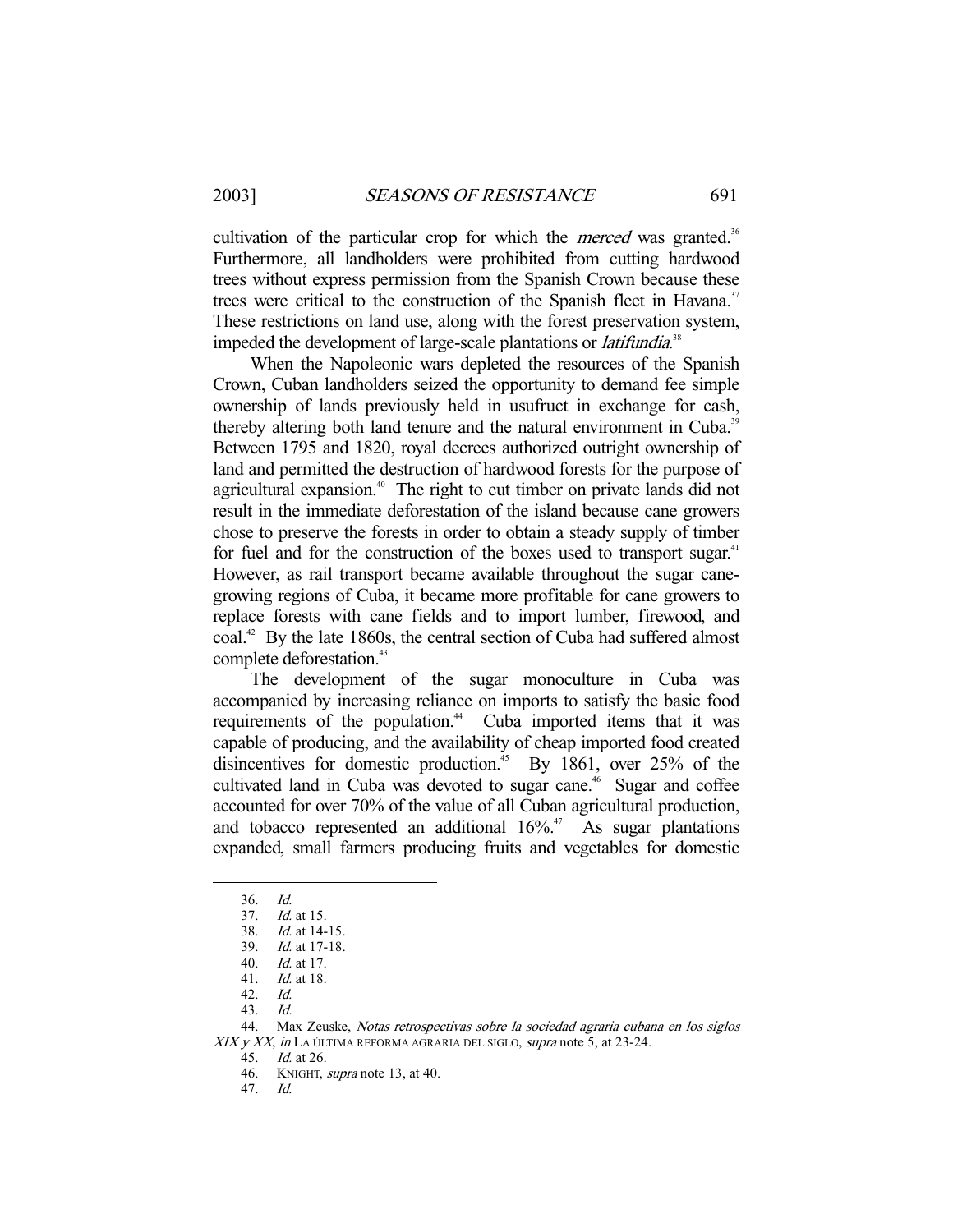cultivation of the particular crop for which the *merced* was granted.<sup>36</sup> Furthermore, all landholders were prohibited from cutting hardwood trees without express permission from the Spanish Crown because these trees were critical to the construction of the Spanish fleet in Havana.<sup>37</sup> These restrictions on land use, along with the forest preservation system, impeded the development of large-scale plantations or *latifundia*.<sup>38</sup>

 When the Napoleonic wars depleted the resources of the Spanish Crown, Cuban landholders seized the opportunity to demand fee simple ownership of lands previously held in usufruct in exchange for cash, thereby altering both land tenure and the natural environment in Cuba.<sup>39</sup> Between 1795 and 1820, royal decrees authorized outright ownership of land and permitted the destruction of hardwood forests for the purpose of agricultural expansion.<sup>40</sup> The right to cut timber on private lands did not result in the immediate deforestation of the island because cane growers chose to preserve the forests in order to obtain a steady supply of timber for fuel and for the construction of the boxes used to transport sugar.<sup>41</sup> However, as rail transport became available throughout the sugar canegrowing regions of Cuba, it became more profitable for cane growers to replace forests with cane fields and to import lumber, firewood, and coal.<sup>42</sup> By the late 1860s, the central section of Cuba had suffered almost complete deforestation.<sup>43</sup>

 The development of the sugar monoculture in Cuba was accompanied by increasing reliance on imports to satisfy the basic food requirements of the population.<sup>44</sup> Cuba imported items that it was capable of producing, and the availability of cheap imported food created disincentives for domestic production.<sup>45</sup> By 1861, over 25% of the cultivated land in Cuba was devoted to sugar cane.<sup>46</sup> Sugar and coffee accounted for over 70% of the value of all Cuban agricultural production, and tobacco represented an additional  $16\%$ <sup>47</sup> As sugar plantations expanded, small farmers producing fruits and vegetables for domestic

 <sup>36.</sup> Id.

 <sup>37.</sup> Id. at 15.

 <sup>38.</sup> Id. at 14-15.

 <sup>39.</sup> Id. at 17-18.

 <sup>40.</sup> Id. at 17.

 <sup>41.</sup> Id. at 18.

 <sup>42.</sup> Id.

 <sup>43.</sup> Id.

 <sup>44.</sup> Max Zeuske, Notas retrospectivas sobre la sociedad agraria cubana en los siglos  $XIX$  y XX, in LA ÚLTIMA REFORMA AGRARIA DEL SIGLO, supra note 5, at 23-24.

 <sup>45.</sup> Id. at 26.

<sup>46.</sup> KNIGHT, *supra* note 13, at 40.

 <sup>47.</sup> Id.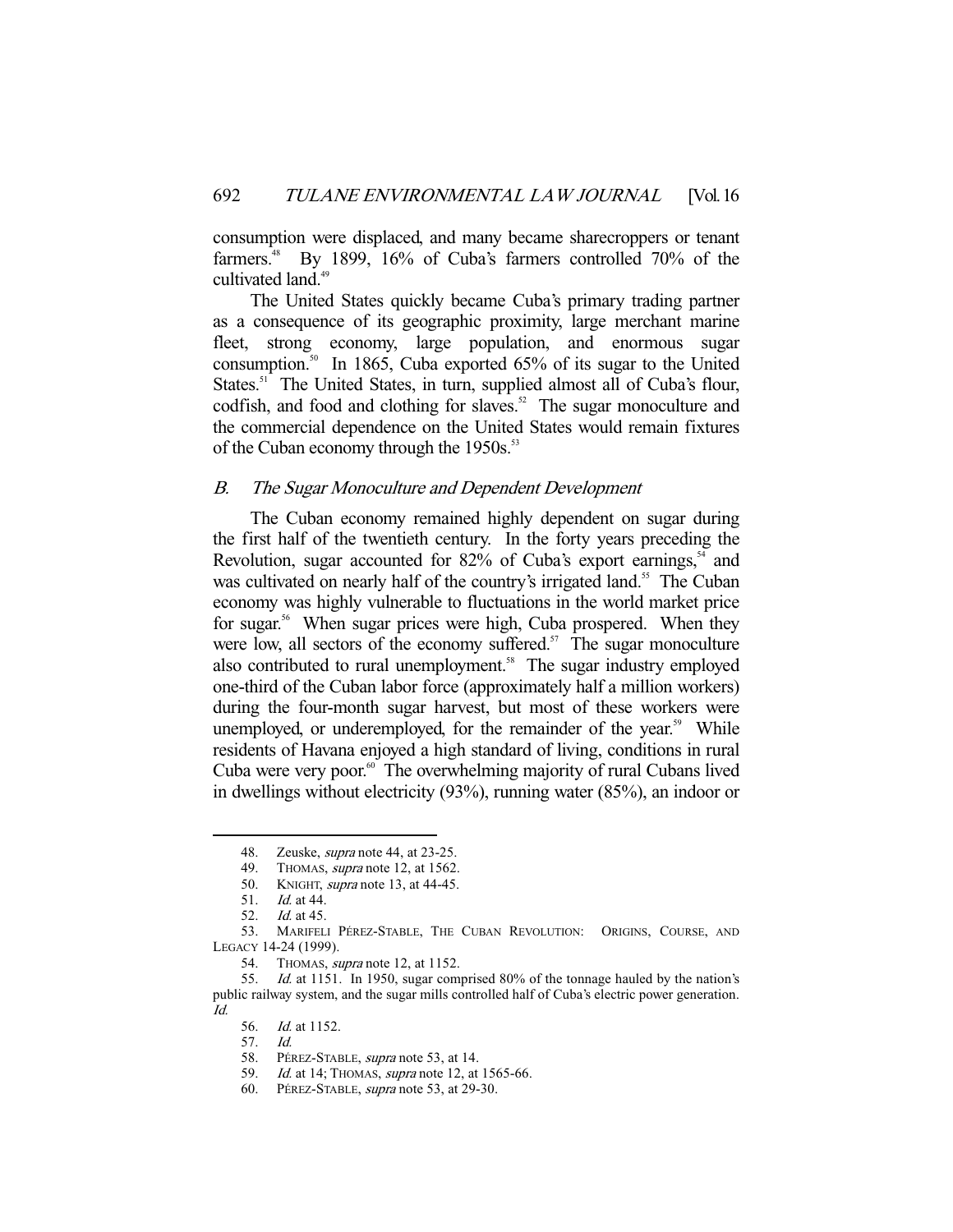consumption were displaced, and many became sharecroppers or tenant farmers.<sup>48</sup> By 1899, 16% of Cuba's farmers controlled 70% of the cultivated land.<sup>49</sup>

 The United States quickly became Cuba's primary trading partner as a consequence of its geographic proximity, large merchant marine fleet, strong economy, large population, and enormous sugar consumption.<sup>50</sup> In 1865, Cuba exported  $65\%$  of its sugar to the United States.<sup>51</sup> The United States, in turn, supplied almost all of Cuba's flour, codfish, and food and clothing for slaves.<sup>52</sup> The sugar monoculture and the commercial dependence on the United States would remain fixtures of the Cuban economy through the 1950s.<sup>53</sup>

# B. The Sugar Monoculture and Dependent Development

 The Cuban economy remained highly dependent on sugar during the first half of the twentieth century. In the forty years preceding the Revolution, sugar accounted for  $82\%$  of Cuba's export earnings,  $54$  and was cultivated on nearly half of the country's irrigated land.<sup>55</sup> The Cuban economy was highly vulnerable to fluctuations in the world market price for sugar.<sup>56</sup> When sugar prices were high, Cuba prospered. When they were low, all sectors of the economy suffered. $57$  The sugar monoculture also contributed to rural unemployment.<sup>58</sup> The sugar industry employed one-third of the Cuban labor force (approximately half a million workers) during the four-month sugar harvest, but most of these workers were unemployed, or underemployed, for the remainder of the year.<sup>59</sup> While residents of Havana enjoyed a high standard of living, conditions in rural Cuba were very poor.<sup>60</sup> The overwhelming majority of rural Cubans lived in dwellings without electricity (93%), running water (85%), an indoor or

<sup>48.</sup> Zeuske, *supra* note 44, at 23-25.

<sup>49.</sup> THOMAS, supra note 12, at 1562.

<sup>50.</sup> KNIGHT, *supra* note 13, at 44-45.

 <sup>51.</sup> Id. at 44.

 <sup>52.</sup> Id. at 45.

 <sup>53.</sup> MARIFELI PÉREZ-STABLE, THE CUBAN REVOLUTION: ORIGINS, COURSE, AND LEGACY 14-24 (1999).

<sup>54.</sup> THOMAS, *supra* note 12, at 1152.

 <sup>55.</sup> Id. at 1151. In 1950, sugar comprised 80% of the tonnage hauled by the nation's public railway system, and the sugar mills controlled half of Cuba's electric power generation. Id.

<sup>56.</sup> *Id.* at 1152.

 <sup>57.</sup> Id.

 <sup>58.</sup> PÉREZ-STABLE, supra note 53, at 14.

<sup>59.</sup> *Id.* at 14; THOMAS, *supra* note 12, at 1565-66.

<sup>60.</sup> PÉREZ-STABLE, supra note 53, at 29-30.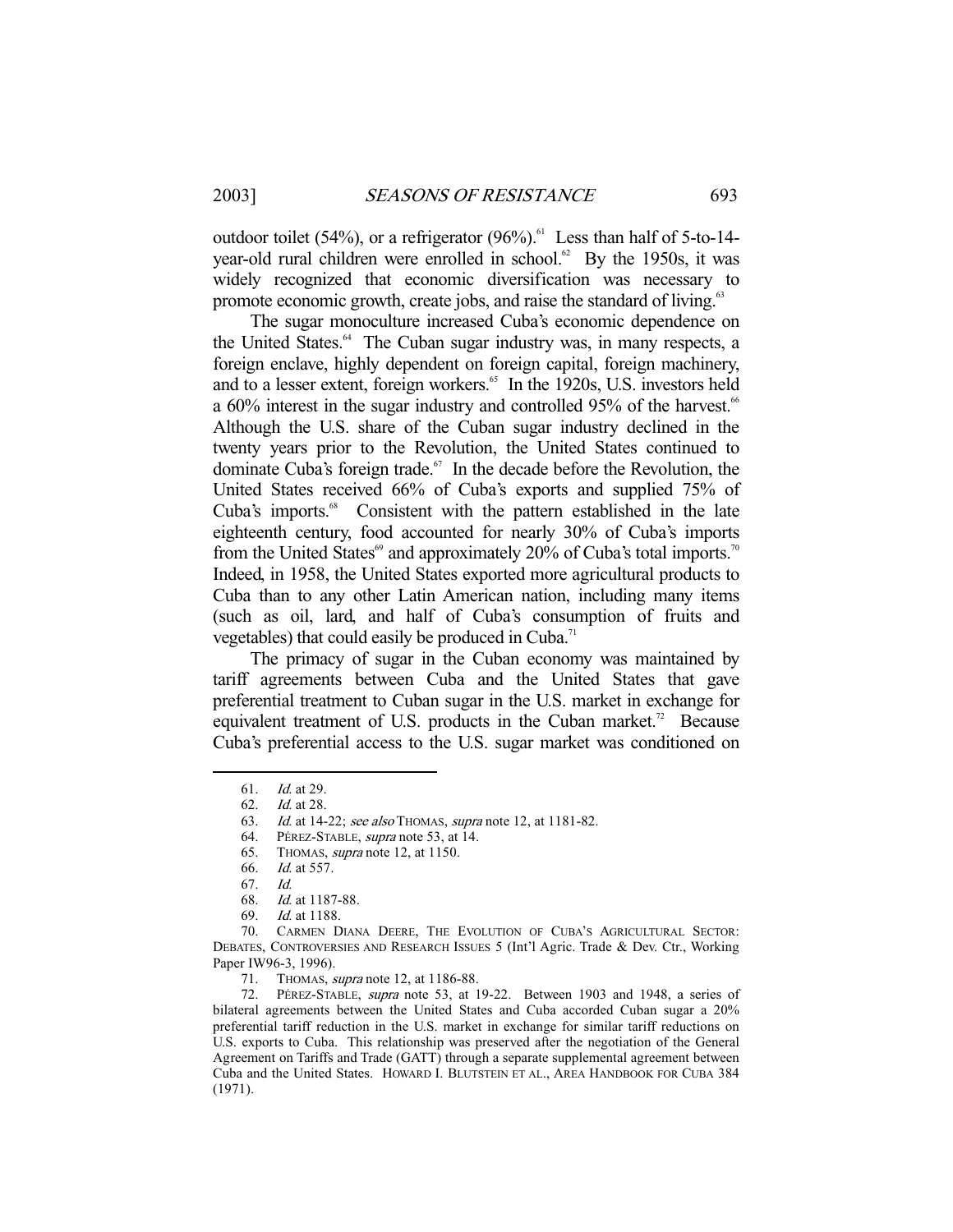outdoor toilet (54%), or a refrigerator  $(96\%)$ .<sup>61</sup> Less than half of 5-to-14vear-old rural children were enrolled in school.<sup>62</sup> By the 1950s, it was widely recognized that economic diversification was necessary to promote economic growth, create jobs, and raise the standard of living.<sup>63</sup>

 The sugar monoculture increased Cuba's economic dependence on the United States.<sup>64</sup> The Cuban sugar industry was, in many respects, a foreign enclave, highly dependent on foreign capital, foreign machinery, and to a lesser extent, foreign workers.<sup>65</sup> In the 1920s, U.S. investors held a  $60\%$  interest in the sugar industry and controlled 95% of the harvest.<sup>66</sup> Although the U.S. share of the Cuban sugar industry declined in the twenty years prior to the Revolution, the United States continued to dominate Cuba's foreign trade. $67$  In the decade before the Revolution, the United States received 66% of Cuba's exports and supplied 75% of Cuba's imports.<sup>68</sup> Consistent with the pattern established in the late eighteenth century, food accounted for nearly 30% of Cuba's imports from the United States<sup>69</sup> and approximately 20% of Cuba's total imports.<sup>70</sup> Indeed, in 1958, the United States exported more agricultural products to Cuba than to any other Latin American nation, including many items (such as oil, lard, and half of Cuba's consumption of fruits and vegetables) that could easily be produced in Cuba.<sup>71</sup>

 The primacy of sugar in the Cuban economy was maintained by tariff agreements between Cuba and the United States that gave preferential treatment to Cuban sugar in the U.S. market in exchange for equivalent treatment of U.S. products in the Cuban market.<sup>72</sup> Because Cuba's preferential access to the U.S. sugar market was conditioned on

-

72. PÉREZ-STABLE, *supra* note 53, at 19-22. Between 1903 and 1948, a series of bilateral agreements between the United States and Cuba accorded Cuban sugar a 20% preferential tariff reduction in the U.S. market in exchange for similar tariff reductions on U.S. exports to Cuba. This relationship was preserved after the negotiation of the General Agreement on Tariffs and Trade (GATT) through a separate supplemental agreement between Cuba and the United States. HOWARD I. BLUTSTEIN ET AL., AREA HANDBOOK FOR CUBA 384 (1971).

 <sup>61.</sup> Id. at 29.

 <sup>62.</sup> Id. at 28.

<sup>63.</sup> Id. at 14-22; see also Thomas, supra note 12, at 1181-82.<br>64. PÉREZ-STABLE, supra note 53, at 14.

<sup>64.</sup> PÉREZ-STABLE, *supra* note 53, at 14.<br>65. THOMAS, *supra* note 12, at 1150.

THOMAS, *supra* note 12, at 1150.

 <sup>66.</sup> Id. at 557.

 <sup>67.</sup> Id.

 <sup>68.</sup> Id. at 1187-88.

 <sup>69.</sup> Id. at 1188.

 <sup>70.</sup> CARMEN DIANA DEERE, THE EVOLUTION OF CUBA'S AGRICULTURAL SECTOR: DEBATES, CONTROVERSIES AND RESEARCH ISSUES 5 (Int'l Agric. Trade & Dev. Ctr., Working Paper IW96-3, 1996).

<sup>71.</sup> THOMAS, *supra* note 12, at 1186-88.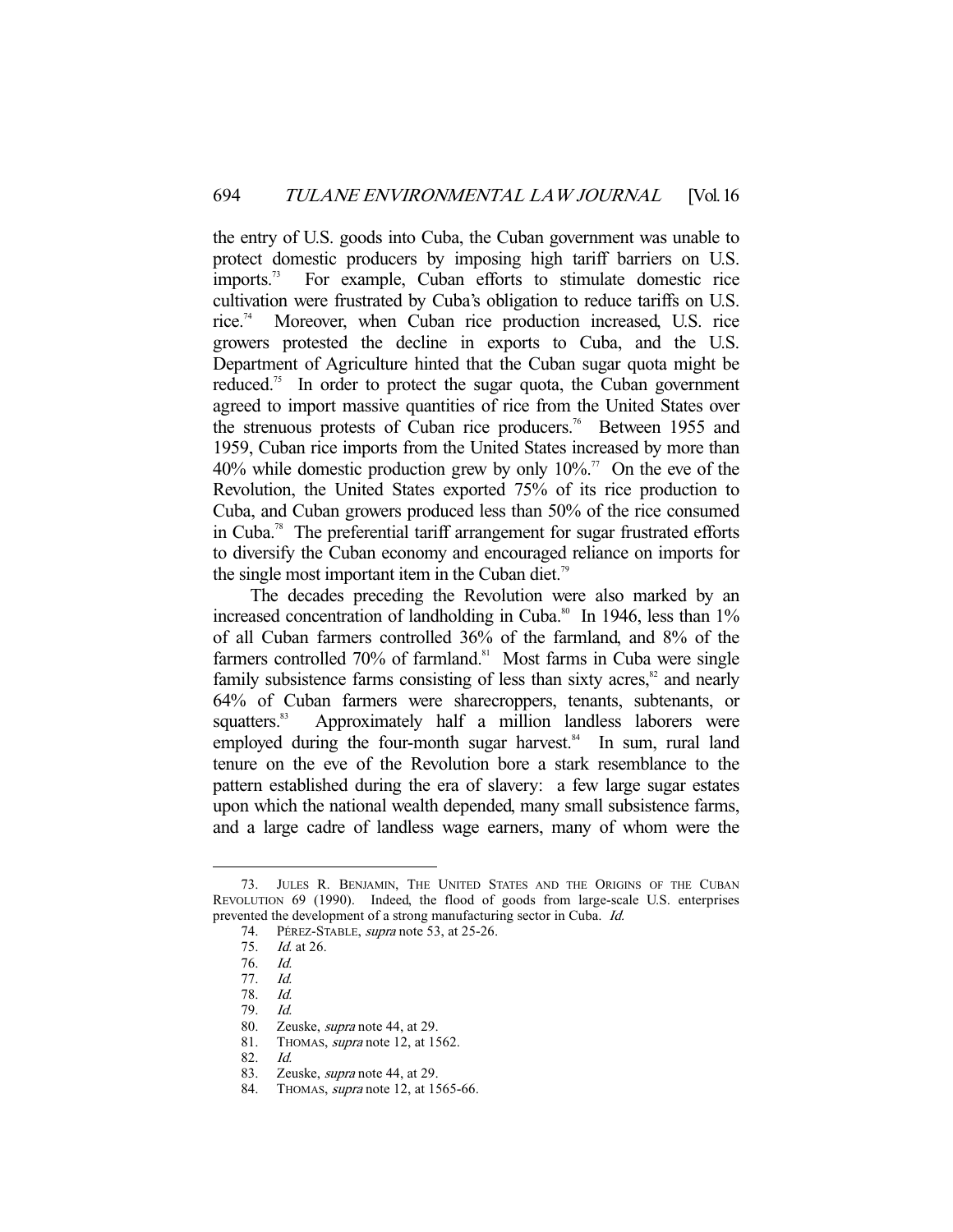the entry of U.S. goods into Cuba, the Cuban government was unable to protect domestic producers by imposing high tariff barriers on U.S. imports.<sup>73</sup> For example, Cuban efforts to stimulate domestic rice cultivation were frustrated by Cuba's obligation to reduce tariffs on U.S. rice.<sup>74</sup> Moreover, when Cuban rice production increased, U.S. rice growers protested the decline in exports to Cuba, and the U.S. Department of Agriculture hinted that the Cuban sugar quota might be reduced.<sup>75</sup> In order to protect the sugar quota, the Cuban government agreed to import massive quantities of rice from the United States over the strenuous protests of Cuban rice producers.<sup>76</sup> Between 1955 and 1959, Cuban rice imports from the United States increased by more than 40% while domestic production grew by only  $10\%$ <sup>77</sup> On the eve of the Revolution, the United States exported 75% of its rice production to Cuba, and Cuban growers produced less than 50% of the rice consumed in Cuba.78 The preferential tariff arrangement for sugar frustrated efforts to diversify the Cuban economy and encouraged reliance on imports for the single most important item in the Cuban diet.<sup>79</sup>

 The decades preceding the Revolution were also marked by an increased concentration of landholding in Cuba. $80$  In 1946, less than  $1\%$ of all Cuban farmers controlled 36% of the farmland, and 8% of the farmers controlled 70% of farmland.<sup>81</sup> Most farms in Cuba were single family subsistence farms consisting of less than sixty acres, $82$  and nearly 64% of Cuban farmers were sharecroppers, tenants, subtenants, or squatters.<sup>83</sup> Approximately half a million landless laborers were employed during the four-month sugar harvest.<sup>84</sup> In sum, rural land tenure on the eve of the Revolution bore a stark resemblance to the pattern established during the era of slavery: a few large sugar estates upon which the national wealth depended, many small subsistence farms, and a large cadre of landless wage earners, many of whom were the

 <sup>73.</sup> JULES R. BENJAMIN, THE UNITED STATES AND THE ORIGINS OF THE CUBAN REVOLUTION 69 (1990). Indeed, the flood of goods from large-scale U.S. enterprises prevented the development of a strong manufacturing sector in Cuba. Id.

<sup>74.</sup> PÉREZ-STABLE, supra note 53, at 25-26.

<sup>75.</sup> *Id.* at 26.<br>76. *Id.* 

<sup>76.</sup> 

 <sup>77.</sup> Id.

 <sup>78.</sup> Id.

 <sup>79.</sup> Id.

 <sup>80.</sup> Zeuske, supra note 44, at 29.

<sup>81.</sup> THOMAS, *supra* note 12, at 1562.

 <sup>82.</sup> Id.

 <sup>83.</sup> Zeuske, supra note 44, at 29.

<sup>84.</sup> THOMAS, *supra* note 12, at 1565-66.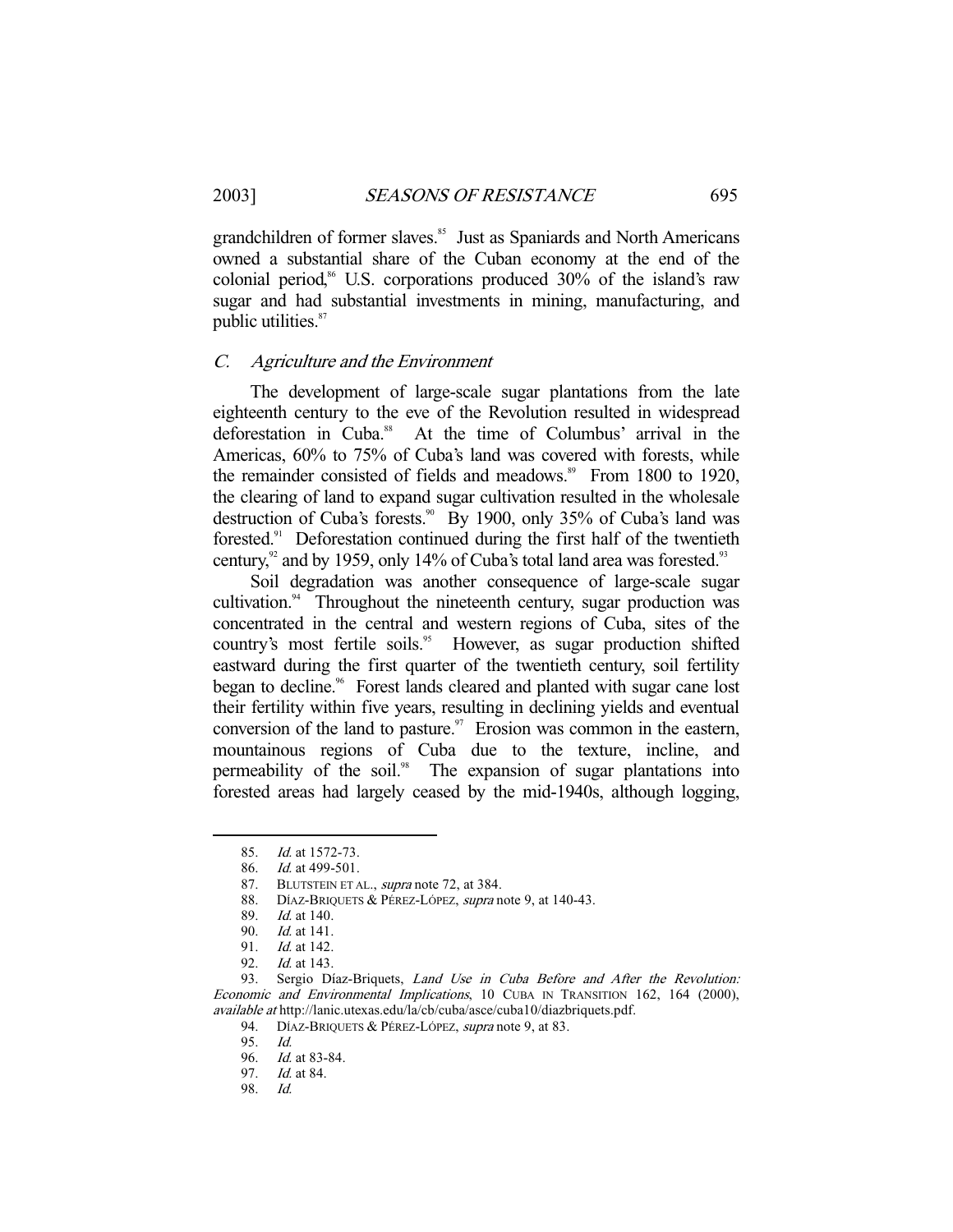grandchildren of former slaves.<sup>85</sup> Just as Spaniards and North Americans owned a substantial share of the Cuban economy at the end of the colonial period,<sup>86</sup> U.S. corporations produced 30% of the island's raw sugar and had substantial investments in mining, manufacturing, and public utilities.<sup>87</sup>

### C. Agriculture and the Environment

 The development of large-scale sugar plantations from the late eighteenth century to the eve of the Revolution resulted in widespread deforestation in Cuba.<sup>88</sup> At the time of Columbus' arrival in the Americas, 60% to 75% of Cuba's land was covered with forests, while the remainder consisted of fields and meadows.<sup>89</sup> From 1800 to 1920, the clearing of land to expand sugar cultivation resulted in the wholesale destruction of Cuba's forests.<sup>90</sup> By 1900, only 35% of Cuba's land was forested.91 Deforestation continued during the first half of the twentieth century, $\frac{92}{2}$  and by 1959, only 14% of Cuba's total land area was forested.<sup>93</sup>

 Soil degradation was another consequence of large-scale sugar cultivation.<sup>94</sup> Throughout the nineteenth century, sugar production was concentrated in the central and western regions of Cuba, sites of the country's most fertile soils.<sup>95</sup> However, as sugar production shifted eastward during the first quarter of the twentieth century, soil fertility began to decline.<sup>96</sup> Forest lands cleared and planted with sugar cane lost their fertility within five years, resulting in declining yields and eventual conversion of the land to pasture. $\degree$  Erosion was common in the eastern, mountainous regions of Cuba due to the texture, incline, and permeability of the soil.<sup>98</sup> The expansion of sugar plantations into forested areas had largely ceased by the mid-1940s, although logging,

87. BLUTSTEIN ET AL., *supra* note 72, at 384.

 <sup>85.</sup> Id. at 1572-73.

 <sup>86.</sup> Id. at 499-501.

<sup>88.</sup> DÍAZ-BRIQUETS & PÉREZ-LÓPEZ, supra note 9, at 140-43.

 <sup>89.</sup> Id. at 140.

 <sup>90.</sup> Id. at 141.

 <sup>91.</sup> Id. at 142.

 <sup>92.</sup> Id. at 143.

<sup>93.</sup> Sergio Díaz-Briquets, Land Use in Cuba Before and After the Revolution: Economic and Environmental Implications, 10 CUBA IN TRANSITION 162, 164 (2000), available at http://lanic.utexas.edu/la/cb/cuba/asce/cuba10/diazbriquets.pdf.

<sup>94.</sup> DÍAZ-BRIQUETS & PÉREZ-LÓPEZ, supra note 9, at 83.

<sup>95.</sup> *Id.*<br>96. *Id.* 

*Id.* at 83-84.

 <sup>97.</sup> Id. at 84.

 <sup>98.</sup> Id.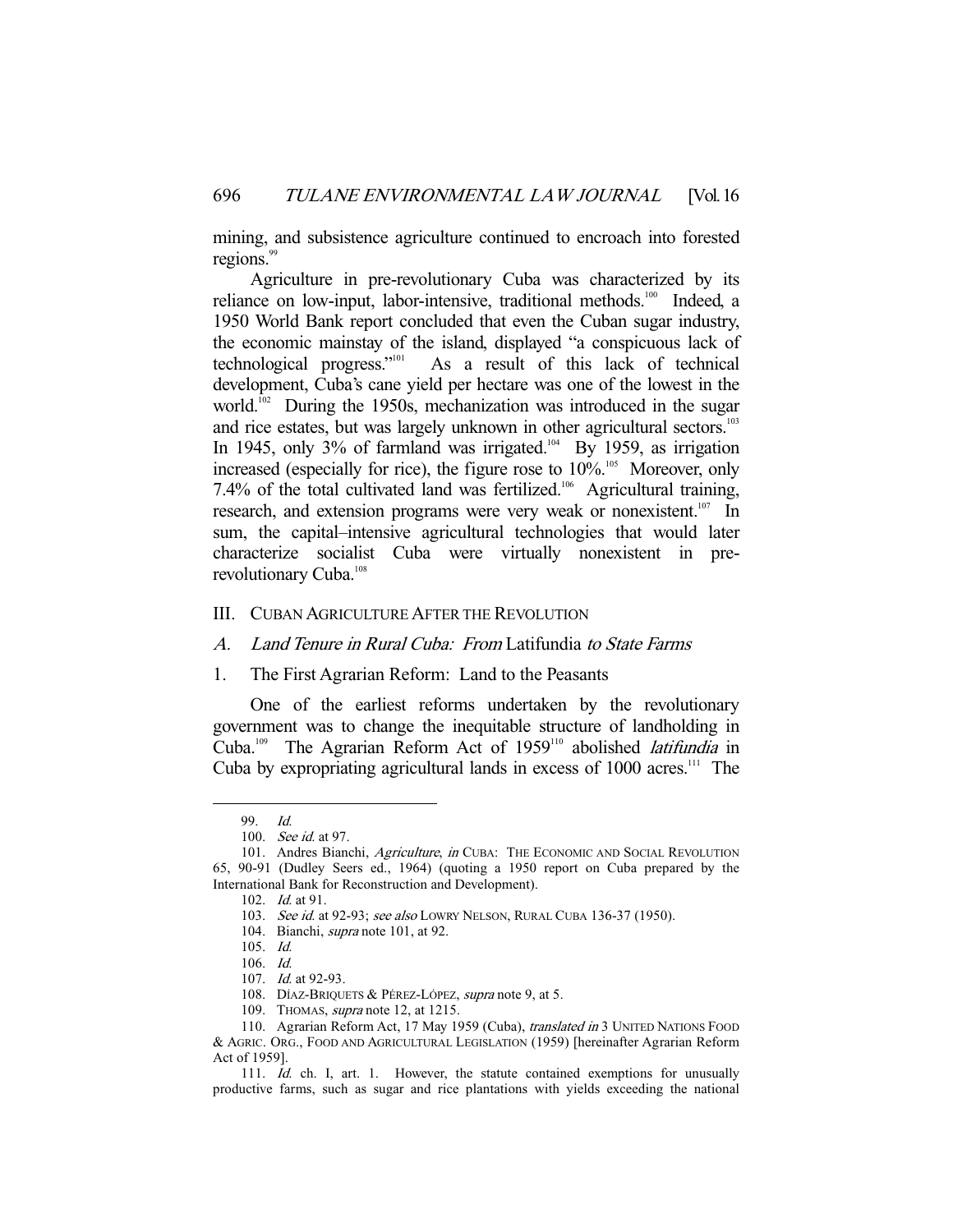mining, and subsistence agriculture continued to encroach into forested regions.<sup>99</sup>

 Agriculture in pre-revolutionary Cuba was characterized by its reliance on low-input, labor-intensive, traditional methods.<sup>100</sup> Indeed, a 1950 World Bank report concluded that even the Cuban sugar industry, the economic mainstay of the island, displayed "a conspicuous lack of technological progress."101 As a result of this lack of technical development, Cuba's cane yield per hectare was one of the lowest in the world.<sup>102</sup> During the 1950s, mechanization was introduced in the sugar and rice estates, but was largely unknown in other agricultural sectors.<sup>103</sup> In 1945, only 3% of farmland was irrigated.<sup>104</sup> By 1959, as irrigation increased (especially for rice), the figure rose to  $10\%$ <sup>105</sup> Moreover, only 7.4% of the total cultivated land was fertilized.<sup>106</sup> Agricultural training, research, and extension programs were very weak or nonexistent.<sup>107</sup> In sum, the capital–intensive agricultural technologies that would later characterize socialist Cuba were virtually nonexistent in prerevolutionary Cuba.<sup>108</sup>

#### III. CUBAN AGRICULTURE AFTER THE REVOLUTION

#### A. Land Tenure in Rural Cuba: From Latifundia to State Farms

# 1. The First Agrarian Reform: Land to the Peasants

 One of the earliest reforms undertaken by the revolutionary government was to change the inequitable structure of landholding in Cuba.<sup>109</sup> The Agrarian Reform Act of 1959<sup>110</sup> abolished *latifundia* in Cuba by expropriating agricultural lands in excess of 1000 acres.<sup>111</sup> The

 <sup>99.</sup> Id.

<sup>100.</sup> See id. at 97.

<sup>101.</sup> Andres Bianchi, Agriculture, in CUBA: THE ECONOMIC AND SOCIAL REVOLUTION 65, 90-91 (Dudley Seers ed., 1964) (quoting a 1950 report on Cuba prepared by the International Bank for Reconstruction and Development).

 <sup>102.</sup> Id. at 91.

<sup>103.</sup> See id. at 92-93; see also LOWRY NELSON, RURAL CUBA 136-37 (1950).

<sup>104.</sup> Bianchi, *supra* note 101, at 92.

 <sup>105.</sup> Id.

 <sup>106.</sup> Id.

<sup>107.</sup> *Id.* at 92-93.

<sup>108.</sup> DÍAZ-BRIQUETS & PÉREZ-LÓPEZ, supra note 9, at 5.

 <sup>109.</sup> THOMAS, supra note 12, at 1215.

<sup>110.</sup> Agrarian Reform Act, 17 May 1959 (Cuba), translated in 3 UNITED NATIONS FOOD & AGRIC. ORG., FOOD AND AGRICULTURAL LEGISLATION (1959) [hereinafter Agrarian Reform Act of 1959].

<sup>111.</sup> Id. ch. I, art. 1. However, the statute contained exemptions for unusually productive farms, such as sugar and rice plantations with yields exceeding the national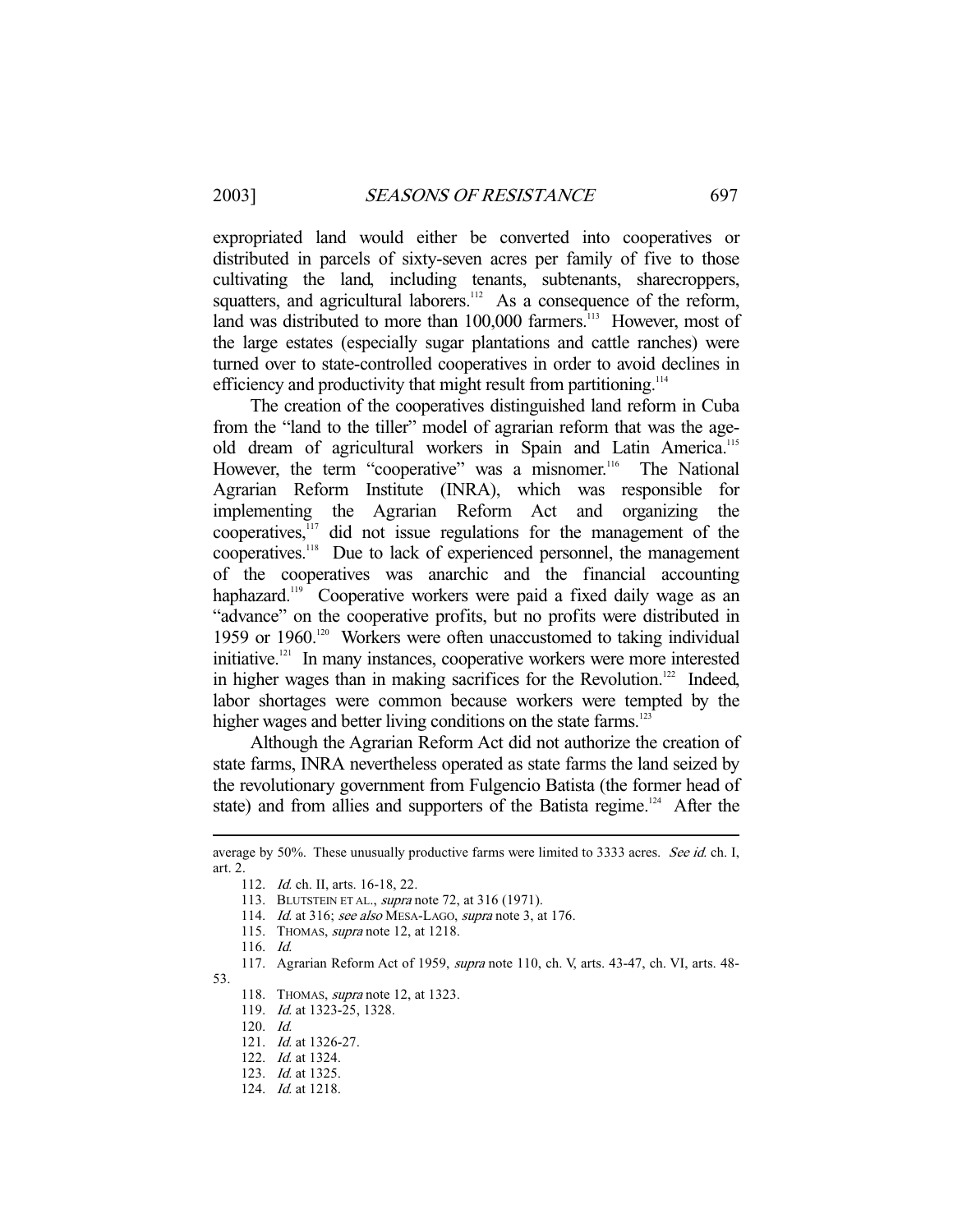expropriated land would either be converted into cooperatives or distributed in parcels of sixty-seven acres per family of five to those cultivating the land, including tenants, subtenants, sharecroppers, squatters, and agricultural laborers.<sup>112</sup> As a consequence of the reform, land was distributed to more than 100,000 farmers.<sup>113</sup> However, most of the large estates (especially sugar plantations and cattle ranches) were turned over to state-controlled cooperatives in order to avoid declines in efficiency and productivity that might result from partitioning.<sup>114</sup>

 The creation of the cooperatives distinguished land reform in Cuba from the "land to the tiller" model of agrarian reform that was the ageold dream of agricultural workers in Spain and Latin America.<sup>115</sup> However, the term "cooperative" was a misnomer.<sup>116</sup> The National Agrarian Reform Institute (INRA), which was responsible for implementing the Agrarian Reform Act and organizing the  $\alpha$  cooperatives, $\frac{117}{117}$  did not issue regulations for the management of the cooperatives.118 Due to lack of experienced personnel, the management of the cooperatives was anarchic and the financial accounting haphazard.<sup>119</sup> Cooperative workers were paid a fixed daily wage as an "advance" on the cooperative profits, but no profits were distributed in 1959 or 1960.<sup>120</sup> Workers were often unaccustomed to taking individual initiative.121 In many instances, cooperative workers were more interested in higher wages than in making sacrifices for the Revolution.<sup>122</sup> Indeed, labor shortages were common because workers were tempted by the higher wages and better living conditions on the state farms.<sup>123</sup>

 Although the Agrarian Reform Act did not authorize the creation of state farms, INRA nevertheless operated as state farms the land seized by the revolutionary government from Fulgencio Batista (the former head of state) and from allies and supporters of the Batista regime.<sup>124</sup> After the

115. THOMAS, supra note 12, at 1218.

-

53.

120. Id.

122. Id. at 1324.

average by 50%. These unusually productive farms were limited to 3333 acres. See id. ch. I, art. 2.

 <sup>112.</sup> Id. ch. II, arts. 16-18, 22.

 <sup>113.</sup> BLUTSTEIN ET AL., supra note 72, at 316 (1971).

<sup>114.</sup> *Id.* at 316; see also MESA-LAGO, supra note 3, at 176.

 <sup>116.</sup> Id.

 <sup>117.</sup> Agrarian Reform Act of 1959, supra note 110, ch. V, arts. 43-47, ch. VI, arts. 48-

<sup>118.</sup> THOMAS, *supra* note 12, at 1323.

<sup>119.</sup> *Id.* at 1323-25, 1328.

 <sup>121.</sup> Id. at 1326-27.

 <sup>123.</sup> Id. at 1325.

 <sup>124.</sup> Id. at 1218.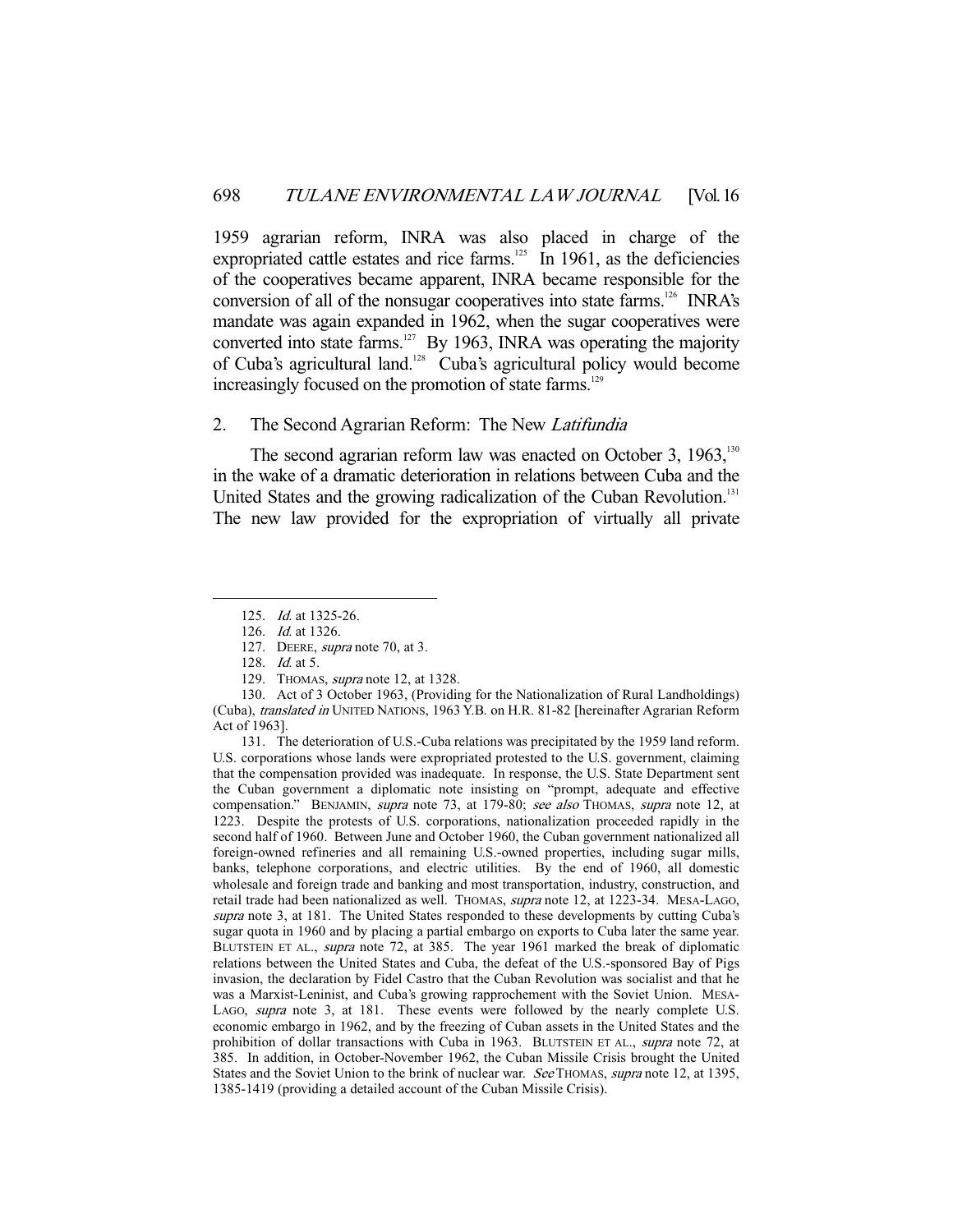1959 agrarian reform, INRA was also placed in charge of the expropriated cattle estates and rice farms.<sup>125</sup> In 1961, as the deficiencies of the cooperatives became apparent, INRA became responsible for the conversion of all of the nonsugar cooperatives into state farms.<sup>126</sup> INRA's mandate was again expanded in 1962, when the sugar cooperatives were converted into state farms.<sup>127</sup> By 1963, INRA was operating the majority of Cuba's agricultural land.128 Cuba's agricultural policy would become increasingly focused on the promotion of state farms.<sup>129</sup>

# 2. The Second Agrarian Reform: The New Latifundia

The second agrarian reform law was enacted on October 3,  $1963$ ,<sup>130</sup>, in the wake of a dramatic deterioration in relations between Cuba and the United States and the growing radicalization of the Cuban Revolution.<sup>131</sup> The new law provided for the expropriation of virtually all private

-

129. THOMAS, supra note 12, at 1328.

 131. The deterioration of U.S.-Cuba relations was precipitated by the 1959 land reform. U.S. corporations whose lands were expropriated protested to the U.S. government, claiming that the compensation provided was inadequate. In response, the U.S. State Department sent the Cuban government a diplomatic note insisting on "prompt, adequate and effective compensation." BENJAMIN, supra note 73, at 179-80; see also THOMAS, supra note 12, at 1223. Despite the protests of U.S. corporations, nationalization proceeded rapidly in the second half of 1960. Between June and October 1960, the Cuban government nationalized all foreign-owned refineries and all remaining U.S.-owned properties, including sugar mills, banks, telephone corporations, and electric utilities. By the end of 1960, all domestic wholesale and foreign trade and banking and most transportation, industry, construction, and retail trade had been nationalized as well. THOMAS, *supra* note 12, at 1223-34. MESA-LAGO, supra note 3, at 181. The United States responded to these developments by cutting Cuba's sugar quota in 1960 and by placing a partial embargo on exports to Cuba later the same year. BLUTSTEIN ET AL., *supra* note 72, at 385. The year 1961 marked the break of diplomatic relations between the United States and Cuba, the defeat of the U.S.-sponsored Bay of Pigs invasion, the declaration by Fidel Castro that the Cuban Revolution was socialist and that he was a Marxist-Leninist, and Cuba's growing rapprochement with the Soviet Union. MESA-LAGO, supra note 3, at 181. These events were followed by the nearly complete U.S. economic embargo in 1962, and by the freezing of Cuban assets in the United States and the prohibition of dollar transactions with Cuba in 1963. BLUTSTEIN ET AL., supra note 72, at 385. In addition, in October-November 1962, the Cuban Missile Crisis brought the United States and the Soviet Union to the brink of nuclear war. See THOMAS, supra note 12, at 1395, 1385-1419 (providing a detailed account of the Cuban Missile Crisis).

 <sup>125.</sup> Id. at 1325-26.

 <sup>126.</sup> Id. at 1326.

<sup>127.</sup> DEERE, supra note 70, at 3.

<sup>128.</sup> *Id.* at 5.

 <sup>130.</sup> Act of 3 October 1963, (Providing for the Nationalization of Rural Landholdings) (Cuba), translated in UNITED NATIONS, 1963 Y.B. on H.R. 81-82 [hereinafter Agrarian Reform Act of 1963].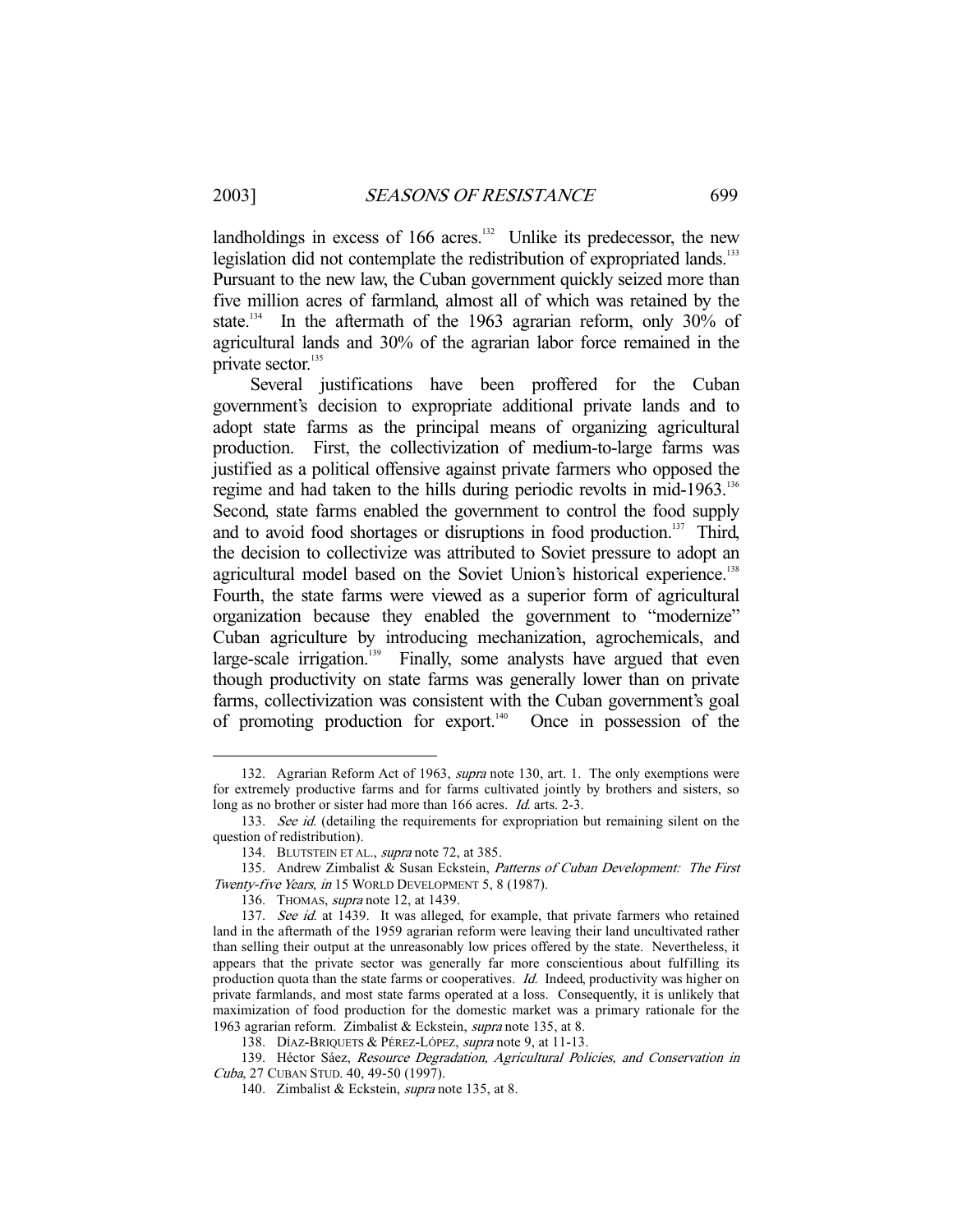-

landholdings in excess of 166 acres.<sup>132</sup> Unlike its predecessor, the new legislation did not contemplate the redistribution of expropriated lands.<sup>133</sup> Pursuant to the new law, the Cuban government quickly seized more than five million acres of farmland, almost all of which was retained by the state.<sup>134</sup> In the aftermath of the 1963 agrarian reform, only 30% of agricultural lands and 30% of the agrarian labor force remained in the private sector.<sup>135</sup>

 Several justifications have been proffered for the Cuban government's decision to expropriate additional private lands and to adopt state farms as the principal means of organizing agricultural production. First, the collectivization of medium-to-large farms was justified as a political offensive against private farmers who opposed the regime and had taken to the hills during periodic revolts in mid-1963.<sup>136</sup> Second, state farms enabled the government to control the food supply and to avoid food shortages or disruptions in food production.<sup>137</sup> Third, the decision to collectivize was attributed to Soviet pressure to adopt an agricultural model based on the Soviet Union's historical experience.<sup>138</sup> Fourth, the state farms were viewed as a superior form of agricultural organization because they enabled the government to "modernize" Cuban agriculture by introducing mechanization, agrochemicals, and large-scale irrigation.<sup>139</sup> Finally, some analysts have argued that even though productivity on state farms was generally lower than on private farms, collectivization was consistent with the Cuban government's goal of promoting production for export.<sup>140</sup> Once in possession of the

<sup>132.</sup> Agrarian Reform Act of 1963, *supra* note 130, art. 1. The only exemptions were for extremely productive farms and for farms cultivated jointly by brothers and sisters, so long as no brother or sister had more than 166 acres. *Id.* arts. 2-3.

<sup>133.</sup> See id. (detailing the requirements for expropriation but remaining silent on the question of redistribution).

<sup>134.</sup> BLUTSTEIN ET AL., *supra* note 72, at 385.

<sup>135.</sup> Andrew Zimbalist & Susan Eckstein, Patterns of Cuban Development: The First Twenty-five Years, in 15 WORLD DEVELOPMENT 5, 8 (1987).

<sup>136.</sup> THOMAS, *supra* note 12, at 1439.

<sup>137.</sup> See id. at 1439. It was alleged, for example, that private farmers who retained land in the aftermath of the 1959 agrarian reform were leaving their land uncultivated rather than selling their output at the unreasonably low prices offered by the state. Nevertheless, it appears that the private sector was generally far more conscientious about fulfilling its production quota than the state farms or cooperatives. Id. Indeed, productivity was higher on private farmlands, and most state farms operated at a loss. Consequently, it is unlikely that maximization of food production for the domestic market was a primary rationale for the 1963 agrarian reform. Zimbalist & Eckstein, supra note 135, at 8.

<sup>138.</sup> DÍAZ-BRIQUETS & PÉREZ-LÓPEZ, supra note 9, at 11-13.

<sup>139.</sup> Héctor Sáez, Resource Degradation, Agricultural Policies, and Conservation in Cuba, 27 CUBAN STUD. 40, 49-50 (1997).

<sup>140.</sup> Zimbalist & Eckstein, *supra* note 135, at 8.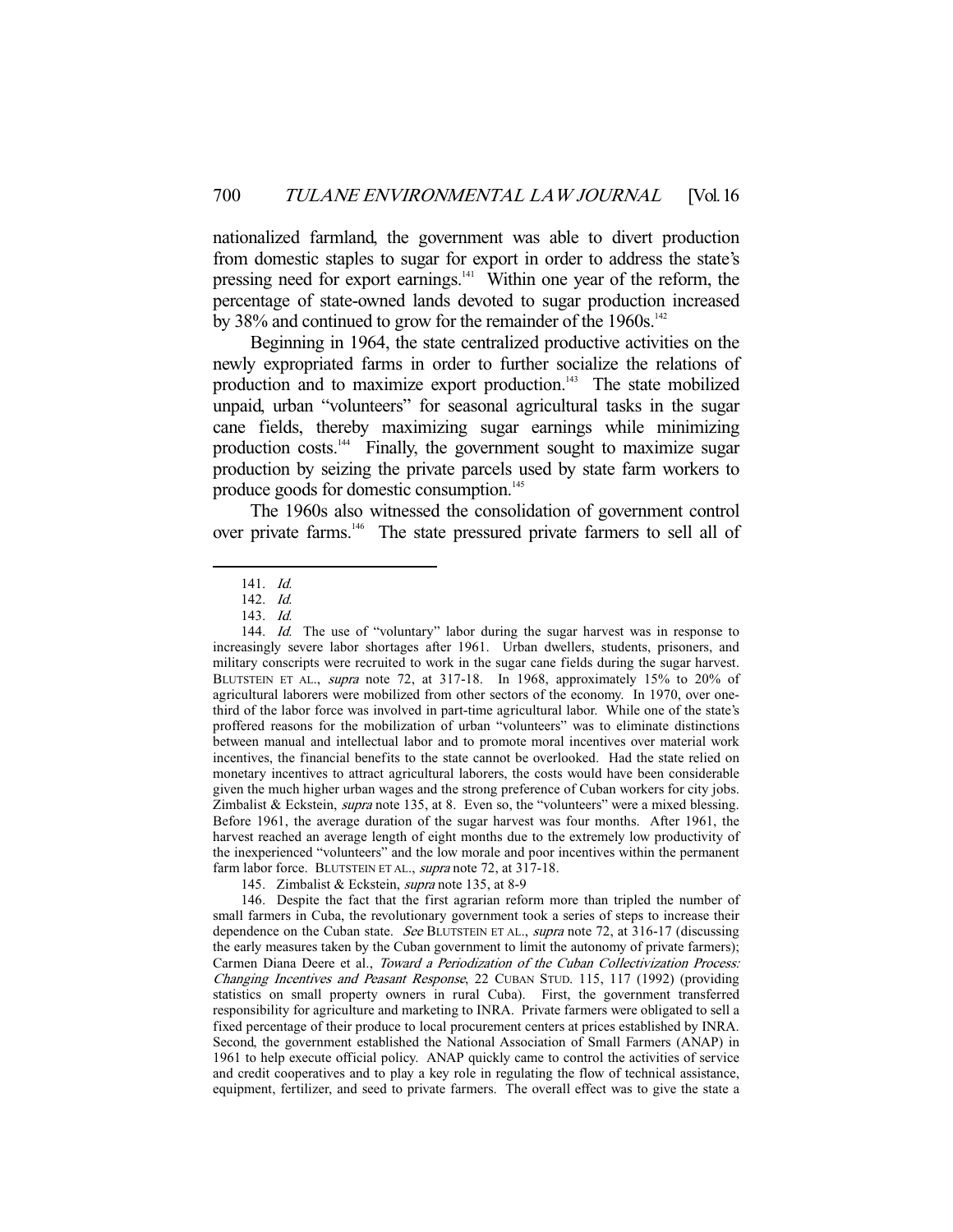nationalized farmland, the government was able to divert production from domestic staples to sugar for export in order to address the state's pressing need for export earnings.<sup>141</sup> Within one year of the reform, the percentage of state-owned lands devoted to sugar production increased by 38% and continued to grow for the remainder of the  $1960s$ .<sup>142</sup>

 Beginning in 1964, the state centralized productive activities on the newly expropriated farms in order to further socialize the relations of production and to maximize export production.<sup>143</sup> The state mobilized unpaid, urban "volunteers" for seasonal agricultural tasks in the sugar cane fields, thereby maximizing sugar earnings while minimizing production costs.144 Finally, the government sought to maximize sugar production by seizing the private parcels used by state farm workers to produce goods for domestic consumption.<sup>145</sup>

 The 1960s also witnessed the consolidation of government control over private farms.146 The state pressured private farmers to sell all of

 <sup>141.</sup> Id.

 <sup>142.</sup> Id.

 <sup>143.</sup> Id.

<sup>144.</sup> Id. The use of "voluntary" labor during the sugar harvest was in response to increasingly severe labor shortages after 1961. Urban dwellers, students, prisoners, and military conscripts were recruited to work in the sugar cane fields during the sugar harvest. BLUTSTEIN ET AL., *supra* note 72, at 317-18. In 1968, approximately 15% to 20% of agricultural laborers were mobilized from other sectors of the economy. In 1970, over onethird of the labor force was involved in part-time agricultural labor. While one of the state's proffered reasons for the mobilization of urban "volunteers" was to eliminate distinctions between manual and intellectual labor and to promote moral incentives over material work incentives, the financial benefits to the state cannot be overlooked. Had the state relied on monetary incentives to attract agricultural laborers, the costs would have been considerable given the much higher urban wages and the strong preference of Cuban workers for city jobs. Zimbalist & Eckstein, *supra* note 135, at 8. Even so, the "volunteers" were a mixed blessing. Before 1961, the average duration of the sugar harvest was four months. After 1961, the harvest reached an average length of eight months due to the extremely low productivity of the inexperienced "volunteers" and the low morale and poor incentives within the permanent farm labor force. BLUTSTEIN ET AL., supra note 72, at 317-18.

 <sup>145.</sup> Zimbalist & Eckstein, supra note 135, at 8-9

 <sup>146.</sup> Despite the fact that the first agrarian reform more than tripled the number of small farmers in Cuba, the revolutionary government took a series of steps to increase their dependence on the Cuban state. See BLUTSTEIN ET AL., supra note 72, at 316-17 (discussing the early measures taken by the Cuban government to limit the autonomy of private farmers); Carmen Diana Deere et al., Toward a Periodization of the Cuban Collectivization Process: Changing Incentives and Peasant Response, 22 CUBAN STUD. 115, 117 (1992) (providing statistics on small property owners in rural Cuba). First, the government transferred responsibility for agriculture and marketing to INRA. Private farmers were obligated to sell a fixed percentage of their produce to local procurement centers at prices established by INRA. Second, the government established the National Association of Small Farmers (ANAP) in 1961 to help execute official policy. ANAP quickly came to control the activities of service and credit cooperatives and to play a key role in regulating the flow of technical assistance, equipment, fertilizer, and seed to private farmers. The overall effect was to give the state a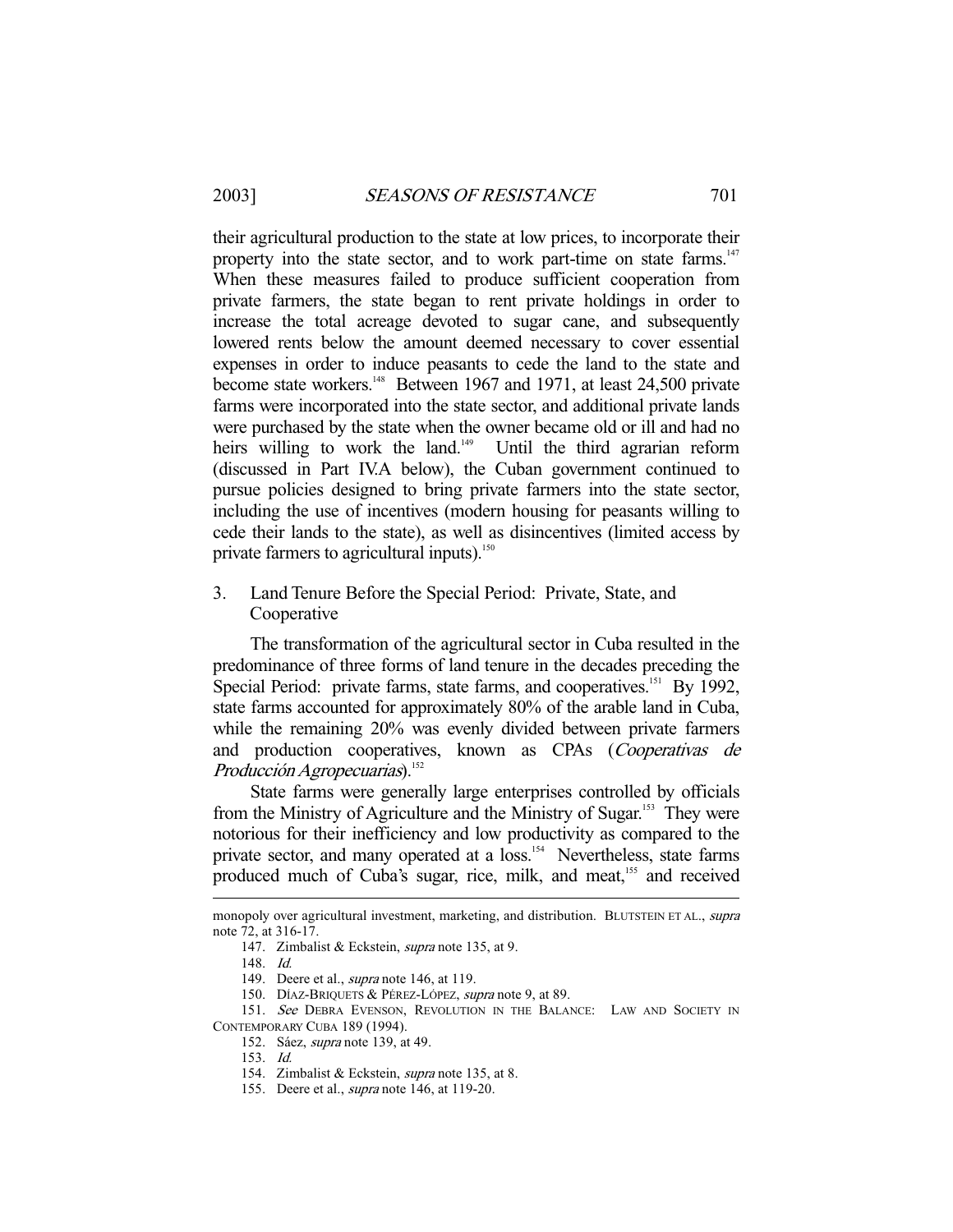their agricultural production to the state at low prices, to incorporate their property into the state sector, and to work part-time on state farms. $147$ When these measures failed to produce sufficient cooperation from private farmers, the state began to rent private holdings in order to increase the total acreage devoted to sugar cane, and subsequently lowered rents below the amount deemed necessary to cover essential expenses in order to induce peasants to cede the land to the state and become state workers.<sup>148</sup> Between 1967 and 1971, at least 24,500 private farms were incorporated into the state sector, and additional private lands were purchased by the state when the owner became old or ill and had no heirs willing to work the land.<sup>149</sup> Until the third agrarian reform (discussed in Part IV.A below), the Cuban government continued to pursue policies designed to bring private farmers into the state sector, including the use of incentives (modern housing for peasants willing to cede their lands to the state), as well as disincentives (limited access by private farmers to agricultural inputs).<sup>150</sup>

3. Land Tenure Before the Special Period: Private, State, and Cooperative

 The transformation of the agricultural sector in Cuba resulted in the predominance of three forms of land tenure in the decades preceding the Special Period: private farms, state farms, and cooperatives.<sup>151</sup> By 1992, state farms accounted for approximately 80% of the arable land in Cuba, while the remaining 20% was evenly divided between private farmers and production cooperatives, known as CPAs (Cooperativas de  $Production Agropecuarias).<sup>152</sup>$ 

 State farms were generally large enterprises controlled by officials from the Ministry of Agriculture and the Ministry of Sugar.<sup>153</sup> They were notorious for their inefficiency and low productivity as compared to the private sector, and many operated at a loss.<sup>154</sup> Nevertheless, state farms produced much of Cuba's sugar, rice, milk, and meat,<sup>155</sup> and received

monopoly over agricultural investment, marketing, and distribution. BLUTSTEIN ET AL., *supra* note 72, at 316-17.

 <sup>147.</sup> Zimbalist & Eckstein, supra note 135, at 9.

 <sup>148.</sup> Id.

<sup>149.</sup> Deere et al., *supra* note 146, at 119.

<sup>150.</sup> DÍAZ-BRIQUETS & PÉREZ-LÓPEZ, supra note 9, at 89.

<sup>151.</sup> See DEBRA EVENSON, REVOLUTION IN THE BALANCE: LAW AND SOCIETY IN CONTEMPORARY CUBA 189 (1994).

 <sup>152.</sup> Sáez, supra note 139, at 49.

 <sup>153.</sup> Id.

<sup>154.</sup> Zimbalist & Eckstein, *supra* note 135, at 8.

<sup>155.</sup> Deere et al., *supra* note 146, at 119-20.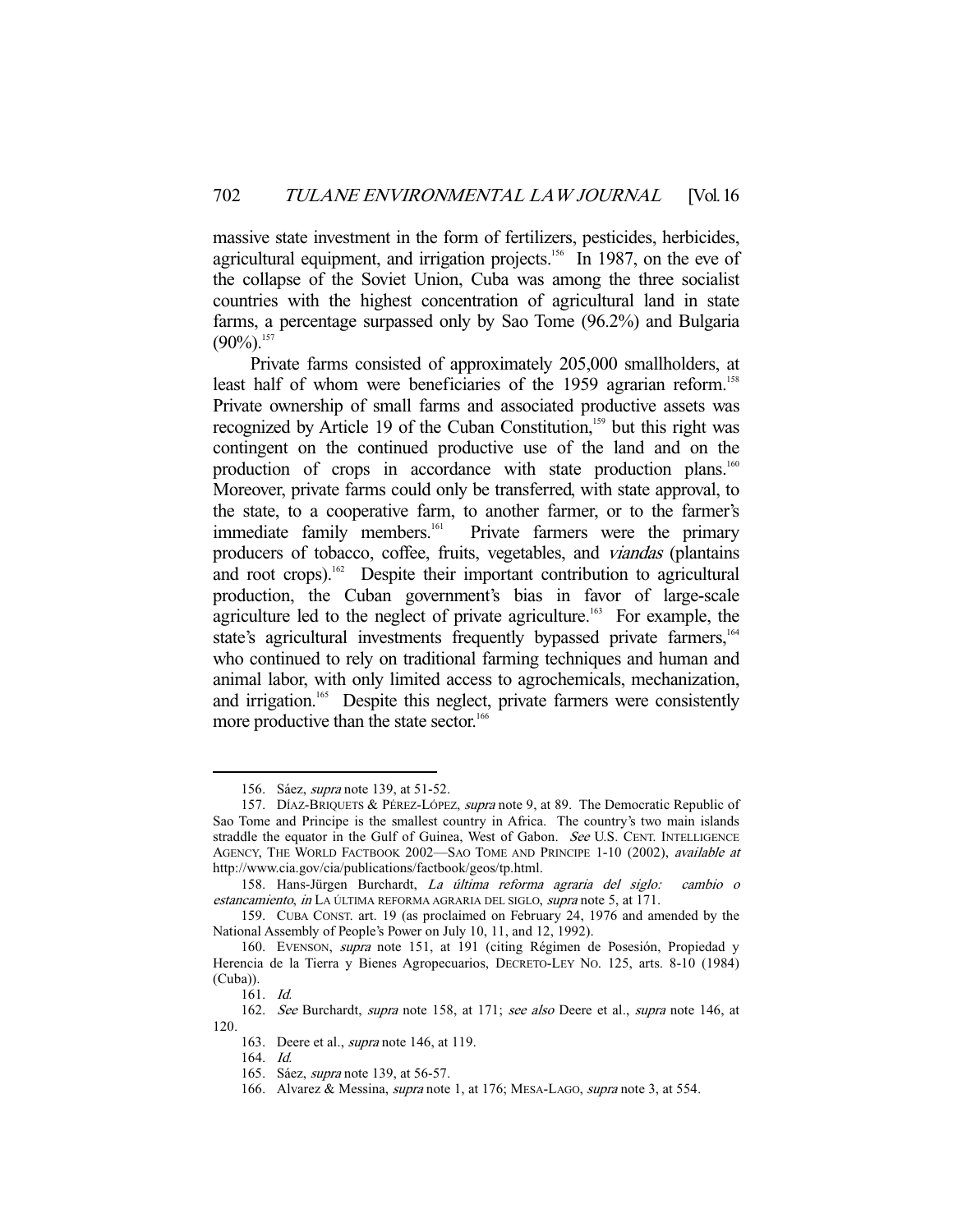massive state investment in the form of fertilizers, pesticides, herbicides, agricultural equipment, and irrigation projects.<sup>156</sup> In 1987, on the eve of the collapse of the Soviet Union, Cuba was among the three socialist countries with the highest concentration of agricultural land in state farms, a percentage surpassed only by Sao Tome (96.2%) and Bulgaria  $(90\%)$ <sup>157</sup>

 Private farms consisted of approximately 205,000 smallholders, at least half of whom were beneficiaries of the 1959 agrarian reform.<sup>158</sup> Private ownership of small farms and associated productive assets was recognized by Article 19 of the Cuban Constitution,<sup>159</sup> but this right was contingent on the continued productive use of the land and on the production of crops in accordance with state production plans.<sup>160</sup> Moreover, private farms could only be transferred, with state approval, to the state, to a cooperative farm, to another farmer, or to the farmer's immediate family members.<sup>161</sup> Private farmers were the primary Private farmers were the primary producers of tobacco, coffee, fruits, vegetables, and viandas (plantains and root crops).<sup>162</sup> Despite their important contribution to agricultural production, the Cuban government's bias in favor of large-scale agriculture led to the neglect of private agriculture.<sup>163</sup> For example, the state's agricultural investments frequently bypassed private farmers,<sup>164</sup> who continued to rely on traditional farming techniques and human and animal labor, with only limited access to agrochemicals, mechanization, and irrigation.<sup>165</sup> Despite this neglect, private farmers were consistently more productive than the state sector.<sup>166</sup>

 <sup>156.</sup> Sáez, supra note 139, at 51-52.

<sup>157.</sup> DÍAZ-BRIQUETS & PÉREZ-LÓPEZ, supra note 9, at 89. The Democratic Republic of Sao Tome and Principe is the smallest country in Africa. The country's two main islands straddle the equator in the Gulf of Guinea, West of Gabon. See U.S. CENT. INTELLIGENCE AGENCY, THE WORLD FACTBOOK 2002—SAO TOME AND PRINCIPE 1-10 (2002), available at http://www.cia.gov/cia/publications/factbook/geos/tp.html.

 <sup>158.</sup> Hans-Jürgen Burchardt, La última reforma agraria del siglo: cambio o estancamiento, in LA ÚLTIMA REFORMA AGRARIA DEL SIGLO, supra note 5, at 171.

 <sup>159.</sup> CUBA CONST. art. 19 (as proclaimed on February 24, 1976 and amended by the National Assembly of People's Power on July 10, 11, and 12, 1992).

 <sup>160.</sup> EVENSON, supra note 151, at 191 (citing Régimen de Posesión, Propiedad y Herencia de la Tierra y Bienes Agropecuarios, DECRETO-LEY NO. 125, arts. 8-10 (1984) (Cuba)).

 <sup>161.</sup> Id.

<sup>162.</sup> See Burchardt, supra note 158, at 171; see also Deere et al., supra note 146, at 120.

<sup>163.</sup> Deere et al., *supra* note 146, at 119.

 <sup>164.</sup> Id.

 <sup>165.</sup> Sáez, supra note 139, at 56-57.

<sup>166.</sup> Alvarez & Messina, *supra* note 1, at 176; MESA-LAGO, *supra* note 3, at 554.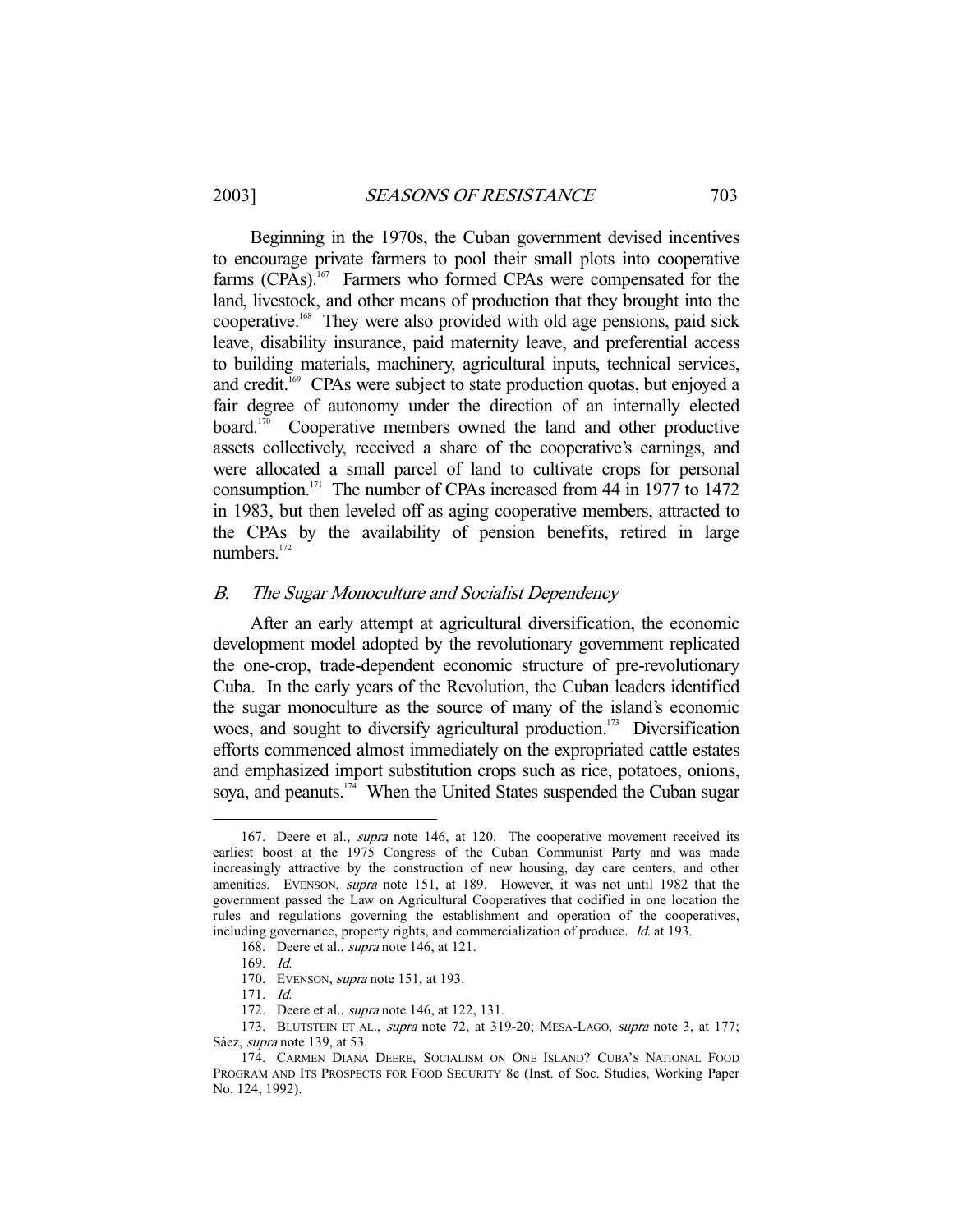Beginning in the 1970s, the Cuban government devised incentives to encourage private farmers to pool their small plots into cooperative farms (CPAs).<sup>167</sup> Farmers who formed CPAs were compensated for the land, livestock, and other means of production that they brought into the cooperative.168 They were also provided with old age pensions, paid sick leave, disability insurance, paid maternity leave, and preferential access to building materials, machinery, agricultural inputs, technical services, and credit.<sup>169</sup> CPAs were subject to state production quotas, but enjoyed a fair degree of autonomy under the direction of an internally elected board.<sup>170</sup> Cooperative members owned the land and other productive assets collectively, received a share of the cooperative's earnings, and were allocated a small parcel of land to cultivate crops for personal consumption.171 The number of CPAs increased from 44 in 1977 to 1472 in 1983, but then leveled off as aging cooperative members, attracted to the CPAs by the availability of pension benefits, retired in large numbers.<sup>172</sup>

# B. The Sugar Monoculture and Socialist Dependency

 After an early attempt at agricultural diversification, the economic development model adopted by the revolutionary government replicated the one-crop, trade-dependent economic structure of pre-revolutionary Cuba. In the early years of the Revolution, the Cuban leaders identified the sugar monoculture as the source of many of the island's economic woes, and sought to diversify agricultural production.<sup>173</sup> Diversification efforts commenced almost immediately on the expropriated cattle estates and emphasized import substitution crops such as rice, potatoes, onions, soya, and peanuts.<sup>174</sup> When the United States suspended the Cuban sugar

<sup>167.</sup> Deere et al., *supra* note 146, at 120. The cooperative movement received its earliest boost at the 1975 Congress of the Cuban Communist Party and was made increasingly attractive by the construction of new housing, day care centers, and other amenities. EVENSON, supra note 151, at 189. However, it was not until 1982 that the government passed the Law on Agricultural Cooperatives that codified in one location the rules and regulations governing the establishment and operation of the cooperatives, including governance, property rights, and commercialization of produce. Id. at 193.

<sup>168.</sup> Deere et al., *supra* note 146, at 121.

 <sup>169.</sup> Id.

<sup>170.</sup> EVENSON, *supra* note 151, at 193.

 <sup>171.</sup> Id.

<sup>172.</sup> Deere et al., *supra* note 146, at 122, 131.

<sup>173.</sup> BLUTSTEIN ET AL., supra note 72, at 319-20; MESA-LAGO, supra note 3, at 177; Sáez, supra note 139, at 53.

 <sup>174.</sup> CARMEN DIANA DEERE, SOCIALISM ON ONE ISLAND? CUBA'S NATIONAL FOOD PROGRAM AND ITS PROSPECTS FOR FOOD SECURITY 8e (Inst. of Soc. Studies, Working Paper No. 124, 1992).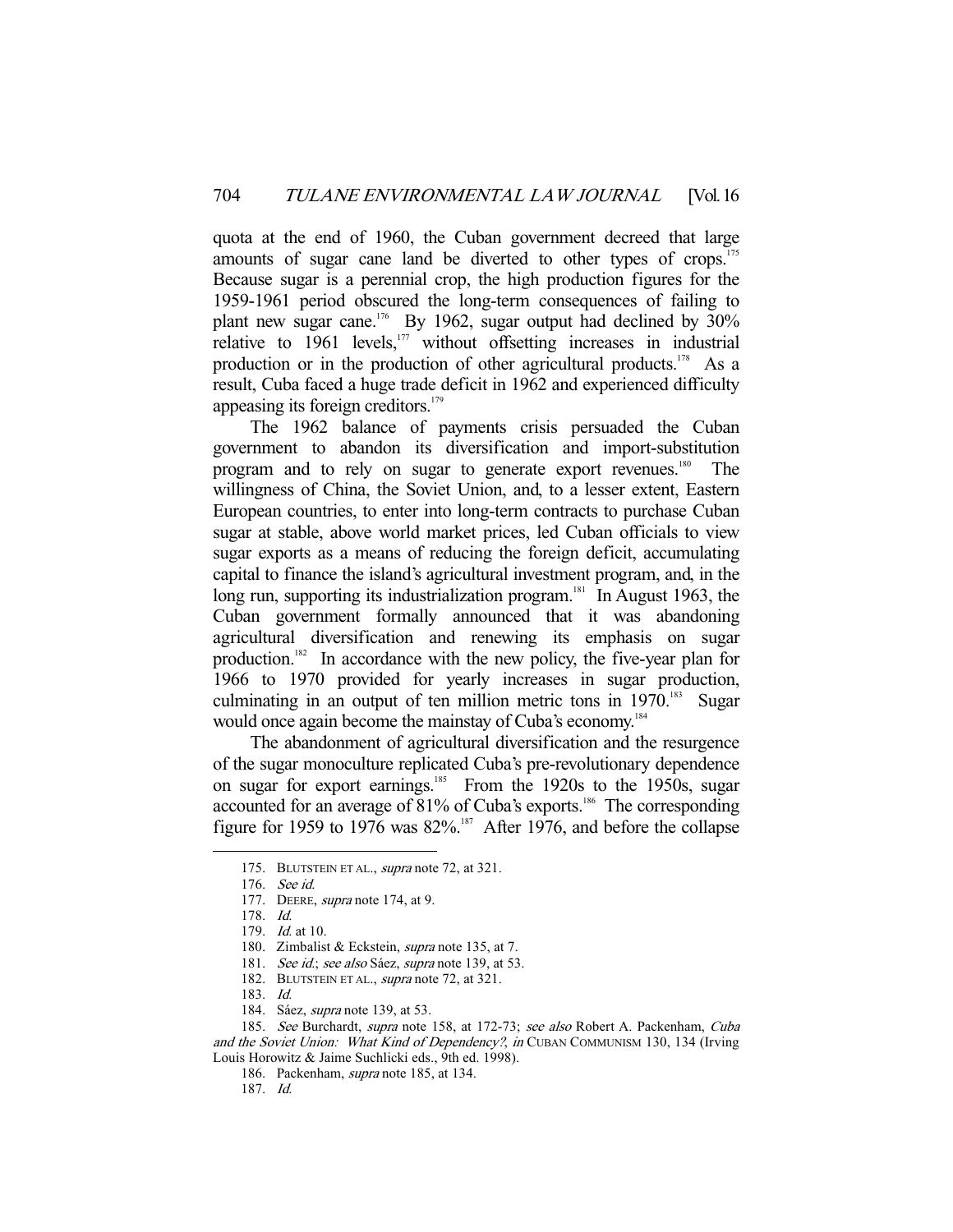quota at the end of 1960, the Cuban government decreed that large amounts of sugar cane land be diverted to other types of crops.<sup>175</sup> Because sugar is a perennial crop, the high production figures for the 1959-1961 period obscured the long-term consequences of failing to plant new sugar cane.<sup>176</sup> By 1962, sugar output had declined by  $30\%$ relative to 1961 levels,<sup>177</sup> without offsetting increases in industrial production or in the production of other agricultural products.<sup>178</sup> As a result, Cuba faced a huge trade deficit in 1962 and experienced difficulty appeasing its foreign creditors.<sup>179</sup>

 The 1962 balance of payments crisis persuaded the Cuban government to abandon its diversification and import-substitution program and to rely on sugar to generate export revenues.<sup>180</sup> The willingness of China, the Soviet Union, and, to a lesser extent, Eastern European countries, to enter into long-term contracts to purchase Cuban sugar at stable, above world market prices, led Cuban officials to view sugar exports as a means of reducing the foreign deficit, accumulating capital to finance the island's agricultural investment program, and, in the long run, supporting its industrialization program.<sup>181</sup> In August 1963, the Cuban government formally announced that it was abandoning agricultural diversification and renewing its emphasis on sugar production.182 In accordance with the new policy, the five-year plan for 1966 to 1970 provided for yearly increases in sugar production, culminating in an output of ten million metric tons in  $1970$ <sup>183</sup> Sugar would once again become the mainstay of Cuba's economy.<sup>184</sup>

 The abandonment of agricultural diversification and the resurgence of the sugar monoculture replicated Cuba's pre-revolutionary dependence on sugar for export earnings.<sup>185</sup> From the 1920s to the 1950s, sugar accounted for an average of 81% of Cuba's exports.<sup>186</sup> The corresponding figure for 1959 to 1976 was  $82\%$ .<sup>187</sup> After 1976, and before the collapse

<sup>175.</sup> BLUTSTEIN ET AL., *supra* note 72, at 321.

 <sup>176.</sup> See id.

<sup>177.</sup> DEERE, *supra* note 174, at 9.

 <sup>178.</sup> Id.

 <sup>179.</sup> Id. at 10.

<sup>180.</sup> Zimbalist & Eckstein, *supra* note 135, at 7.

<sup>181.</sup> See id.; see also Sáez, supra note 139, at 53.

<sup>182.</sup> BLUTSTEIN ET AL., *supra* note 72, at 321.

 <sup>183.</sup> Id.

 <sup>184.</sup> Sáez, supra note 139, at 53.

<sup>185.</sup> See Burchardt, supra note 158, at 172-73; see also Robert A. Packenham, Cuba and the Soviet Union: What Kind of Dependency?, in CUBAN COMMUNISM 130, 134 (Irving Louis Horowitz & Jaime Suchlicki eds., 9th ed. 1998).

 <sup>186.</sup> Packenham, supra note 185, at 134.

 <sup>187.</sup> Id.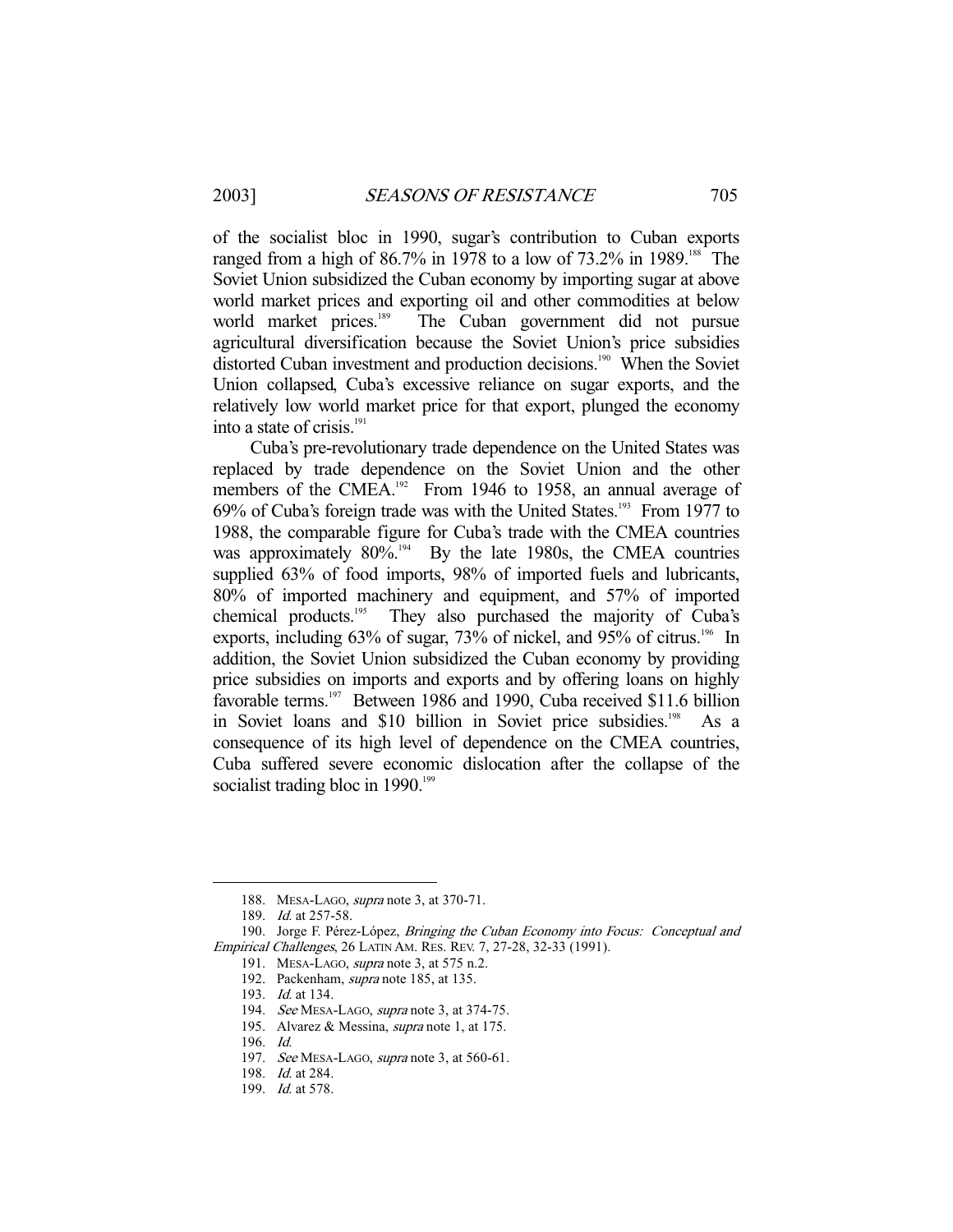of the socialist bloc in 1990, sugar's contribution to Cuban exports ranged from a high of  $86.7\%$  in 1978 to a low of  $73.2\%$  in 1989.<sup>188</sup> The Soviet Union subsidized the Cuban economy by importing sugar at above world market prices and exporting oil and other commodities at below world market prices.<sup>189</sup> The Cuban government did not pursue agricultural diversification because the Soviet Union's price subsidies distorted Cuban investment and production decisions.<sup>190</sup> When the Soviet Union collapsed, Cuba's excessive reliance on sugar exports, and the relatively low world market price for that export, plunged the economy into a state of crisis.<sup>191</sup>

 Cuba's pre-revolutionary trade dependence on the United States was replaced by trade dependence on the Soviet Union and the other members of the CMEA.<sup>192</sup> From 1946 to 1958, an annual average of  $69\%$  of Cuba's foreign trade was with the United States.<sup>193</sup> From 1977 to 1988, the comparable figure for Cuba's trade with the CMEA countries was approximately  $80\%$ <sup>194</sup> By the late 1980s, the CMEA countries supplied 63% of food imports, 98% of imported fuels and lubricants, 80% of imported machinery and equipment, and 57% of imported chemical products.195 They also purchased the majority of Cuba's exports, including 63% of sugar, 73% of nickel, and 95% of citrus.<sup>196</sup> In addition, the Soviet Union subsidized the Cuban economy by providing price subsidies on imports and exports and by offering loans on highly favorable terms.<sup>197</sup> Between 1986 and 1990, Cuba received \$11.6 billion in Soviet loans and \$10 billion in Soviet price subsidies.<sup>198</sup> As a consequence of its high level of dependence on the CMEA countries, Cuba suffered severe economic dislocation after the collapse of the socialist trading bloc in  $1990.^{199}$ 

 <sup>188.</sup> MESA-LAGO, supra note 3, at 370-71.

 <sup>189.</sup> Id. at 257-58.

<sup>190.</sup> Jorge F. Pérez-López, Bringing the Cuban Economy into Focus: Conceptual and Empirical Challenges, 26 LATIN AM. RES. REV. 7, 27-28, 32-33 (1991).

<sup>191.</sup> MESA-LAGO, *supra* note 3, at 575 n.2.

 <sup>192.</sup> Packenham, supra note 185, at 135.

 <sup>193.</sup> Id. at 134.

<sup>194.</sup> See MESA-LAGO, supra note 3, at 374-75.

<sup>195.</sup> Alvarez & Messina, *supra* note 1, at 175.

 <sup>196.</sup> Id.

<sup>197.</sup> See MESA-LAGO, supra note 3, at 560-61.

 <sup>198.</sup> Id. at 284.

<sup>199.</sup> *Id.* at 578.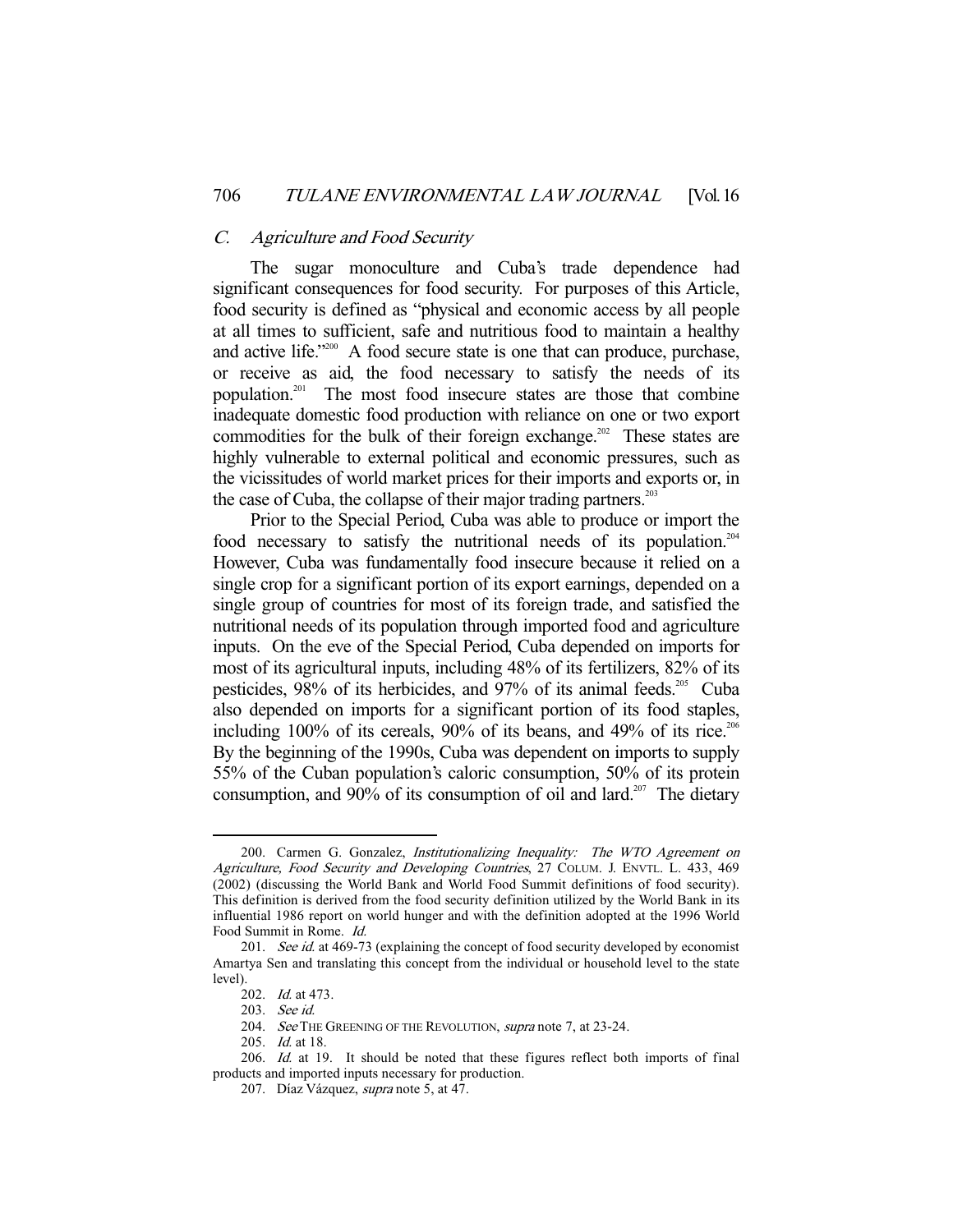# C. Agriculture and Food Security

 The sugar monoculture and Cuba's trade dependence had significant consequences for food security. For purposes of this Article, food security is defined as "physical and economic access by all people at all times to sufficient, safe and nutritious food to maintain a healthy and active life."<sup>200</sup> A food secure state is one that can produce, purchase, or receive as aid, the food necessary to satisfy the needs of its population.201 The most food insecure states are those that combine inadequate domestic food production with reliance on one or two export commodities for the bulk of their foreign exchange.<sup>202</sup> These states are highly vulnerable to external political and economic pressures, such as the vicissitudes of world market prices for their imports and exports or, in the case of Cuba, the collapse of their major trading partners.<sup>203</sup>

 Prior to the Special Period, Cuba was able to produce or import the food necessary to satisfy the nutritional needs of its population.<sup>204</sup> However, Cuba was fundamentally food insecure because it relied on a single crop for a significant portion of its export earnings, depended on a single group of countries for most of its foreign trade, and satisfied the nutritional needs of its population through imported food and agriculture inputs. On the eve of the Special Period, Cuba depended on imports for most of its agricultural inputs, including 48% of its fertilizers, 82% of its pesticides, 98% of its herbicides, and 97% of its animal feeds.<sup>205</sup> Cuba also depended on imports for a significant portion of its food staples, including  $100\%$  of its cereals,  $90\%$  of its beans, and  $49\%$  of its rice.<sup>206</sup> By the beginning of the 1990s, Cuba was dependent on imports to supply 55% of the Cuban population's caloric consumption, 50% of its protein consumption, and 90% of its consumption of oil and lard.<sup>207</sup> The dietary

<sup>200.</sup> Carmen G. Gonzalez, Institutionalizing Inequality: The WTO Agreement on Agriculture, Food Security and Developing Countries, 27 COLUM. J. ENVTL. L. 433, 469 (2002) (discussing the World Bank and World Food Summit definitions of food security). This definition is derived from the food security definition utilized by the World Bank in its influential 1986 report on world hunger and with the definition adopted at the 1996 World Food Summit in Rome. Id.

<sup>201.</sup> See id. at 469-73 (explaining the concept of food security developed by economist Amartya Sen and translating this concept from the individual or household level to the state level).

 <sup>202.</sup> Id. at 473.

 <sup>203.</sup> See id.

<sup>204.</sup> See THE GREENING OF THE REVOLUTION, supra note 7, at 23-24.

 <sup>205.</sup> Id. at 18.

<sup>206.</sup> Id. at 19. It should be noted that these figures reflect both imports of final products and imported inputs necessary for production.

 <sup>207.</sup> Díaz Vázquez, supra note 5, at 47.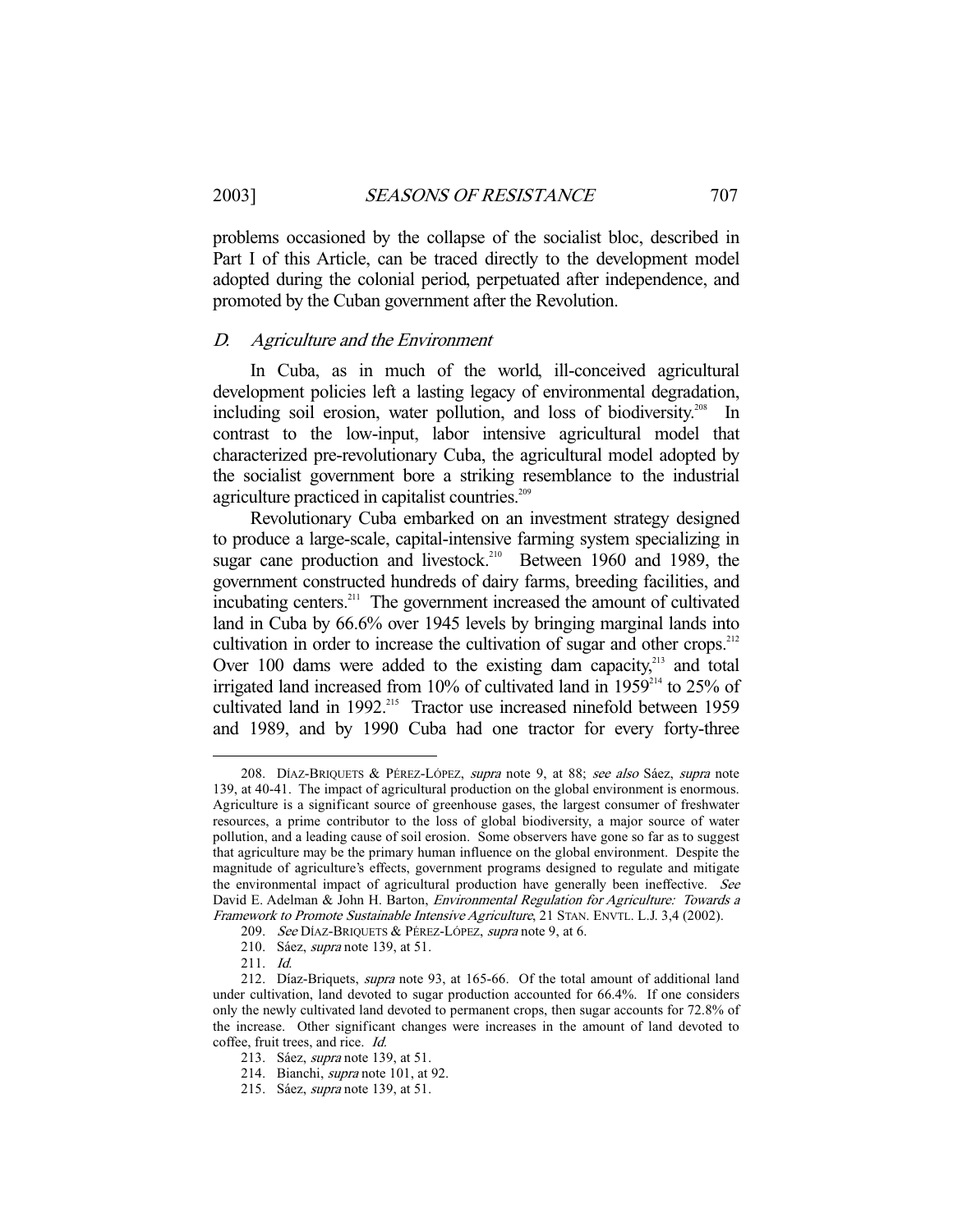problems occasioned by the collapse of the socialist bloc, described in Part I of this Article, can be traced directly to the development model adopted during the colonial period, perpetuated after independence, and promoted by the Cuban government after the Revolution.

#### D. Agriculture and the Environment

 In Cuba, as in much of the world, ill-conceived agricultural development policies left a lasting legacy of environmental degradation, including soil erosion, water pollution, and loss of biodiversity.<sup>208</sup> In contrast to the low-input, labor intensive agricultural model that characterized pre-revolutionary Cuba, the agricultural model adopted by the socialist government bore a striking resemblance to the industrial agriculture practiced in capitalist countries.<sup>209</sup>

 Revolutionary Cuba embarked on an investment strategy designed to produce a large-scale, capital-intensive farming system specializing in sugar cane production and livestock.<sup>210</sup> Between 1960 and 1989, the government constructed hundreds of dairy farms, breeding facilities, and incubating centers.<sup>211</sup> The government increased the amount of cultivated land in Cuba by 66.6% over 1945 levels by bringing marginal lands into cultivation in order to increase the cultivation of sugar and other crops.<sup>212</sup> Over 100 dams were added to the existing dam capacity, $213$  and total irrigated land increased from 10% of cultivated land in 1959<sup>214</sup> to 25% of cultivated land in 1992.<sup>215</sup> Tractor use increased ninefold between 1959 and 1989, and by 1990 Cuba had one tractor for every forty-three

<sup>208.</sup> DÍAZ-BRIQUETS & PÉREZ-LÓPEZ, supra note 9, at 88; see also Sáez, supra note 139, at 40-41. The impact of agricultural production on the global environment is enormous. Agriculture is a significant source of greenhouse gases, the largest consumer of freshwater resources, a prime contributor to the loss of global biodiversity, a major source of water pollution, and a leading cause of soil erosion. Some observers have gone so far as to suggest that agriculture may be the primary human influence on the global environment. Despite the magnitude of agriculture's effects, government programs designed to regulate and mitigate the environmental impact of agricultural production have generally been ineffective. See David E. Adelman & John H. Barton, *Environmental Regulation for Agriculture: Towards a* Framework to Promote Sustainable Intensive Agriculture, 21 STAN. ENVTL. L.J. 3,4 (2002).

<sup>209.</sup> See DÍAZ-BRIQUETS & PÉREZ-LÓPEZ, supra note 9, at 6.

 <sup>210.</sup> Sáez, supra note 139, at 51.

 <sup>211.</sup> Id.

 <sup>212.</sup> Díaz-Briquets, supra note 93, at 165-66. Of the total amount of additional land under cultivation, land devoted to sugar production accounted for 66.4%. If one considers only the newly cultivated land devoted to permanent crops, then sugar accounts for 72.8% of the increase. Other significant changes were increases in the amount of land devoted to coffee, fruit trees, and rice. Id.

 <sup>213.</sup> Sáez, supra note 139, at 51.

 <sup>214.</sup> Bianchi, supra note 101, at 92.

 <sup>215.</sup> Sáez, supra note 139, at 51.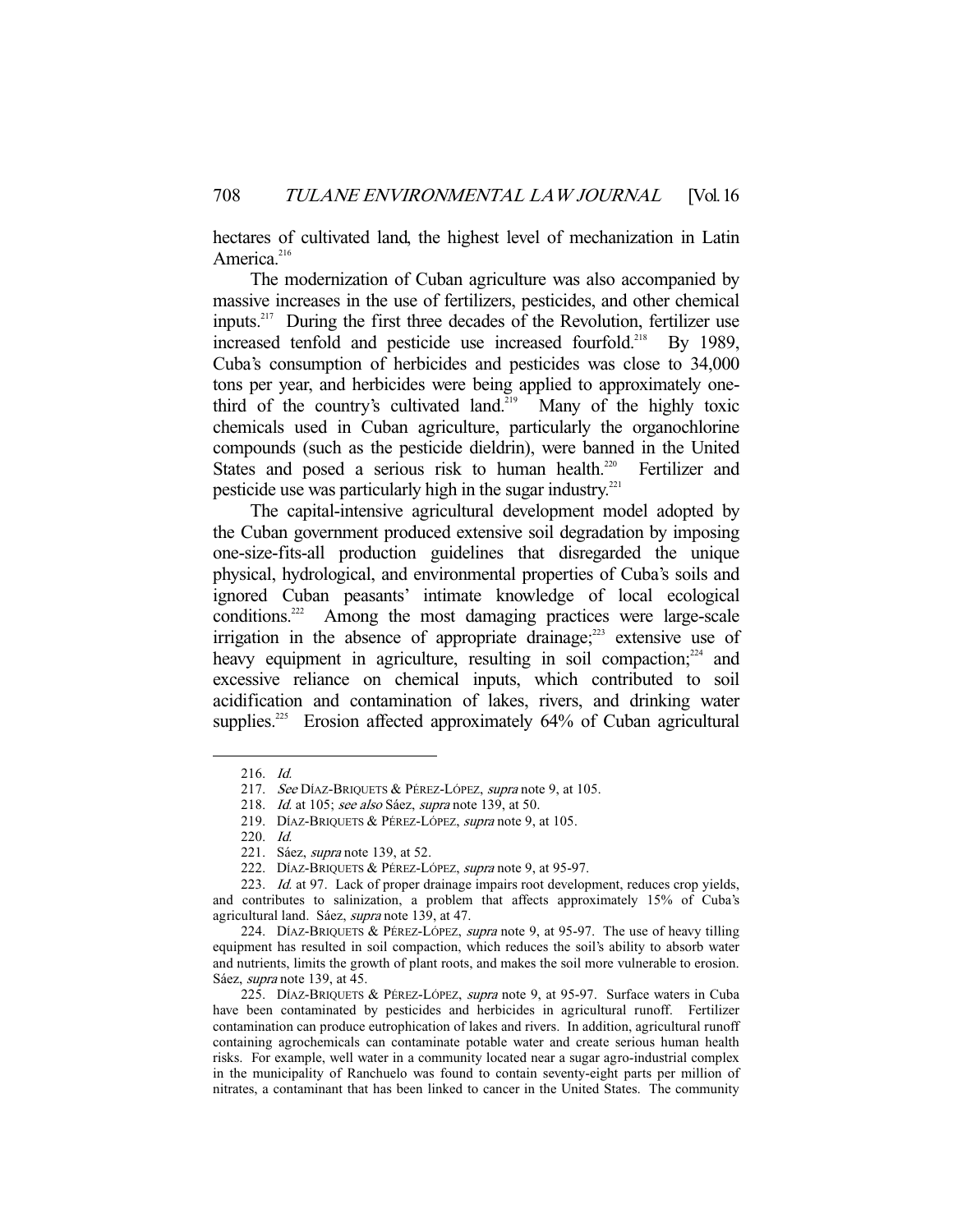hectares of cultivated land, the highest level of mechanization in Latin America.<sup>216</sup>

 The modernization of Cuban agriculture was also accompanied by massive increases in the use of fertilizers, pesticides, and other chemical inputs.<sup>217</sup> During the first three decades of the Revolution, fertilizer use increased tenfold and pesticide use increased fourfold.<sup>218</sup> By 1989, Cuba's consumption of herbicides and pesticides was close to 34,000 tons per year, and herbicides were being applied to approximately onethird of the country's cultivated land.<sup>219</sup> Many of the highly toxic chemicals used in Cuban agriculture, particularly the organochlorine compounds (such as the pesticide dieldrin), were banned in the United States and posed a serious risk to human health.<sup>220</sup> Fertilizer and pesticide use was particularly high in the sugar industry. $221$ 

 The capital-intensive agricultural development model adopted by the Cuban government produced extensive soil degradation by imposing one-size-fits-all production guidelines that disregarded the unique physical, hydrological, and environmental properties of Cuba's soils and ignored Cuban peasants' intimate knowledge of local ecological  $conditions<sup>222</sup>$  Among the most damaging practices were large-scale irrigation in the absence of appropriate drainage; $^{223}$  extensive use of heavy equipment in agriculture, resulting in soil compaction;<sup>224</sup> and excessive reliance on chemical inputs, which contributed to soil acidification and contamination of lakes, rivers, and drinking water supplies.<sup>225</sup> Erosion affected approximately 64% of Cuban agricultural

 <sup>216.</sup> Id.

<sup>217.</sup> See DÍAZ-BRIQUETS & PÉREZ-LÓPEZ, supra note 9, at 105.

<sup>218.</sup> Id. at 105; see also Sáez, supra note 139, at 50.

<sup>219.</sup> DÍAZ-BRIQUETS & PÉREZ-LÓPEZ, supra note 9, at 105.

 <sup>220.</sup> Id.

 <sup>221.</sup> Sáez, supra note 139, at 52.

<sup>222.</sup> DÍAZ-BRIQUETS & PÉREZ-LÓPEZ, supra note 9, at 95-97.

<sup>223.</sup> Id. at 97. Lack of proper drainage impairs root development, reduces crop yields, and contributes to salinization, a problem that affects approximately 15% of Cuba's agricultural land. Sáez, supra note 139, at 47.

<sup>224.</sup> DÍAZ-BRIQUETS & PÉREZ-LÓPEZ, *supra* note 9, at 95-97. The use of heavy tilling equipment has resulted in soil compaction, which reduces the soil's ability to absorb water and nutrients, limits the growth of plant roots, and makes the soil more vulnerable to erosion. Sáez, supra note 139, at 45.

<sup>225.</sup> DÍAZ-BRIQUETS & PÉREZ-LÓPEZ, *supra* note 9, at 95-97. Surface waters in Cuba have been contaminated by pesticides and herbicides in agricultural runoff. Fertilizer contamination can produce eutrophication of lakes and rivers. In addition, agricultural runoff containing agrochemicals can contaminate potable water and create serious human health risks. For example, well water in a community located near a sugar agro-industrial complex in the municipality of Ranchuelo was found to contain seventy-eight parts per million of nitrates, a contaminant that has been linked to cancer in the United States. The community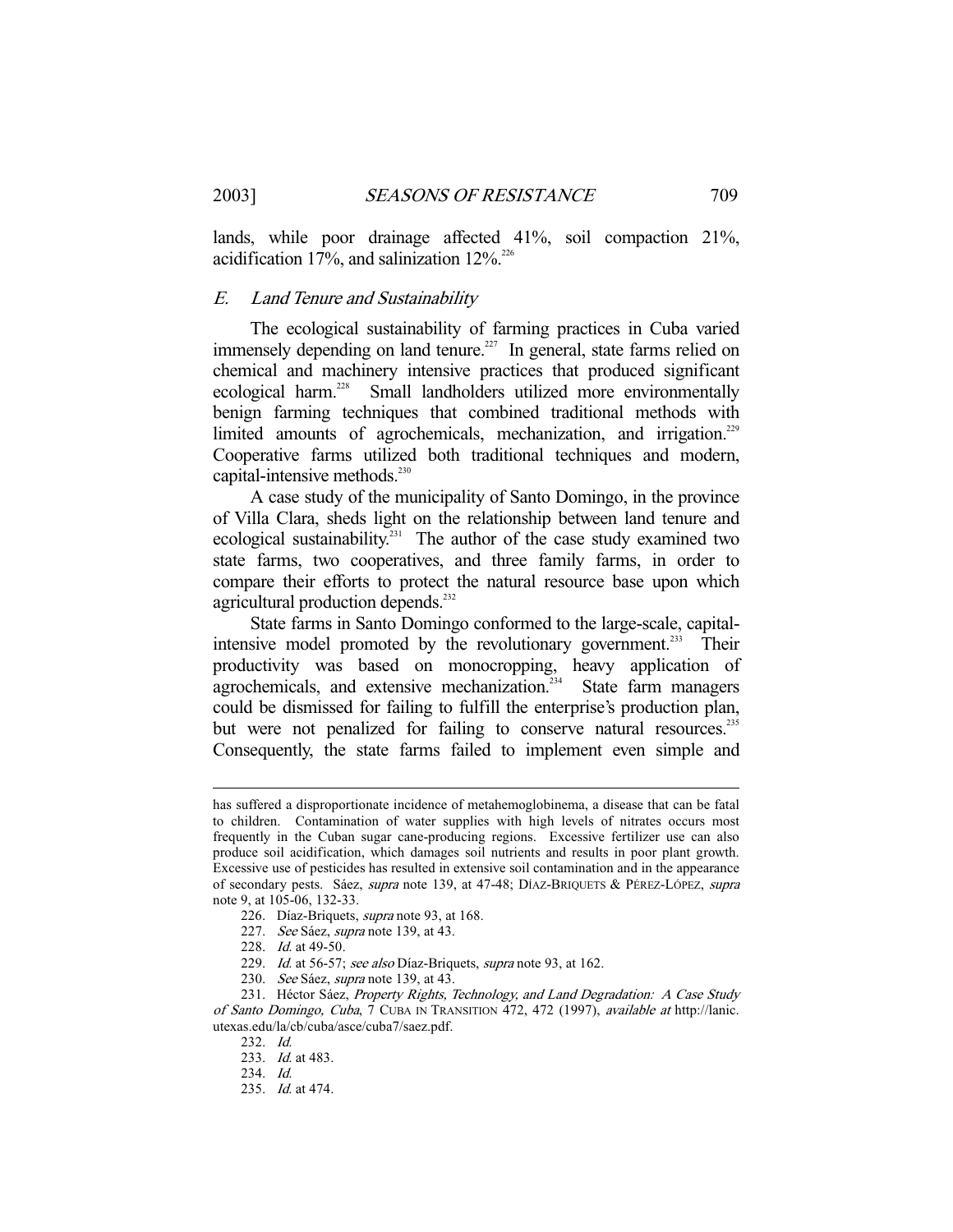lands, while poor drainage affected 41%, soil compaction 21%, acidification 17%, and salinization  $12\%$ <sup>226</sup>

# E. Land Tenure and Sustainability

 The ecological sustainability of farming practices in Cuba varied immensely depending on land tenure.<sup>227</sup> In general, state farms relied on chemical and machinery intensive practices that produced significant ecological harm.228 Small landholders utilized more environmentally benign farming techniques that combined traditional methods with limited amounts of agrochemicals, mechanization, and irrigation.<sup>229</sup> Cooperative farms utilized both traditional techniques and modern, capital-intensive methods.<sup>230</sup>

 A case study of the municipality of Santo Domingo, in the province of Villa Clara, sheds light on the relationship between land tenure and ecological sustainability.<sup>231</sup> The author of the case study examined two state farms, two cooperatives, and three family farms, in order to compare their efforts to protect the natural resource base upon which agricultural production depends.<sup>232</sup>

 State farms in Santo Domingo conformed to the large-scale, capitalintensive model promoted by the revolutionary government.<sup>233</sup> Their productivity was based on monocropping, heavy application of agrochemicals, and extensive mechanization.<sup>234</sup> State farm managers could be dismissed for failing to fulfill the enterprise's production plan, but were not penalized for failing to conserve natural resources.<sup>235</sup> Consequently, the state farms failed to implement even simple and

- 228. Id. at 49-50.
- 229. Id. at 56-57; see also Díaz-Briquets, supra note 93, at 162.
- 230. See Sáez, supra note 139, at 43.

has suffered a disproportionate incidence of metahemoglobinema, a disease that can be fatal to children. Contamination of water supplies with high levels of nitrates occurs most frequently in the Cuban sugar cane-producing regions. Excessive fertilizer use can also produce soil acidification, which damages soil nutrients and results in poor plant growth. Excessive use of pesticides has resulted in extensive soil contamination and in the appearance of secondary pests. Sáez, supra note 139, at 47-48; DÍAZ-BRIQUETS & PÉREZ-LÓPEZ, supra note 9, at 105-06, 132-33.

 <sup>226.</sup> Díaz-Briquets, supra note 93, at 168.

<sup>227.</sup> See Sáez, supra note 139, at 43.

<sup>231.</sup> Héctor Sáez, Property Rights, Technology, and Land Degradation: A Case Study of Santo Domingo, Cuba, 7 CUBA IN TRANSITION 472, 472 (1997), available at http://lanic. utexas.edu/la/cb/cuba/asce/cuba7/saez.pdf.

 <sup>232.</sup> Id.

<sup>233.</sup> *Id.* at 483.

 <sup>234.</sup> Id.

 <sup>235.</sup> Id. at 474.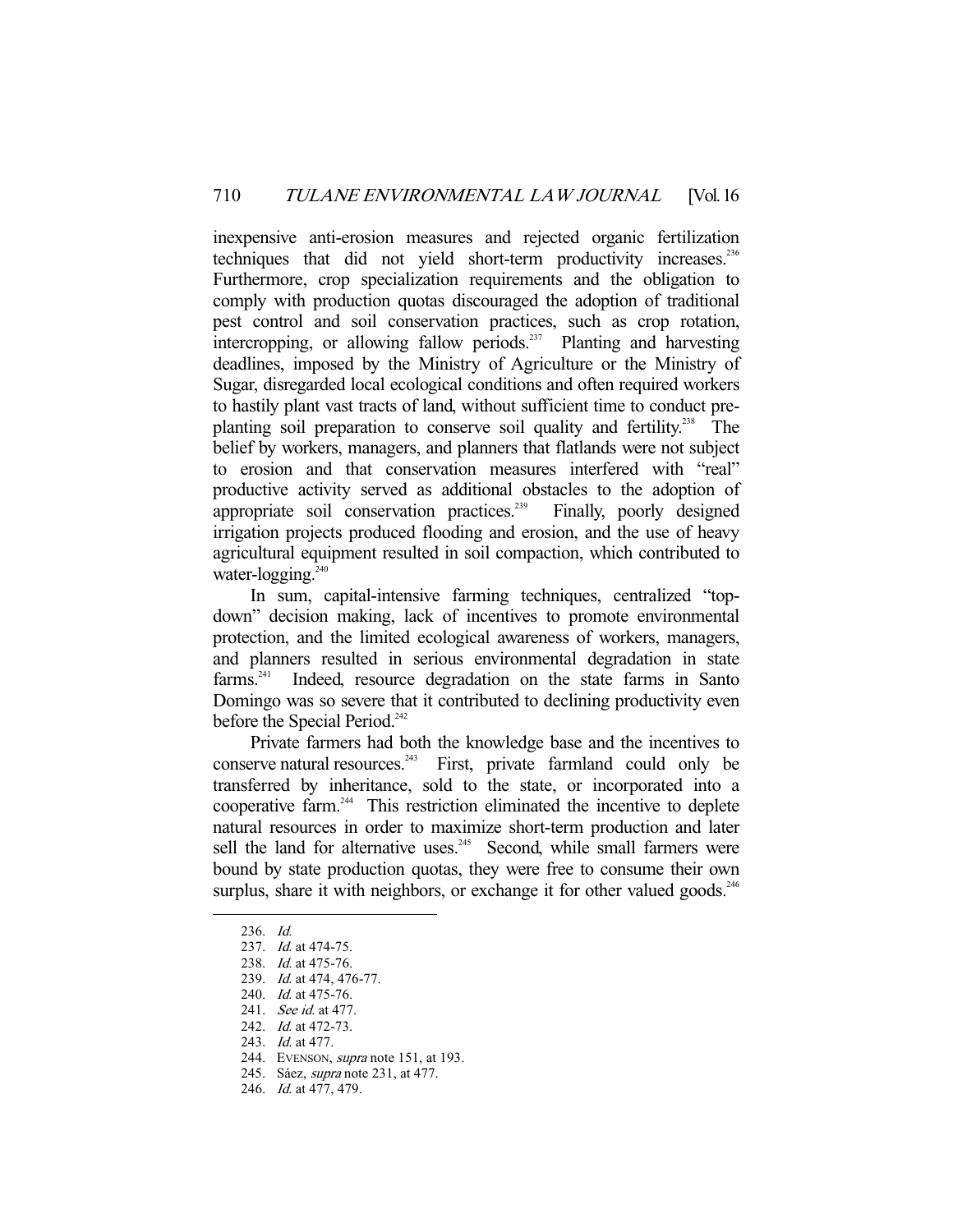inexpensive anti-erosion measures and rejected organic fertilization techniques that did not yield short-term productivity increases.<sup>236</sup> Furthermore, crop specialization requirements and the obligation to comply with production quotas discouraged the adoption of traditional pest control and soil conservation practices, such as crop rotation, intercropping, or allowing fallow periods.<sup>237</sup> Planting and harvesting deadlines, imposed by the Ministry of Agriculture or the Ministry of Sugar, disregarded local ecological conditions and often required workers to hastily plant vast tracts of land, without sufficient time to conduct preplanting soil preparation to conserve soil quality and fertility.<sup>238</sup> The belief by workers, managers, and planners that flatlands were not subject to erosion and that conservation measures interfered with "real" productive activity served as additional obstacles to the adoption of appropriate soil conservation practices.<sup>239</sup> Finally, poorly designed irrigation projects produced flooding and erosion, and the use of heavy agricultural equipment resulted in soil compaction, which contributed to water-logging.<sup>240</sup>

 In sum, capital-intensive farming techniques, centralized "topdown" decision making, lack of incentives to promote environmental protection, and the limited ecological awareness of workers, managers, and planners resulted in serious environmental degradation in state farms.241 Indeed, resource degradation on the state farms in Santo Domingo was so severe that it contributed to declining productivity even before the Special Period.<sup>242</sup>

 Private farmers had both the knowledge base and the incentives to conserve natural resources.<sup>243</sup> First, private farmland could only be transferred by inheritance, sold to the state, or incorporated into a cooperative farm.244 This restriction eliminated the incentive to deplete natural resources in order to maximize short-term production and later sell the land for alternative uses. $245$  Second, while small farmers were bound by state production quotas, they were free to consume their own surplus, share it with neighbors, or exchange it for other valued goods.<sup>246</sup>

-

240. Id. at 475-76.

 <sup>236.</sup> Id.

<sup>237.</sup> *Id.* at 474-75.

 <sup>238.</sup> Id. at 475-76.

<sup>239.</sup> *Id.* at 474, 476-77.

 <sup>241.</sup> See id. at 477.

<sup>242.</sup> *Id.* at 472-73.

 <sup>243.</sup> Id. at 477.

<sup>244.</sup> EVENSON, *supra* note 151, at 193.

 <sup>245.</sup> Sáez, supra note 231, at 477.

 <sup>246.</sup> Id. at 477, 479.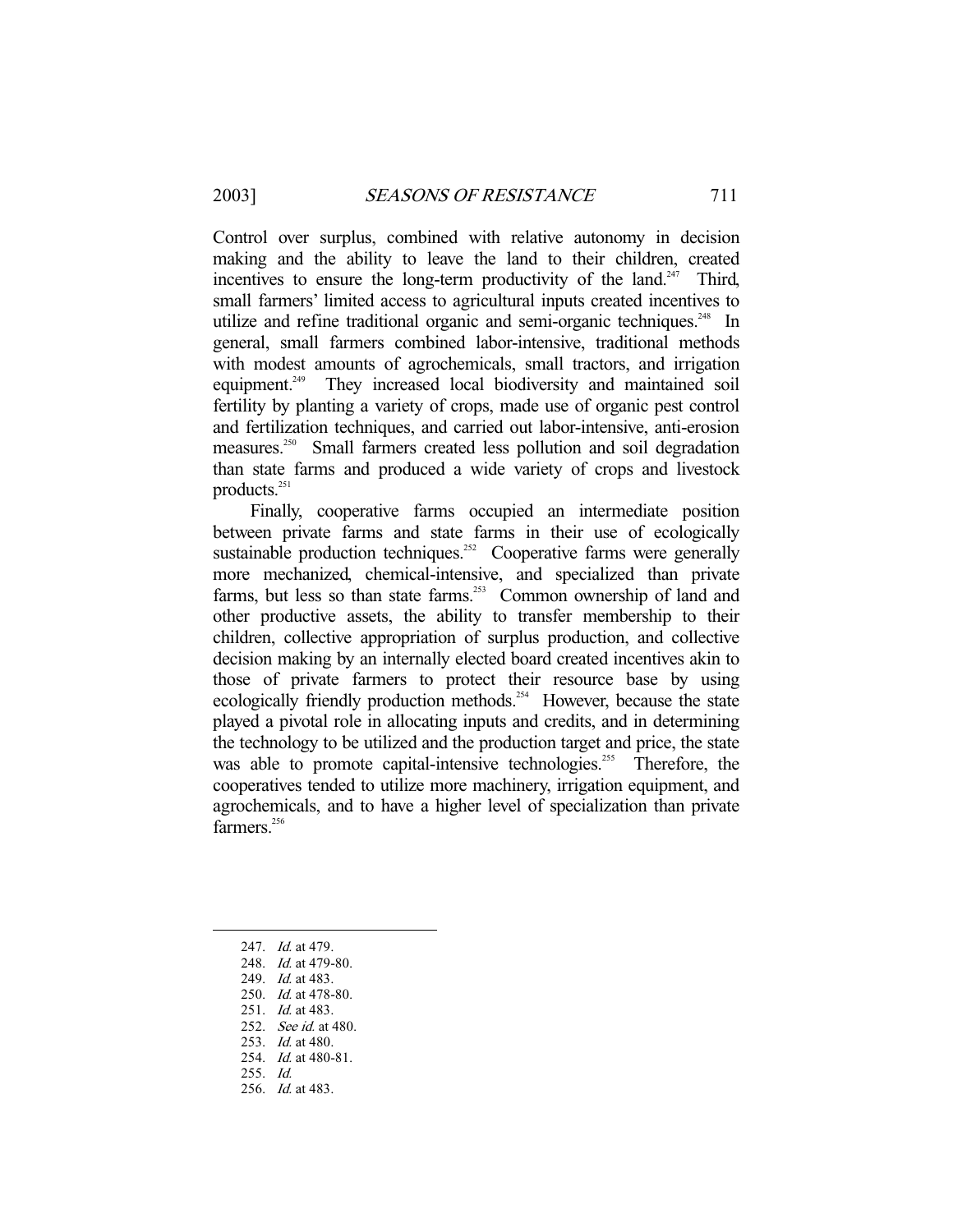Control over surplus, combined with relative autonomy in decision making and the ability to leave the land to their children, created incentives to ensure the long-term productivity of the land.<sup>247</sup> Third, small farmers' limited access to agricultural inputs created incentives to utilize and refine traditional organic and semi-organic techniques.<sup>248</sup> In general, small farmers combined labor-intensive, traditional methods with modest amounts of agrochemicals, small tractors, and irrigation equipment.<sup>249</sup> They increased local biodiversity and maintained soil fertility by planting a variety of crops, made use of organic pest control and fertilization techniques, and carried out labor-intensive, anti-erosion measures.250 Small farmers created less pollution and soil degradation than state farms and produced a wide variety of crops and livestock products.251

 Finally, cooperative farms occupied an intermediate position between private farms and state farms in their use of ecologically sustainable production techniques.<sup>252</sup> Cooperative farms were generally more mechanized, chemical-intensive, and specialized than private farms, but less so than state farms.<sup>253</sup> Common ownership of land and other productive assets, the ability to transfer membership to their children, collective appropriation of surplus production, and collective decision making by an internally elected board created incentives akin to those of private farmers to protect their resource base by using ecologically friendly production methods.<sup>254</sup> However, because the state played a pivotal role in allocating inputs and credits, and in determining the technology to be utilized and the production target and price, the state was able to promote capital-intensive technologies.<sup>255</sup> Therefore, the cooperatives tended to utilize more machinery, irrigation equipment, and agrochemicals, and to have a higher level of specialization than private farmers.<sup>256</sup>

-

253. *Id.* at 480.

 <sup>247.</sup> Id. at 479.

<sup>248.</sup> *Id.* at 479-80.

<sup>249.</sup> *Id.* at 483.

 <sup>250.</sup> Id. at 478-80.

<sup>251.</sup> *Id.* at 483.

<sup>252.</sup> See id. at 480.

<sup>254.</sup> *Id.* at 480-81.

 <sup>255.</sup> Id.

 <sup>256.</sup> Id. at 483.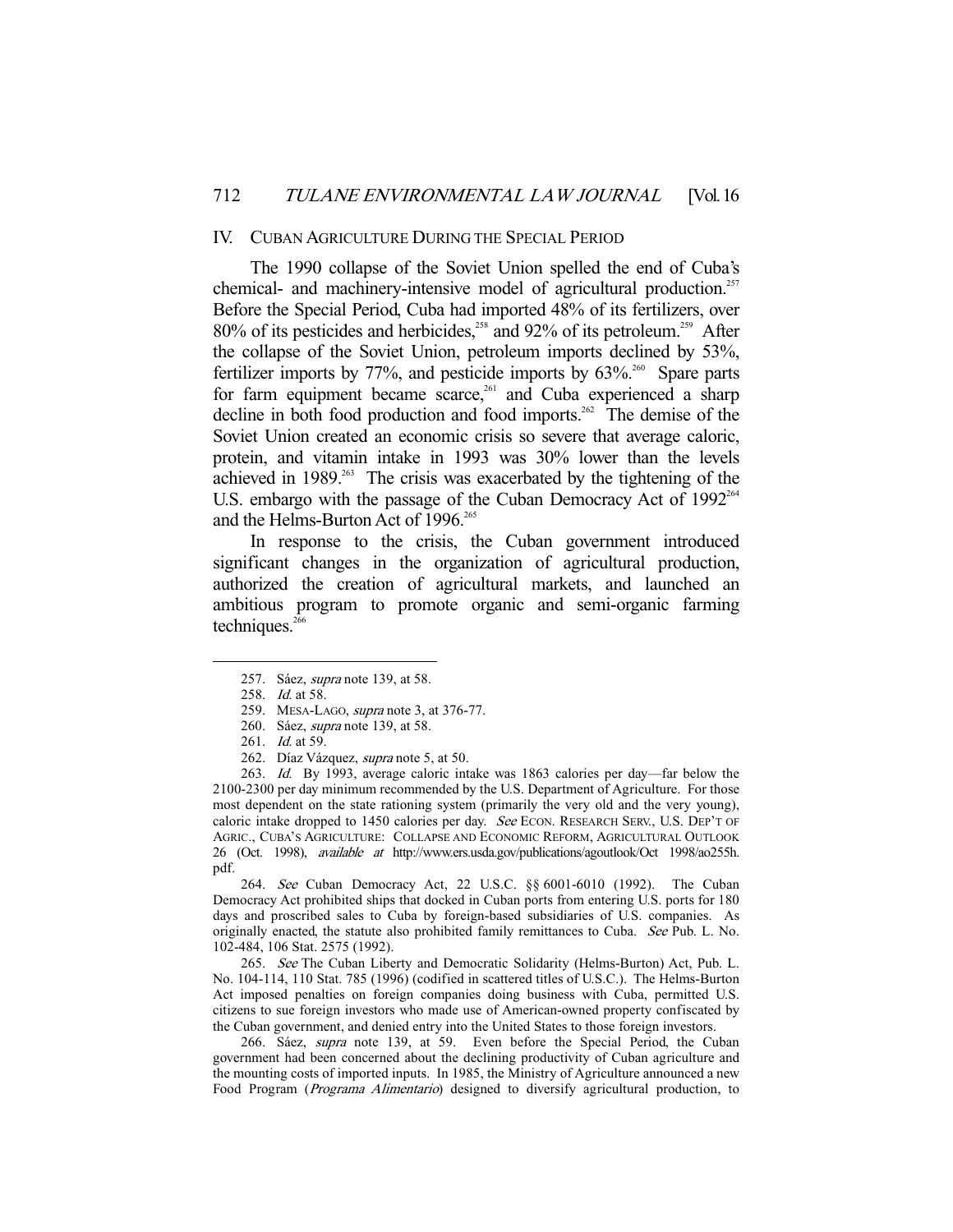#### IV. CUBAN AGRICULTURE DURING THE SPECIAL PERIOD

 The 1990 collapse of the Soviet Union spelled the end of Cuba's chemical- and machinery-intensive model of agricultural production.<sup>257</sup> Before the Special Period, Cuba had imported 48% of its fertilizers, over 80% of its pesticides and herbicides,<sup>258</sup> and 92% of its petroleum.<sup>259</sup> After the collapse of the Soviet Union, petroleum imports declined by 53%, fertilizer imports by  $77\%$ , and pesticide imports by  $63\%$ <sup>260</sup> Spare parts for farm equipment became scarce,<sup>261</sup> and Cuba experienced a sharp decline in both food production and food imports.<sup>262</sup> The demise of the Soviet Union created an economic crisis so severe that average caloric, protein, and vitamin intake in 1993 was 30% lower than the levels achieved in 1989.<sup>263</sup> The crisis was exacerbated by the tightening of the U.S. embargo with the passage of the Cuban Democracy Act of  $1992<sup>264</sup>$ and the Helms-Burton Act of 1996.<sup>265</sup>

 In response to the crisis, the Cuban government introduced significant changes in the organization of agricultural production, authorized the creation of agricultural markets, and launched an ambitious program to promote organic and semi-organic farming techniques.<sup>266</sup>

-

 263. Id. By 1993, average caloric intake was 1863 calories per day—far below the 2100-2300 per day minimum recommended by the U.S. Department of Agriculture. For those most dependent on the state rationing system (primarily the very old and the very young), caloric intake dropped to 1450 calories per day. See ECON. RESEARCH SERV., U.S. DEP'T OF AGRIC., CUBA'S AGRICULTURE: COLLAPSE AND ECONOMIC REFORM, AGRICULTURAL OUTLOOK 26 (Oct. 1998), available at http://www.ers.usda.gov/publications/agoutlook/Oct 1998/ao255h. pdf.

 264. See Cuban Democracy Act, 22 U.S.C. §§ 6001-6010 (1992). The Cuban Democracy Act prohibited ships that docked in Cuban ports from entering U.S. ports for 180 days and proscribed sales to Cuba by foreign-based subsidiaries of U.S. companies. As originally enacted, the statute also prohibited family remittances to Cuba. See Pub. L. No. 102-484, 106 Stat. 2575 (1992).

265. See The Cuban Liberty and Democratic Solidarity (Helms-Burton) Act, Pub. L. No. 104-114, 110 Stat. 785 (1996) (codified in scattered titles of U.S.C.). The Helms-Burton Act imposed penalties on foreign companies doing business with Cuba, permitted U.S. citizens to sue foreign investors who made use of American-owned property confiscated by the Cuban government, and denied entry into the United States to those foreign investors.

266. Sáez, supra note 139, at 59. Even before the Special Period, the Cuban government had been concerned about the declining productivity of Cuban agriculture and the mounting costs of imported inputs. In 1985, the Ministry of Agriculture announced a new Food Program (Programa Alimentario) designed to diversify agricultural production, to

 <sup>257.</sup> Sáez, supra note 139, at 58.

 <sup>258.</sup> Id. at 58.

 <sup>259.</sup> MESA-LAGO, supra note 3, at 376-77.

 <sup>260.</sup> Sáez, supra note 139, at 58.

<sup>261.</sup> *Id.* at 59.

 <sup>262.</sup> Díaz Vázquez, supra note 5, at 50.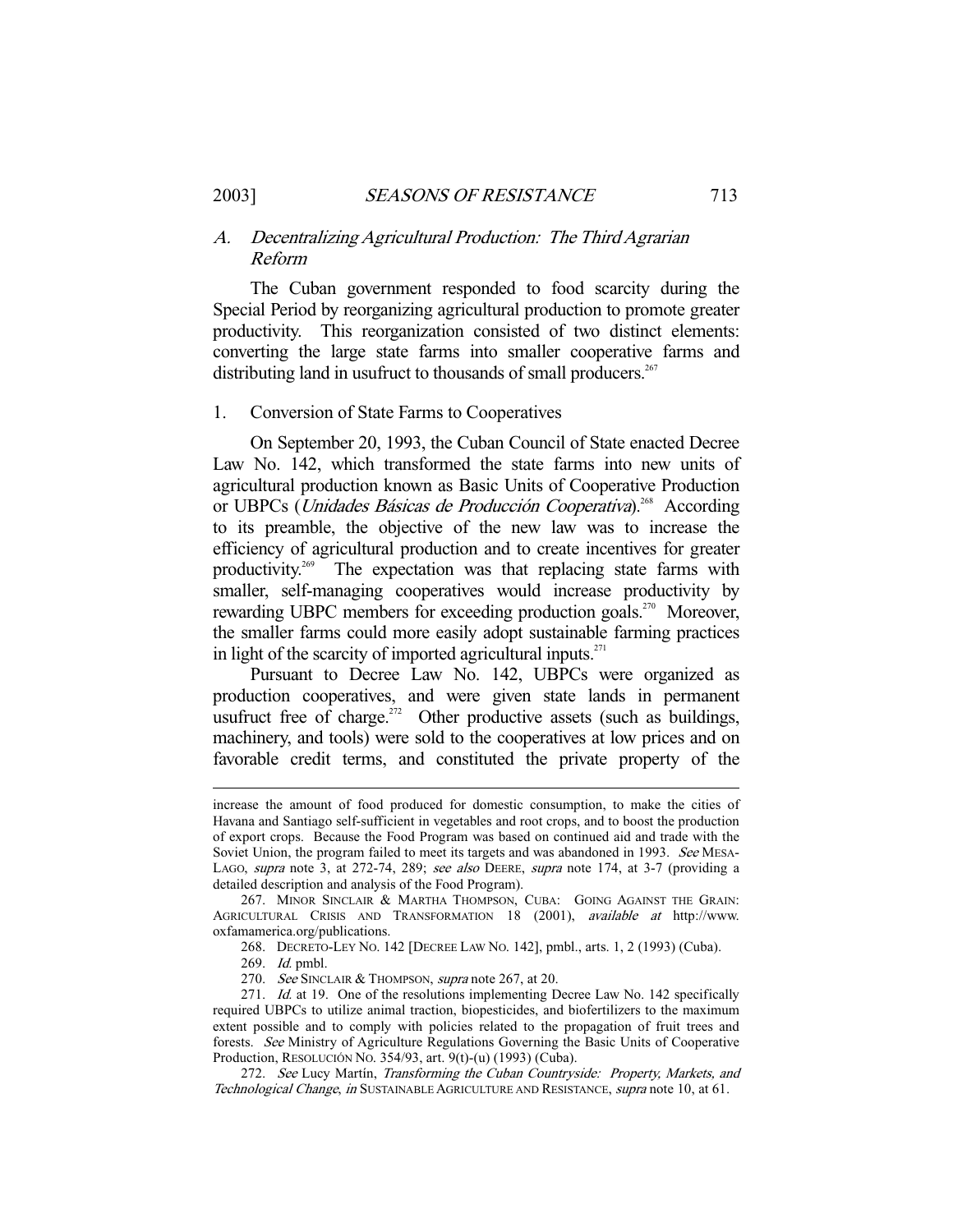# A. Decentralizing Agricultural Production: The Third Agrarian Reform

 The Cuban government responded to food scarcity during the Special Period by reorganizing agricultural production to promote greater productivity. This reorganization consisted of two distinct elements: converting the large state farms into smaller cooperative farms and distributing land in usufruct to thousands of small producers.<sup>267</sup>

# 1. Conversion of State Farms to Cooperatives

 On September 20, 1993, the Cuban Council of State enacted Decree Law No. 142, which transformed the state farms into new units of agricultural production known as Basic Units of Cooperative Production or UBPCs (*Unidades Básicas de Producción Cooperativa*).<sup>268</sup> According to its preamble, the objective of the new law was to increase the efficiency of agricultural production and to create incentives for greater productivity.269 The expectation was that replacing state farms with smaller, self-managing cooperatives would increase productivity by rewarding UBPC members for exceeding production goals.<sup>270</sup> Moreover, the smaller farms could more easily adopt sustainable farming practices in light of the scarcity of imported agricultural inputs. $271$ 

 Pursuant to Decree Law No. 142, UBPCs were organized as production cooperatives, and were given state lands in permanent usufruct free of charge.<sup>272</sup> Other productive assets (such as buildings, machinery, and tools) were sold to the cooperatives at low prices and on favorable credit terms, and constituted the private property of the

268. DECRETO-LEY NO. 142 [DECREE LAW NO. 142], pmbl., arts. 1, 2 (1993) (Cuba).

increase the amount of food produced for domestic consumption, to make the cities of Havana and Santiago self-sufficient in vegetables and root crops, and to boost the production of export crops. Because the Food Program was based on continued aid and trade with the Soviet Union, the program failed to meet its targets and was abandoned in 1993. See MESA-LAGO, supra note 3, at 272-74, 289; see also DEERE, supra note 174, at 3-7 (providing a detailed description and analysis of the Food Program).

<sup>267.</sup> MINOR SINCLAIR & MARTHA THOMPSON, CUBA: GOING AGAINST THE GRAIN: AGRICULTURAL CRISIS AND TRANSFORMATION 18 (2001), available at http://www. oxfamamerica.org/publications.

 <sup>269.</sup> Id. pmbl.

<sup>270.</sup> See SINCLAIR & THOMPSON, supra note 267, at 20.

<sup>271.</sup> *Id.* at 19. One of the resolutions implementing Decree Law No. 142 specifically required UBPCs to utilize animal traction, biopesticides, and biofertilizers to the maximum extent possible and to comply with policies related to the propagation of fruit trees and forests. See Ministry of Agriculture Regulations Governing the Basic Units of Cooperative Production, RESOLUCIÓN NO. 354/93, art. 9(t)-(u) (1993) (Cuba).

<sup>272.</sup> See Lucy Martín, Transforming the Cuban Countryside: Property, Markets, and Technological Change, in SUSTAINABLE AGRICULTURE AND RESISTANCE, supra note 10, at 61.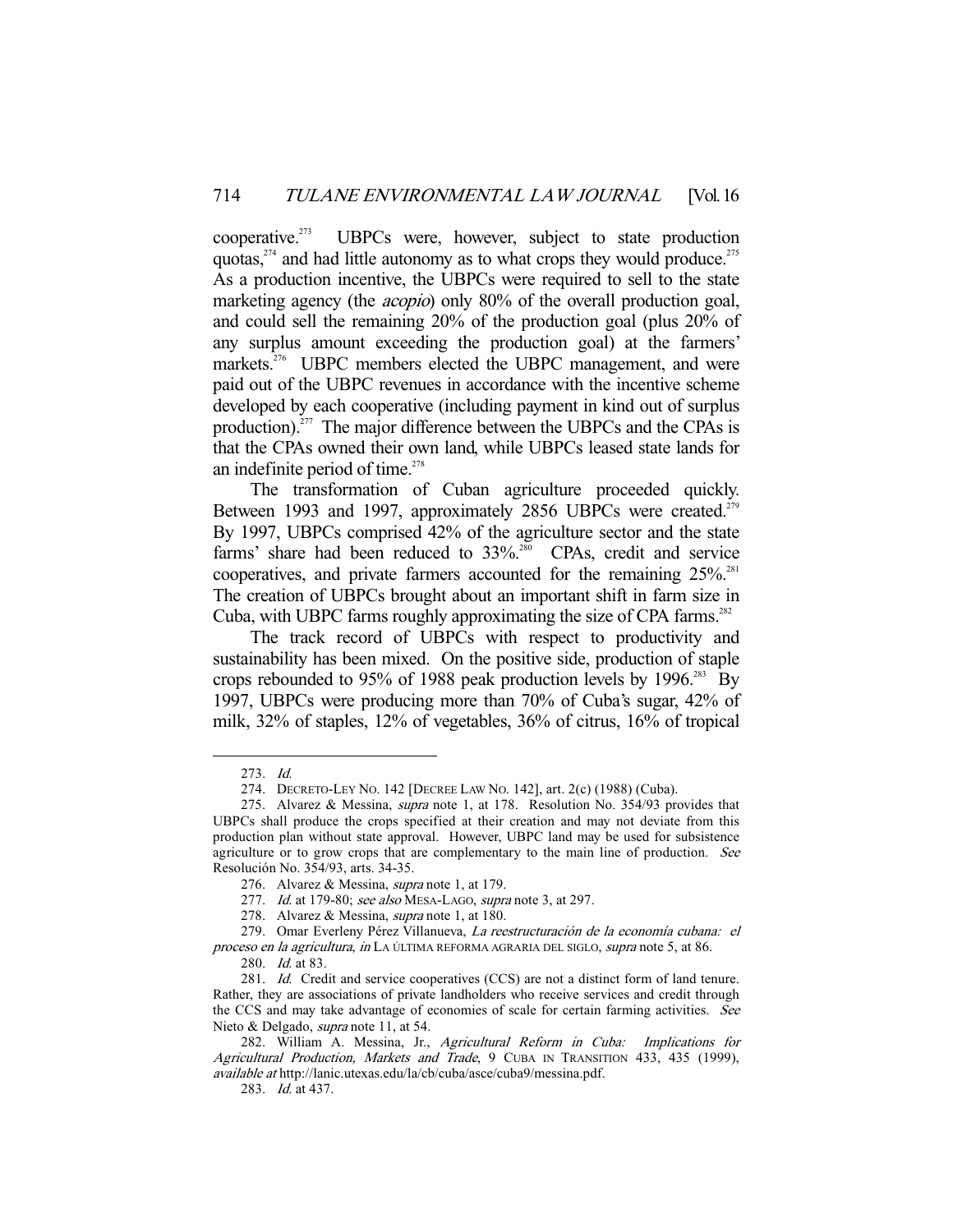cooperative.<sup>273</sup> UBPCs were, however, subject to state production quotas, $274$  and had little autonomy as to what crops they would produce.<sup>275</sup> As a production incentive, the UBPCs were required to sell to the state marketing agency (the *acopio*) only 80% of the overall production goal, and could sell the remaining 20% of the production goal (plus 20% of any surplus amount exceeding the production goal) at the farmers' markets.<sup>276</sup> UBPC members elected the UBPC management, and were paid out of the UBPC revenues in accordance with the incentive scheme developed by each cooperative (including payment in kind out of surplus production).<sup>277</sup> The major difference between the UBPCs and the CPAs is that the CPAs owned their own land, while UBPCs leased state lands for an indefinite period of time. $278$ 

 The transformation of Cuban agriculture proceeded quickly. Between 1993 and 1997, approximately 2856 UBPCs were created.<sup>279</sup> By 1997, UBPCs comprised 42% of the agriculture sector and the state farms' share had been reduced to  $33\%$ <sup>280</sup> CPAs, credit and service cooperatives, and private farmers accounted for the remaining 25%.<sup>281</sup> The creation of UBPCs brought about an important shift in farm size in Cuba, with UBPC farms roughly approximating the size of CPA farms. $282$ 

 The track record of UBPCs with respect to productivity and sustainability has been mixed. On the positive side, production of staple crops rebounded to 95% of 1988 peak production levels by 1996. $^{283}$  By 1997, UBPCs were producing more than 70% of Cuba's sugar, 42% of milk, 32% of staples, 12% of vegetables, 36% of citrus, 16% of tropical

 <sup>273.</sup> Id.

 <sup>274.</sup> DECRETO-LEY NO. 142 [DECREE LAW NO. 142], art. 2(c) (1988) (Cuba).

<sup>275.</sup> Alvarez & Messina, *supra* note 1, at 178. Resolution No. 354/93 provides that UBPCs shall produce the crops specified at their creation and may not deviate from this production plan without state approval. However, UBPC land may be used for subsistence agriculture or to grow crops that are complementary to the main line of production. See Resolución No. 354/93, arts. 34-35.

 <sup>276.</sup> Alvarez & Messina, supra note 1, at 179.

<sup>277.</sup> Id. at 179-80; see also MESA-LAGO, supra note 3, at 297.

<sup>278.</sup> Alvarez & Messina, *supra* note 1, at 180.

<sup>279.</sup> Omar Everleny Pérez Villanueva, La reestructuración de la economía cubana: el proceso en la agricultura, in LA ÚLTIMA REFORMA AGRARIA DEL SIGLO, supra note 5, at 86.

 <sup>280.</sup> Id. at 83.

<sup>281.</sup> Id. Credit and service cooperatives (CCS) are not a distinct form of land tenure. Rather, they are associations of private landholders who receive services and credit through the CCS and may take advantage of economies of scale for certain farming activities. See Nieto & Delgado, *supra* note 11, at 54.

<sup>282.</sup> William A. Messina, Jr., Agricultural Reform in Cuba: Implications for Agricultural Production, Markets and Trade, 9 CUBA IN TRANSITION 433, 435 (1999), available at http://lanic.utexas.edu/la/cb/cuba/asce/cuba9/messina.pdf.

 <sup>283.</sup> Id. at 437.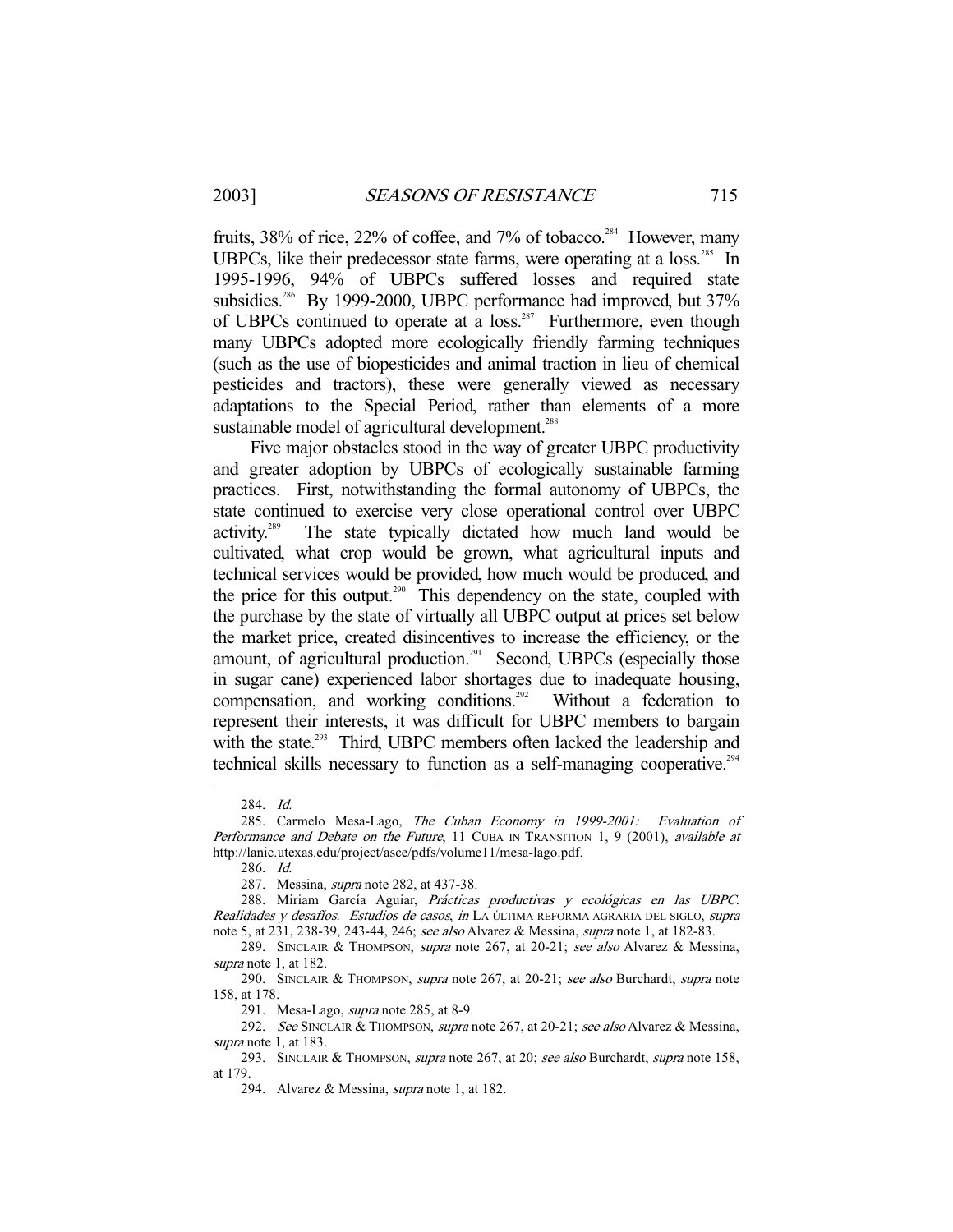fruits,  $38\%$  of rice,  $22\%$  of coffee, and  $7\%$  of tobacco.<sup>284</sup> However, many UBPCs, like their predecessor state farms, were operating at a loss.<sup>285</sup> In 1995-1996, 94% of UBPCs suffered losses and required state subsidies.<sup>286</sup> By 1999-2000, UBPC performance had improved, but 37% of UBPCs continued to operate at a loss.287 Furthermore, even though many UBPCs adopted more ecologically friendly farming techniques (such as the use of biopesticides and animal traction in lieu of chemical pesticides and tractors), these were generally viewed as necessary adaptations to the Special Period, rather than elements of a more sustainable model of agricultural development.<sup>288</sup>

 Five major obstacles stood in the way of greater UBPC productivity and greater adoption by UBPCs of ecologically sustainable farming practices. First, notwithstanding the formal autonomy of UBPCs, the state continued to exercise very close operational control over UBPC activity.289 The state typically dictated how much land would be cultivated, what crop would be grown, what agricultural inputs and technical services would be provided, how much would be produced, and the price for this output.<sup>290</sup> This dependency on the state, coupled with the purchase by the state of virtually all UBPC output at prices set below the market price, created disincentives to increase the efficiency, or the amount, of agricultural production.<sup>291</sup> Second, UBPCs (especially those in sugar cane) experienced labor shortages due to inadequate housing, compensation, and working conditions.<sup>292</sup> Without a federation to represent their interests, it was difficult for UBPC members to bargain with the state.<sup>293</sup> Third, UBPC members often lacked the leadership and technical skills necessary to function as a self-managing cooperative.<sup>294</sup>

 <sup>284.</sup> Id.

<sup>285.</sup> Carmelo Mesa-Lago, The Cuban Economy in 1999-2001: Evaluation of Performance and Debate on the Future, 11 CUBA IN TRANSITION 1, 9 (2001), available at http://lanic.utexas.edu/project/asce/pdfs/volume11/mesa-lago.pdf.

 <sup>286.</sup> Id.

 <sup>287.</sup> Messina, supra note 282, at 437-38.

 <sup>288.</sup> Miriam García Aguiar, Prácticas productivas y ecológicas en las UBPC. Realidades y desafíos. Estudios de casos, in LA ÚLTIMA REFORMA AGRARIA DEL SIGLO, supra note 5, at 231, 238-39, 243-44, 246; see also Alvarez & Messina, supra note 1, at 182-83.

<sup>289.</sup> SINCLAIR & THOMPSON, supra note 267, at 20-21; see also Alvarez & Messina, supra note 1, at 182.

<sup>290.</sup> SINCLAIR & THOMPSON, supra note 267, at 20-21; see also Burchardt, supra note 158, at 178.

<sup>291.</sup> Mesa-Lago, *supra* note 285, at 8-9.

<sup>292.</sup> See SINCLAIR & THOMPSON, *supra* note 267, at 20-21; see also Alvarez & Messina, supra note 1, at 183.

<sup>293.</sup> SINCLAIR & THOMPSON, supra note 267, at 20; see also Burchardt, supra note 158, at 179.

<sup>294.</sup> Alvarez & Messina, *supra* note 1, at 182.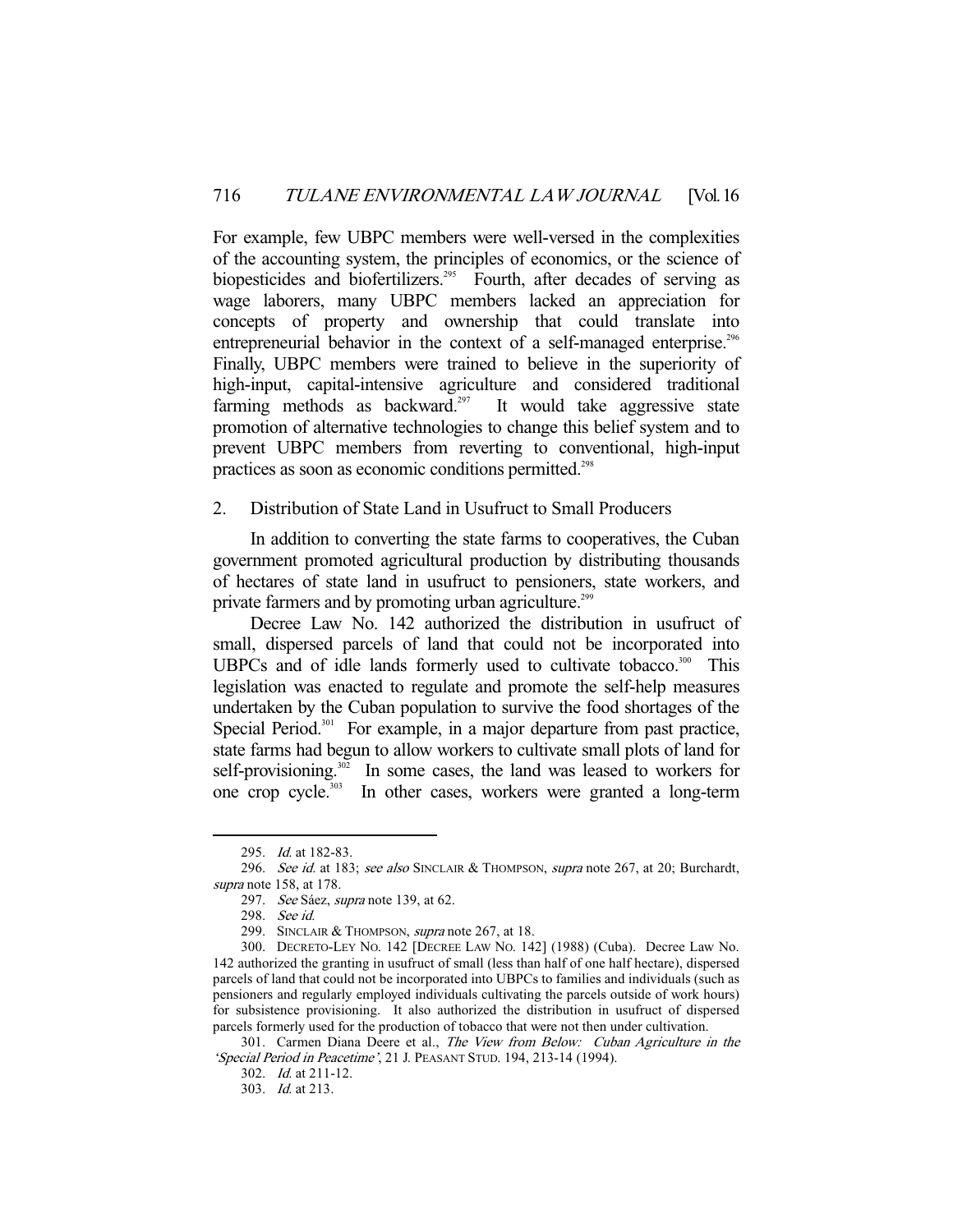For example, few UBPC members were well-versed in the complexities of the accounting system, the principles of economics, or the science of biopesticides and biofertilizers.<sup>295</sup> Fourth, after decades of serving as wage laborers, many UBPC members lacked an appreciation for concepts of property and ownership that could translate into entrepreneurial behavior in the context of a self-managed enterprise.<sup>296</sup> Finally, UBPC members were trained to believe in the superiority of high-input, capital-intensive agriculture and considered traditional farming methods as backward. $297$  It would take aggressive state promotion of alternative technologies to change this belief system and to prevent UBPC members from reverting to conventional, high-input practices as soon as economic conditions permitted.<sup>298</sup>

# 2. Distribution of State Land in Usufruct to Small Producers

 In addition to converting the state farms to cooperatives, the Cuban government promoted agricultural production by distributing thousands of hectares of state land in usufruct to pensioners, state workers, and private farmers and by promoting urban agriculture.<sup>299</sup>

 Decree Law No. 142 authorized the distribution in usufruct of small, dispersed parcels of land that could not be incorporated into UBPCs and of idle lands formerly used to cultivate tobacco.<sup>300</sup> This legislation was enacted to regulate and promote the self-help measures undertaken by the Cuban population to survive the food shortages of the Special Period.<sup>301</sup> For example, in a major departure from past practice, state farms had begun to allow workers to cultivate small plots of land for self-provisioning.<sup>302</sup> In some cases, the land was leased to workers for one crop cycle.303 In other cases, workers were granted a long-term

<sup>295.</sup> *Id.* at 182-83.

<sup>296.</sup> See id. at 183; see also SINCLAIR & THOMPSON, supra note 267, at 20; Burchardt, supra note 158, at 178.

 <sup>297.</sup> See Sáez, supra note 139, at 62.

 <sup>298.</sup> See id.

<sup>299.</sup> SINCLAIR & THOMPSON, *supra* note 267, at 18.

 <sup>300.</sup> DECRETO-LEY NO. 142 [DECREE LAW NO. 142] (1988) (Cuba). Decree Law No. 142 authorized the granting in usufruct of small (less than half of one half hectare), dispersed parcels of land that could not be incorporated into UBPCs to families and individuals (such as pensioners and regularly employed individuals cultivating the parcels outside of work hours) for subsistence provisioning. It also authorized the distribution in usufruct of dispersed parcels formerly used for the production of tobacco that were not then under cultivation.

<sup>301.</sup> Carmen Diana Deere et al., The View from Below: Cuban Agriculture in the 'Special Period in Peacetime', 21 J. PEASANT STUD. 194, 213-14 (1994).

 <sup>302.</sup> Id. at 211-12.

 <sup>303.</sup> Id. at 213.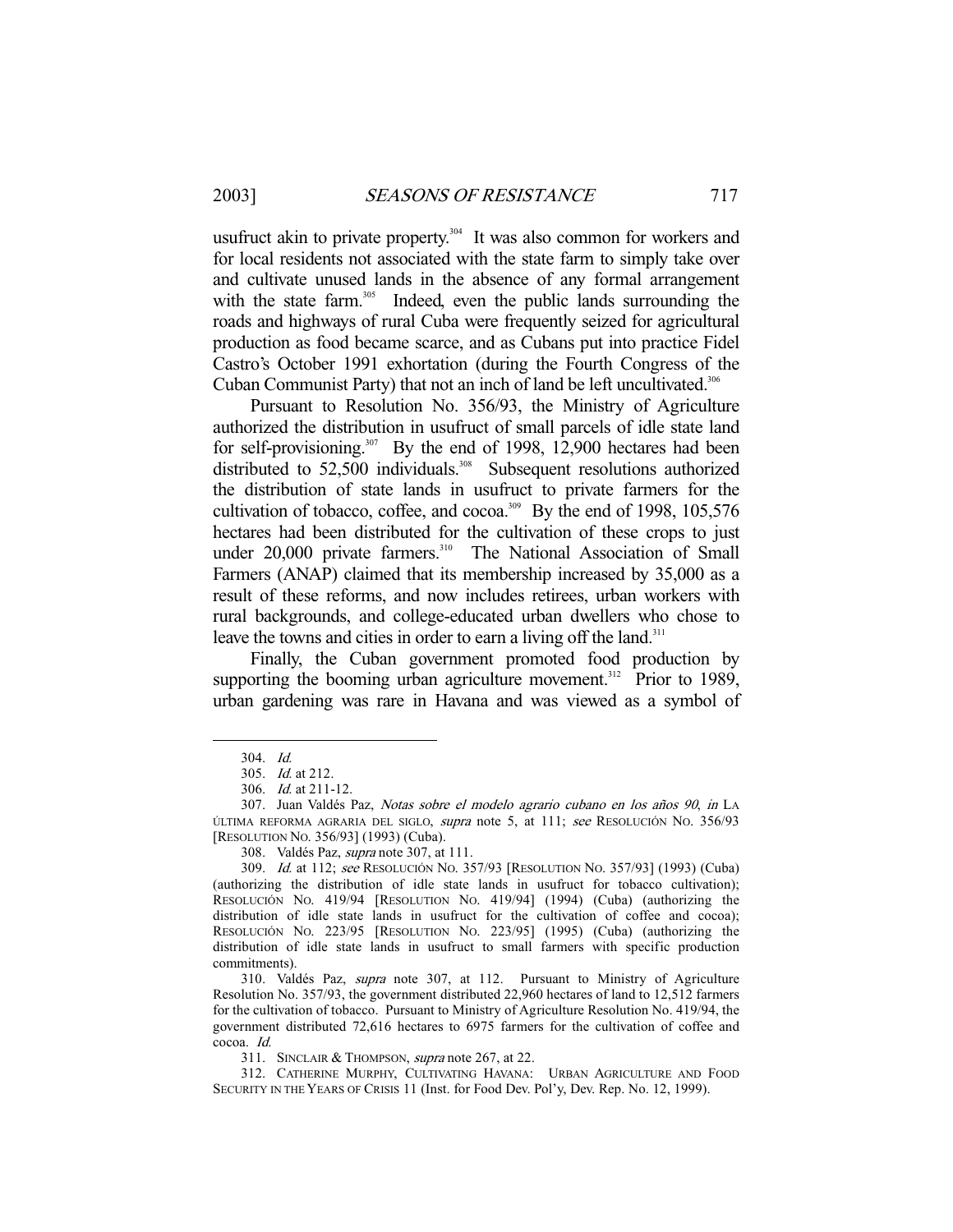usufruct akin to private property.<sup>304</sup> It was also common for workers and for local residents not associated with the state farm to simply take over and cultivate unused lands in the absence of any formal arrangement with the state farm.<sup>305</sup> Indeed, even the public lands surrounding the roads and highways of rural Cuba were frequently seized for agricultural production as food became scarce, and as Cubans put into practice Fidel Castro's October 1991 exhortation (during the Fourth Congress of the Cuban Communist Party) that not an inch of land be left uncultivated.<sup>306</sup>

 Pursuant to Resolution No. 356/93, the Ministry of Agriculture authorized the distribution in usufruct of small parcels of idle state land for self-provisioning.<sup>307</sup> By the end of 1998, 12,900 hectares had been distributed to 52,500 individuals.<sup>308</sup> Subsequent resolutions authorized the distribution of state lands in usufruct to private farmers for the cultivation of tobacco, coffee, and cocoa.<sup>309</sup> By the end of 1998, 105,576 hectares had been distributed for the cultivation of these crops to just under  $20,000$  private farmers.<sup>310</sup> The National Association of Small Farmers (ANAP) claimed that its membership increased by 35,000 as a result of these reforms, and now includes retirees, urban workers with rural backgrounds, and college-educated urban dwellers who chose to leave the towns and cities in order to earn a living off the land.<sup>311</sup>

 Finally, the Cuban government promoted food production by supporting the booming urban agriculture movement.<sup>312</sup> Prior to 1989, urban gardening was rare in Havana and was viewed as a symbol of

-

308. Valdés Paz, *supra* note 307, at 111.

311. SINCLAIR & THOMPSON, supra note 267, at 22.

 <sup>304.</sup> Id.

 <sup>305.</sup> Id. at 212.

 <sup>306.</sup> Id. at 211-12.

 <sup>307.</sup> Juan Valdés Paz, Notas sobre el modelo agrario cubano en los años 90, in LA ÚLTIMA REFORMA AGRARIA DEL SIGLO, supra note 5, at 111; see RESOLUCIÓN NO. 356/93 [RESOLUTION NO. 356/93] (1993) (Cuba).

 <sup>309.</sup> Id. at 112; see RESOLUCIÓN NO. 357/93 [RESOLUTION NO. 357/93] (1993) (Cuba) (authorizing the distribution of idle state lands in usufruct for tobacco cultivation); RESOLUCIÓN NO. 419/94 [RESOLUTION NO. 419/94] (1994) (Cuba) (authorizing the distribution of idle state lands in usufruct for the cultivation of coffee and cocoa); RESOLUCIÓN NO. 223/95 [RESOLUTION NO. 223/95] (1995) (Cuba) (authorizing the distribution of idle state lands in usufruct to small farmers with specific production commitments).

 <sup>310.</sup> Valdés Paz, supra note 307, at 112. Pursuant to Ministry of Agriculture Resolution No. 357/93, the government distributed 22,960 hectares of land to 12,512 farmers for the cultivation of tobacco. Pursuant to Ministry of Agriculture Resolution No. 419/94, the government distributed 72,616 hectares to 6975 farmers for the cultivation of coffee and cocoa. Id.

 <sup>312.</sup> CATHERINE MURPHY, CULTIVATING HAVANA: URBAN AGRICULTURE AND FOOD SECURITY IN THE YEARS OF CRISIS 11 (Inst. for Food Dev. Pol'y, Dev. Rep. No. 12, 1999).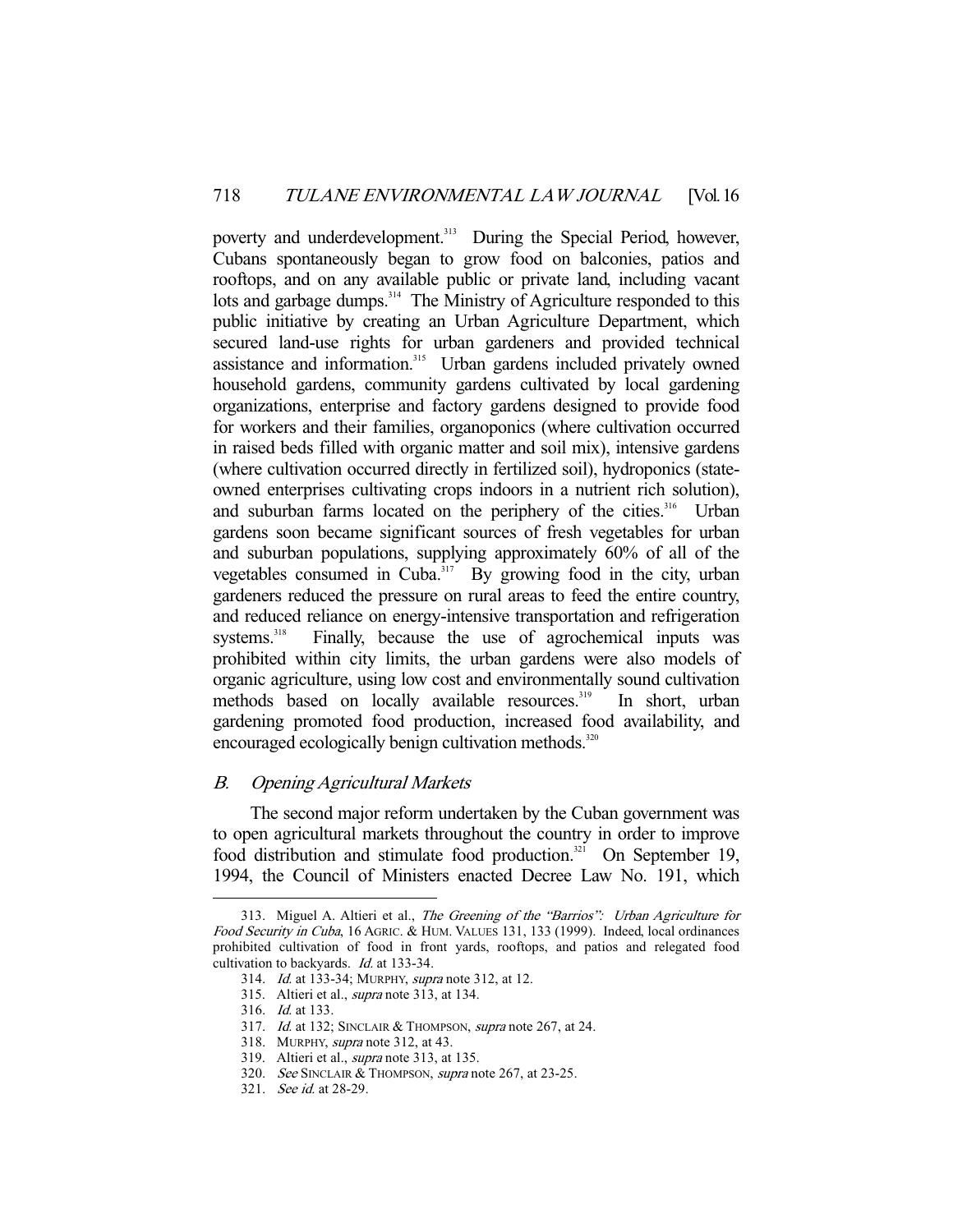poverty and underdevelopment.<sup>313</sup> During the Special Period, however, Cubans spontaneously began to grow food on balconies, patios and rooftops, and on any available public or private land, including vacant lots and garbage dumps.<sup>314</sup> The Ministry of Agriculture responded to this public initiative by creating an Urban Agriculture Department, which secured land-use rights for urban gardeners and provided technical assistance and information.<sup>315</sup> Urban gardens included privately owned household gardens, community gardens cultivated by local gardening organizations, enterprise and factory gardens designed to provide food for workers and their families, organoponics (where cultivation occurred in raised beds filled with organic matter and soil mix), intensive gardens (where cultivation occurred directly in fertilized soil), hydroponics (stateowned enterprises cultivating crops indoors in a nutrient rich solution), and suburban farms located on the periphery of the cities.<sup>316</sup> Urban gardens soon became significant sources of fresh vegetables for urban and suburban populations, supplying approximately 60% of all of the vegetables consumed in Cuba.<sup>317</sup> By growing food in the city, urban gardeners reduced the pressure on rural areas to feed the entire country, and reduced reliance on energy-intensive transportation and refrigeration systems.<sup>318</sup> Finally, because the use of agrochemical inputs was Finally, because the use of agrochemical inputs was prohibited within city limits, the urban gardens were also models of organic agriculture, using low cost and environmentally sound cultivation methods based on locally available resources.<sup>319</sup> In short, urban gardening promoted food production, increased food availability, and encouraged ecologically benign cultivation methods.<sup>320</sup>

# B. Opening Agricultural Markets

 The second major reform undertaken by the Cuban government was to open agricultural markets throughout the country in order to improve food distribution and stimulate food production.<sup>321</sup> On September 19, 1994, the Council of Ministers enacted Decree Law No. 191, which

<sup>313.</sup> Miguel A. Altieri et al., The Greening of the "Barrios": Urban Agriculture for Food Security in Cuba, 16 AGRIC. & HUM. VALUES 131, 133 (1999). Indeed, local ordinances prohibited cultivation of food in front yards, rooftops, and patios and relegated food cultivation to backyards. *Id.* at 133-34.

 <sup>314.</sup> Id. at 133-34; MURPHY, supra note 312, at 12.

 <sup>315.</sup> Altieri et al., supra note 313, at 134.

 <sup>316.</sup> Id. at 133.

<sup>317.</sup> Id. at 132; SINCLAIR & THOMPSON, supra note 267, at 24.

 <sup>318.</sup> MURPHY, supra note 312, at 43.

 <sup>319.</sup> Altieri et al., supra note 313, at 135.

 <sup>320.</sup> See SINCLAIR & THOMPSON, supra note 267, at 23-25.

 <sup>321.</sup> See id. at 28-29.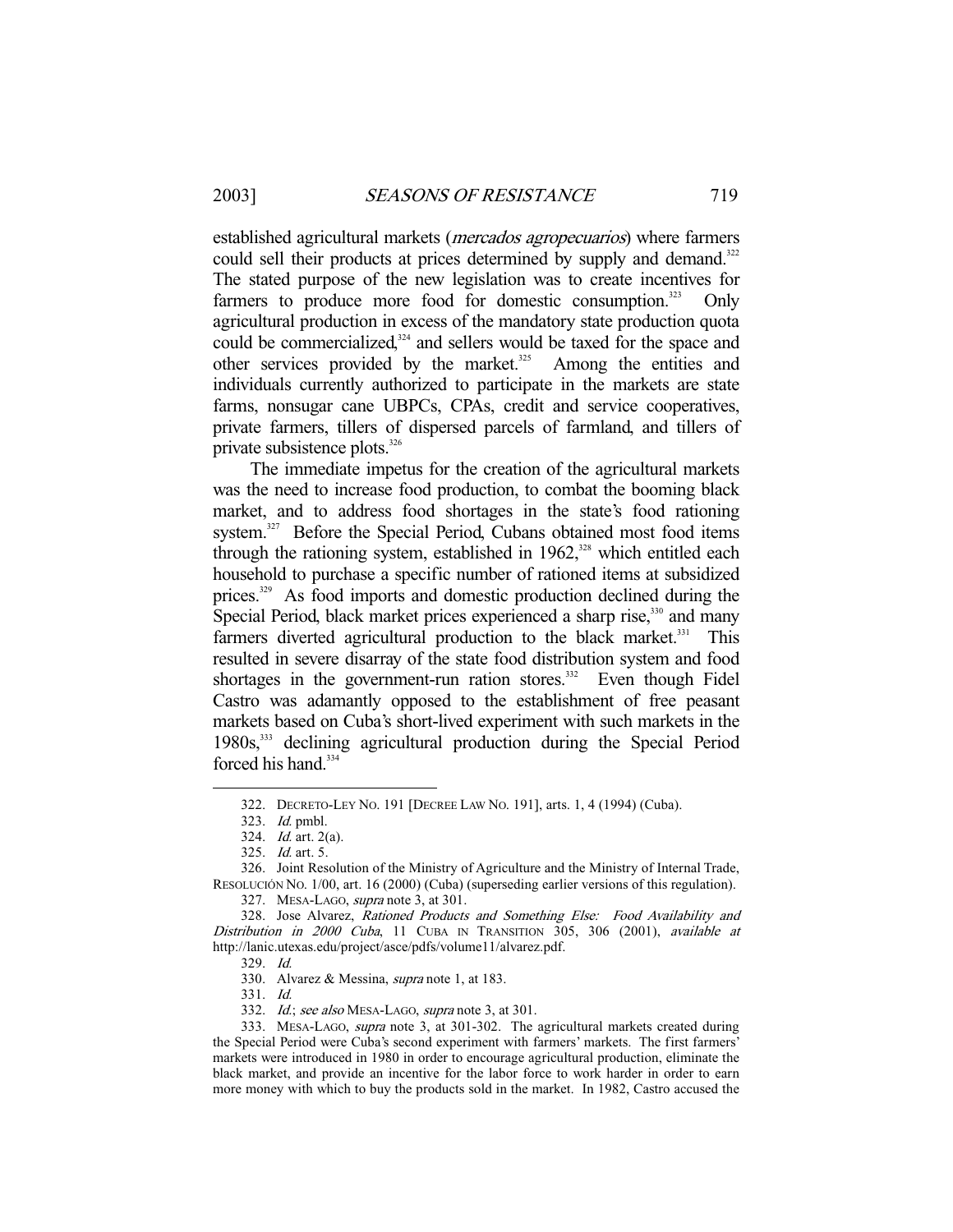established agricultural markets (mercados agropecuarios) where farmers could sell their products at prices determined by supply and demand.<sup>322</sup> The stated purpose of the new legislation was to create incentives for farmers to produce more food for domestic consumption. $323$  Only agricultural production in excess of the mandatory state production quota could be commercialized, $324$  and sellers would be taxed for the space and other services provided by the market. $325$  Among the entities and individuals currently authorized to participate in the markets are state farms, nonsugar cane UBPCs, CPAs, credit and service cooperatives, private farmers, tillers of dispersed parcels of farmland, and tillers of private subsistence plots.<sup>326</sup>

 The immediate impetus for the creation of the agricultural markets was the need to increase food production, to combat the booming black market, and to address food shortages in the state's food rationing system.<sup>327</sup> Before the Special Period, Cubans obtained most food items through the rationing system, established in  $1962$ ,<sup>328</sup> which entitled each household to purchase a specific number of rationed items at subsidized prices.<sup>329</sup> As food imports and domestic production declined during the Special Period, black market prices experienced a sharp rise,<sup>330</sup> and many farmers diverted agricultural production to the black market.<sup>331</sup> This resulted in severe disarray of the state food distribution system and food shortages in the government-run ration stores.<sup>332</sup> Even though Fidel Castro was adamantly opposed to the establishment of free peasant markets based on Cuba's short-lived experiment with such markets in the 1980s,333 declining agricultural production during the Special Period forced his hand.<sup>334</sup>

-

327. MESA-LAGO, supra note 3, at 301.

331. Id.

 <sup>322.</sup> DECRETO-LEY NO. 191 [DECREE LAW NO. 191], arts. 1, 4 (1994) (Cuba).

 <sup>323.</sup> Id. pmbl.

 <sup>324.</sup> Id. art. 2(a).

 <sup>325.</sup> Id. art. 5.

 <sup>326.</sup> Joint Resolution of the Ministry of Agriculture and the Ministry of Internal Trade, RESOLUCIÓN NO. 1/00, art. 16 (2000) (Cuba) (superseding earlier versions of this regulation).

 <sup>328.</sup> Jose Alvarez, Rationed Products and Something Else: Food Availability and Distribution in 2000 Cuba, 11 CUBA IN TRANSITION 305, 306 (2001), available at http://lanic.utexas.edu/project/asce/pdfs/volume11/alvarez.pdf.

 <sup>329.</sup> Id.

 <sup>330.</sup> Alvarez & Messina, supra note 1, at 183.

<sup>332.</sup> Id.; see also MESA-LAGO, supra note 3, at 301.

<sup>333.</sup> MESA-LAGO, *supra* note 3, at 301-302. The agricultural markets created during the Special Period were Cuba's second experiment with farmers' markets. The first farmers' markets were introduced in 1980 in order to encourage agricultural production, eliminate the black market, and provide an incentive for the labor force to work harder in order to earn more money with which to buy the products sold in the market. In 1982, Castro accused the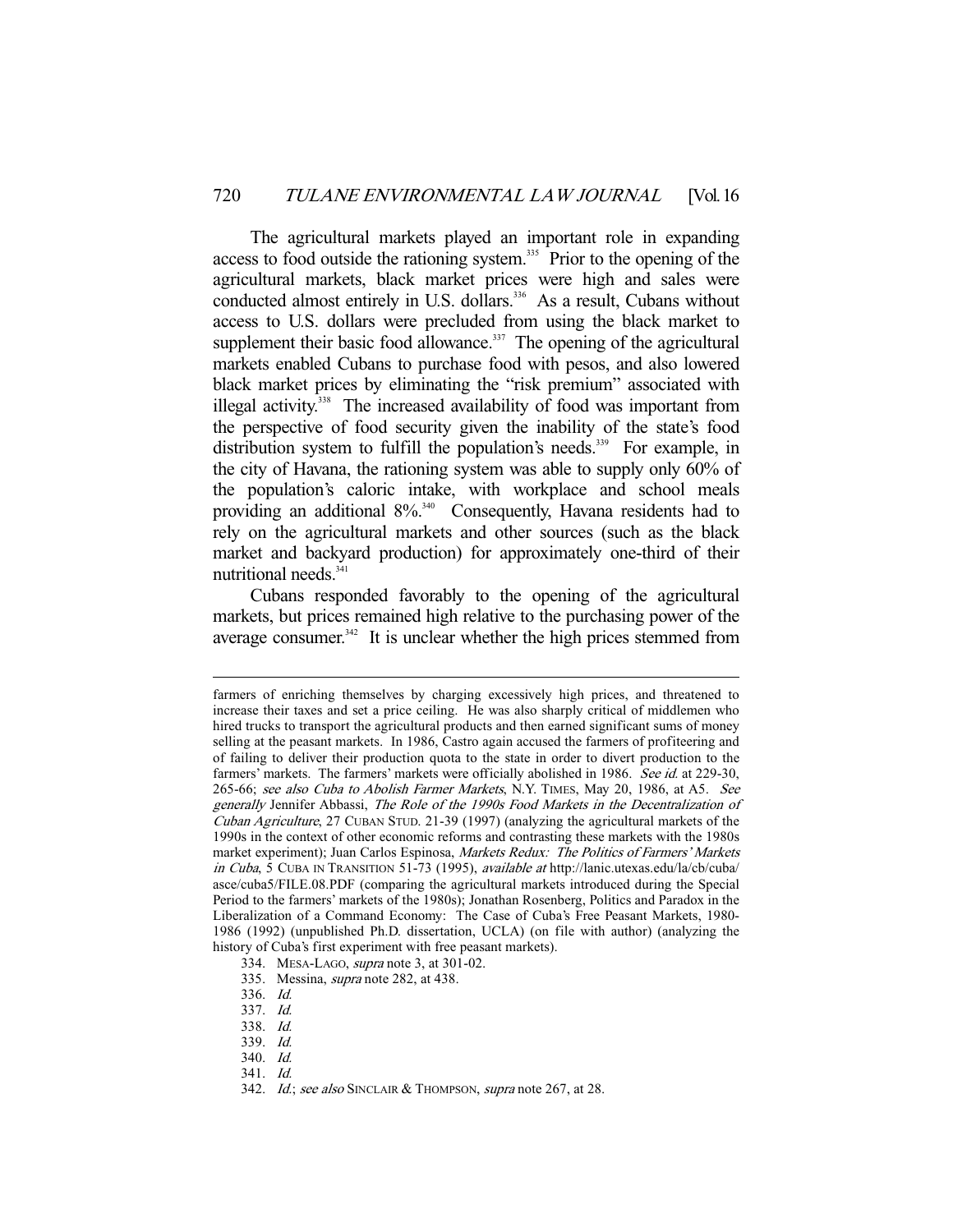The agricultural markets played an important role in expanding access to food outside the rationing system.<sup>335</sup> Prior to the opening of the agricultural markets, black market prices were high and sales were conducted almost entirely in U.S. dollars.<sup>336</sup> As a result, Cubans without access to U.S. dollars were precluded from using the black market to supplement their basic food allowance.<sup>337</sup> The opening of the agricultural markets enabled Cubans to purchase food with pesos, and also lowered black market prices by eliminating the "risk premium" associated with illegal activity.<sup>338</sup> The increased availability of food was important from the perspective of food security given the inability of the state's food distribution system to fulfill the population's needs.<sup>339</sup> For example, in the city of Havana, the rationing system was able to supply only 60% of the population's caloric intake, with workplace and school meals providing an additional  $8\%$ <sup>340</sup> Consequently, Havana residents had to rely on the agricultural markets and other sources (such as the black market and backyard production) for approximately one-third of their nutritional needs.<sup>341</sup>

 Cubans responded favorably to the opening of the agricultural markets, but prices remained high relative to the purchasing power of the average consumer. $342$  It is unclear whether the high prices stemmed from

farmers of enriching themselves by charging excessively high prices, and threatened to increase their taxes and set a price ceiling. He was also sharply critical of middlemen who hired trucks to transport the agricultural products and then earned significant sums of money selling at the peasant markets. In 1986, Castro again accused the farmers of profiteering and of failing to deliver their production quota to the state in order to divert production to the farmers' markets. The farmers' markets were officially abolished in 1986. See id. at 229-30, 265-66; see also Cuba to Abolish Farmer Markets, N.Y. TIMES, May 20, 1986, at A5. See generally Jennifer Abbassi, The Role of the 1990s Food Markets in the Decentralization of Cuban Agriculture, 27 CUBAN STUD. 21-39 (1997) (analyzing the agricultural markets of the 1990s in the context of other economic reforms and contrasting these markets with the 1980s market experiment); Juan Carlos Espinosa, Markets Redux: The Politics of Farmers' Markets in Cuba, 5 CUBA IN TRANSITION 51-73 (1995), available at http://lanic.utexas.edu/la/cb/cuba/ asce/cuba5/FILE.08.PDF (comparing the agricultural markets introduced during the Special Period to the farmers' markets of the 1980s); Jonathan Rosenberg, Politics and Paradox in the Liberalization of a Command Economy: The Case of Cuba's Free Peasant Markets, 1980- 1986 (1992) (unpublished Ph.D. dissertation, UCLA) (on file with author) (analyzing the history of Cuba's first experiment with free peasant markets).

 <sup>334.</sup> MESA-LAGO, supra note 3, at 301-02.

 <sup>335.</sup> Messina, supra note 282, at 438.

 <sup>336.</sup> Id.

 <sup>337.</sup> Id.

 <sup>338.</sup> Id.

 <sup>339.</sup> Id.

 <sup>340.</sup> Id.

 <sup>341.</sup> Id.

<sup>342.</sup> Id.; see also SINCLAIR & THOMPSON, supra note 267, at 28.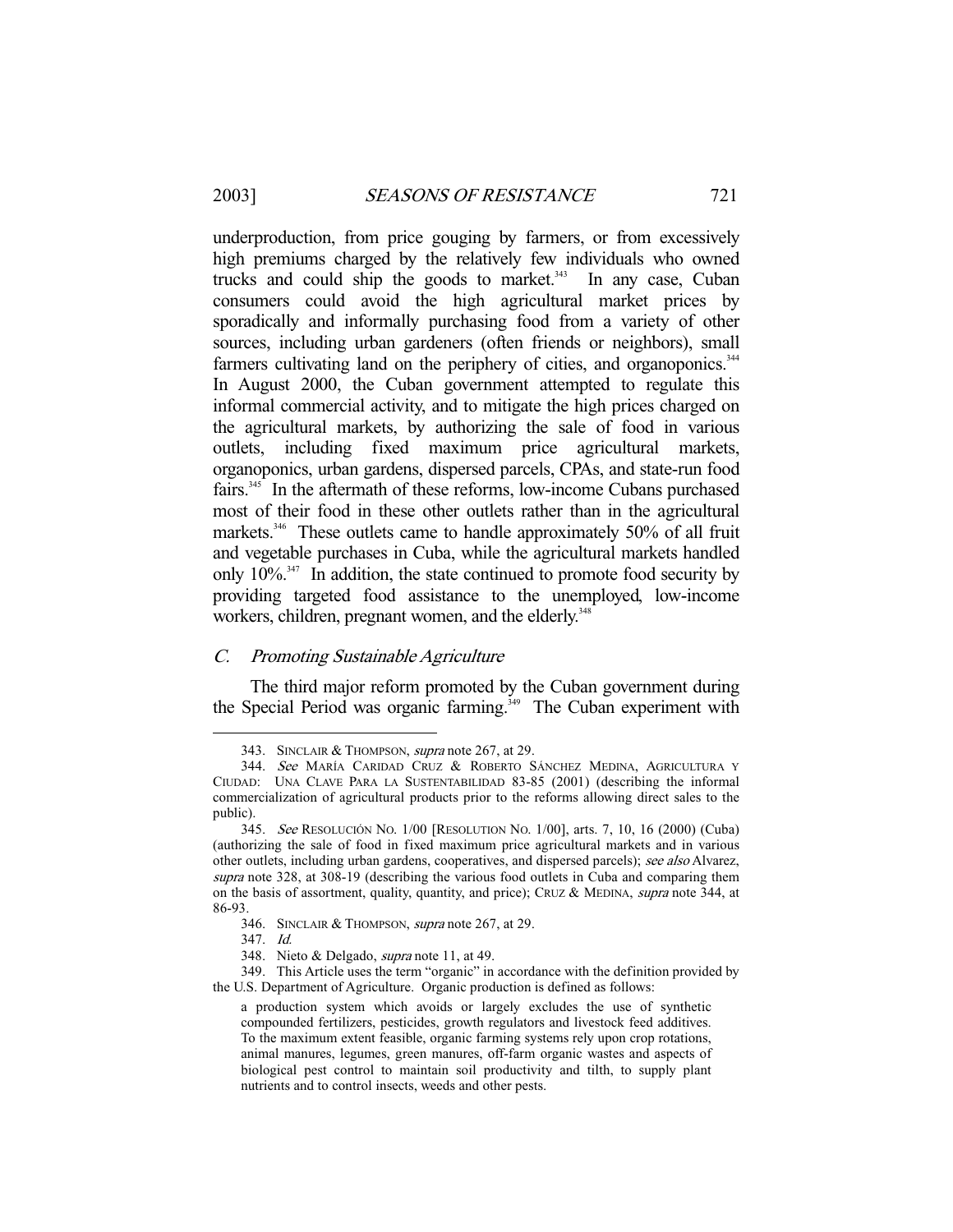underproduction, from price gouging by farmers, or from excessively high premiums charged by the relatively few individuals who owned trucks and could ship the goods to market.<sup>343</sup> In any case, Cuban consumers could avoid the high agricultural market prices by sporadically and informally purchasing food from a variety of other sources, including urban gardeners (often friends or neighbors), small farmers cultivating land on the periphery of cities, and organoponics.<sup>344</sup> In August 2000, the Cuban government attempted to regulate this informal commercial activity, and to mitigate the high prices charged on the agricultural markets, by authorizing the sale of food in various outlets, including fixed maximum price agricultural markets, organoponics, urban gardens, dispersed parcels, CPAs, and state-run food fairs.345 In the aftermath of these reforms, low-income Cubans purchased most of their food in these other outlets rather than in the agricultural markets.<sup>346</sup> These outlets came to handle approximately 50% of all fruit and vegetable purchases in Cuba, while the agricultural markets handled only  $10\%$ <sup>347</sup>. In addition, the state continued to promote food security by providing targeted food assistance to the unemployed, low-income workers, children, pregnant women, and the elderly.<sup>348</sup>

# C. Promoting Sustainable Agriculture

 The third major reform promoted by the Cuban government during the Special Period was organic farming.<sup>349</sup> The Cuban experiment with

 <sup>343.</sup> SINCLAIR & THOMPSON, supra note 267, at 29.

 <sup>344.</sup> See MARÍA CARIDAD CRUZ & ROBERTO SÁNCHEZ MEDINA, AGRICULTURA Y CIUDAD: UNA CLAVE PARA LA SUSTENTABILIDAD 83-85 (2001) (describing the informal commercialization of agricultural products prior to the reforms allowing direct sales to the public).

 <sup>345.</sup> See RESOLUCIÓN NO. 1/00 [RESOLUTION NO. 1/00], arts. 7, 10, 16 (2000) (Cuba) (authorizing the sale of food in fixed maximum price agricultural markets and in various other outlets, including urban gardens, cooperatives, and dispersed parcels); see also Alvarez, supra note 328, at 308-19 (describing the various food outlets in Cuba and comparing them on the basis of assortment, quality, quantity, and price); CRUZ & MEDINA, *supra* note 344, at 86-93.

 <sup>346.</sup> SINCLAIR & THOMPSON, supra note 267, at 29.

 <sup>347.</sup> Id.

 <sup>348.</sup> Nieto & Delgado, supra note 11, at 49.

 <sup>349.</sup> This Article uses the term "organic" in accordance with the definition provided by the U.S. Department of Agriculture. Organic production is defined as follows:

a production system which avoids or largely excludes the use of synthetic compounded fertilizers, pesticides, growth regulators and livestock feed additives. To the maximum extent feasible, organic farming systems rely upon crop rotations, animal manures, legumes, green manures, off-farm organic wastes and aspects of biological pest control to maintain soil productivity and tilth, to supply plant nutrients and to control insects, weeds and other pests.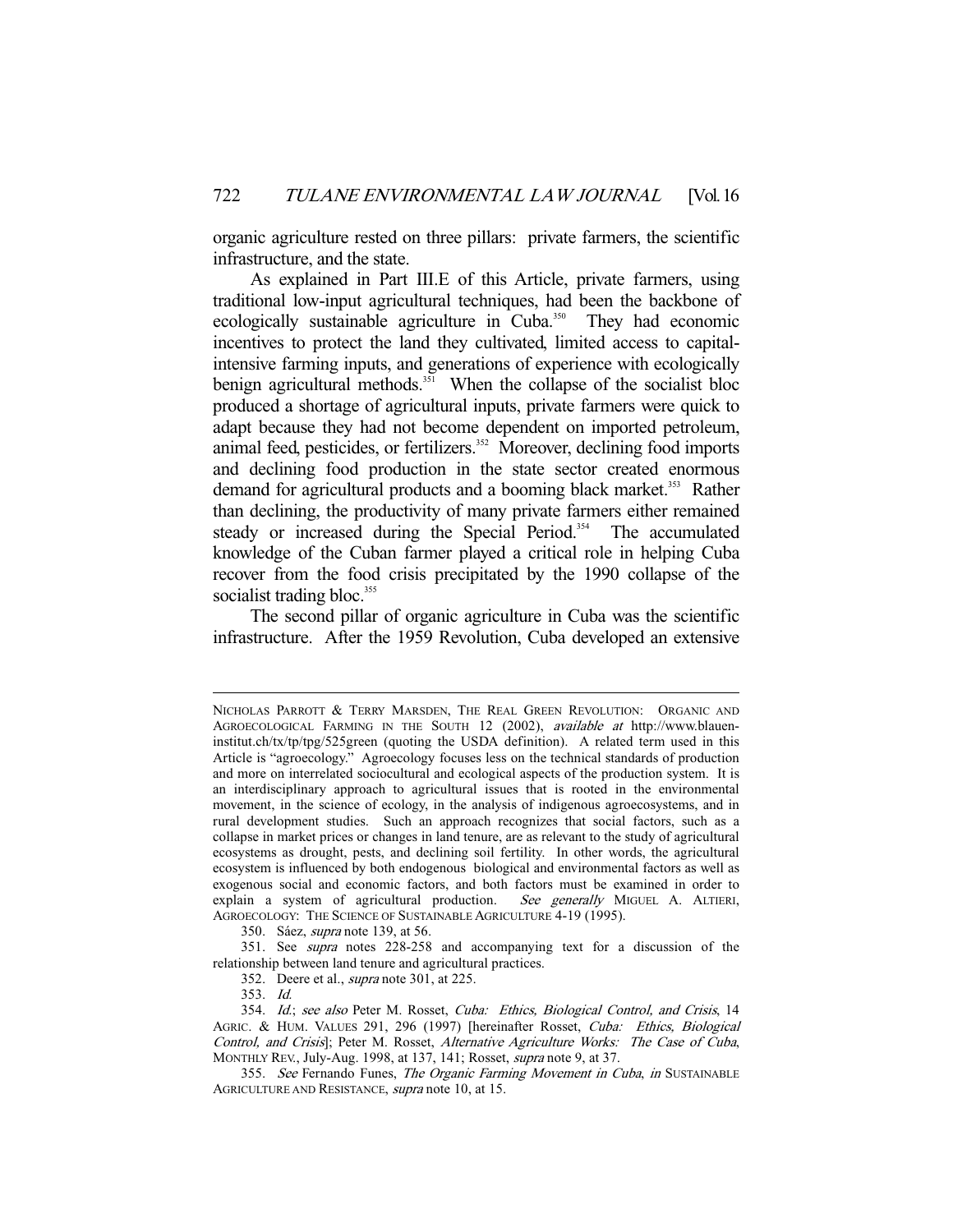organic agriculture rested on three pillars: private farmers, the scientific infrastructure, and the state.

 As explained in Part III.E of this Article, private farmers, using traditional low-input agricultural techniques, had been the backbone of ecologically sustainable agriculture in Cuba.<sup>350</sup> They had economic incentives to protect the land they cultivated, limited access to capitalintensive farming inputs, and generations of experience with ecologically benign agricultural methods.<sup>351</sup> When the collapse of the socialist bloc produced a shortage of agricultural inputs, private farmers were quick to adapt because they had not become dependent on imported petroleum, animal feed, pesticides, or fertilizers.<sup>352</sup> Moreover, declining food imports and declining food production in the state sector created enormous demand for agricultural products and a booming black market.<sup>353</sup> Rather than declining, the productivity of many private farmers either remained steady or increased during the Special Period.<sup>354</sup> The accumulated knowledge of the Cuban farmer played a critical role in helping Cuba recover from the food crisis precipitated by the 1990 collapse of the socialist trading bloc.<sup>355</sup>

 The second pillar of organic agriculture in Cuba was the scientific infrastructure. After the 1959 Revolution, Cuba developed an extensive

350. Sáez, supra note 139, at 56.

 351. See supra notes 228-258 and accompanying text for a discussion of the relationship between land tenure and agricultural practices.

352. Deere et al., *supra* note 301, at 225.

353. Id.

NICHOLAS PARROTT & TERRY MARSDEN, THE REAL GREEN REVOLUTION: ORGANIC AND AGROECOLOGICAL FARMING IN THE SOUTH 12 (2002), available at http://www.blaueninstitut.ch/tx/tp/tpg/525green (quoting the USDA definition). A related term used in this Article is "agroecology." Agroecology focuses less on the technical standards of production and more on interrelated sociocultural and ecological aspects of the production system. It is an interdisciplinary approach to agricultural issues that is rooted in the environmental movement, in the science of ecology, in the analysis of indigenous agroecosystems, and in rural development studies. Such an approach recognizes that social factors, such as a collapse in market prices or changes in land tenure, are as relevant to the study of agricultural ecosystems as drought, pests, and declining soil fertility. In other words, the agricultural ecosystem is influenced by both endogenous biological and environmental factors as well as exogenous social and economic factors, and both factors must be examined in order to explain a system of agricultural production. See generally MIGUEL A. ALTIERI, AGROECOLOGY: THE SCIENCE OF SUSTAINABLE AGRICULTURE 4-19 (1995).

<sup>354.</sup> Id.; see also Peter M. Rosset, Cuba: Ethics, Biological Control, and Crisis, 14 AGRIC. & HUM. VALUES 291, 296 (1997) [hereinafter Rosset, Cuba: Ethics, Biological Control, and Crisis]; Peter M. Rosset, Alternative Agriculture Works: The Case of Cuba, MONTHLY REV., July-Aug. 1998, at 137, 141; Rosset, supra note 9, at 37.

<sup>355.</sup> See Fernando Funes, The Organic Farming Movement in Cuba, in SUSTAINABLE AGRICULTURE AND RESISTANCE, supra note 10, at 15.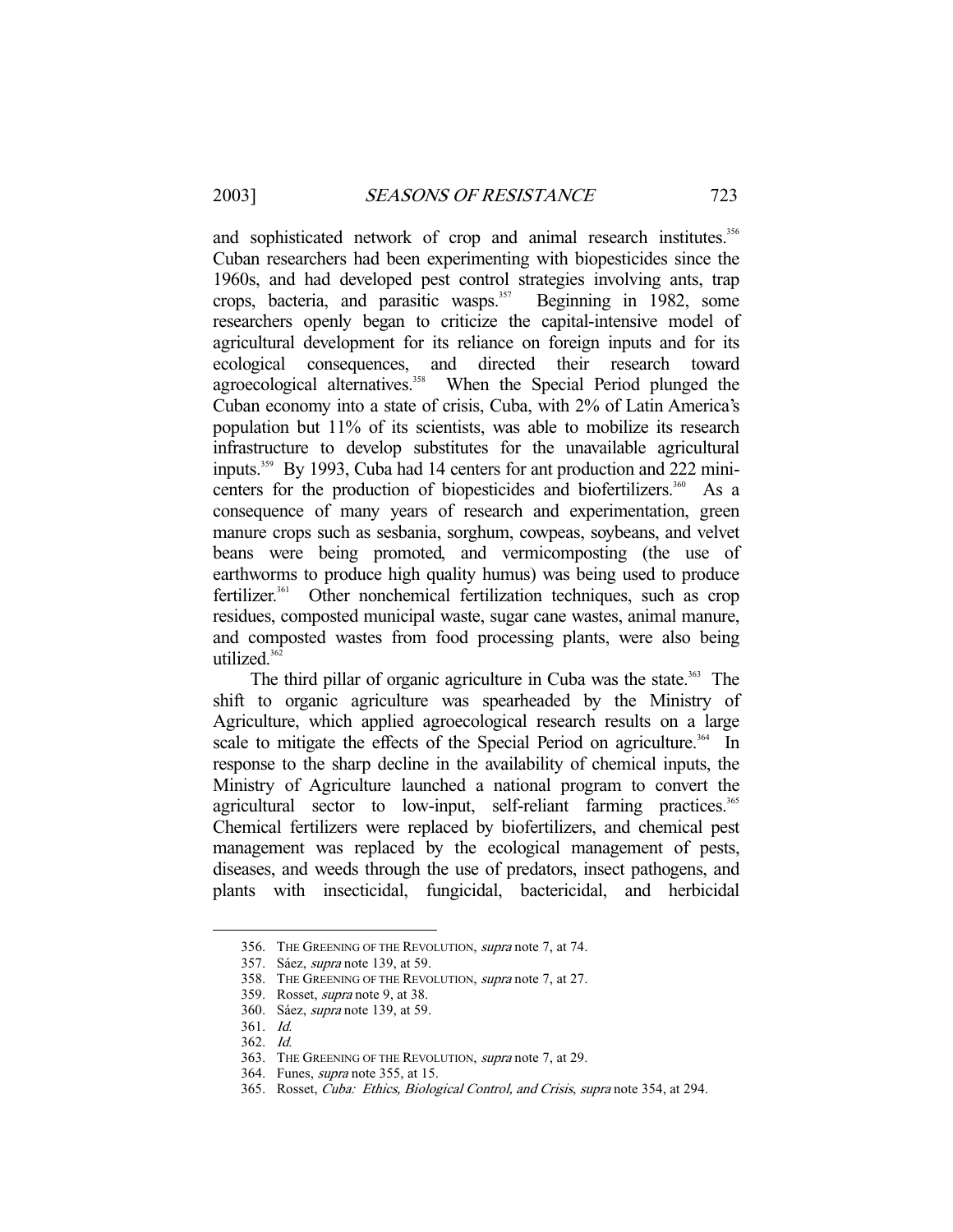and sophisticated network of crop and animal research institutes.<sup>356</sup> Cuban researchers had been experimenting with biopesticides since the 1960s, and had developed pest control strategies involving ants, trap crops, bacteria, and parasitic wasps. $357$  Beginning in 1982, some researchers openly began to criticize the capital-intensive model of agricultural development for its reliance on foreign inputs and for its ecological consequences, and directed their research toward agroecological alternatives.<sup>358</sup> When the Special Period plunged the Cuban economy into a state of crisis, Cuba, with 2% of Latin America's population but 11% of its scientists, was able to mobilize its research infrastructure to develop substitutes for the unavailable agricultural inputs.359 By 1993, Cuba had 14 centers for ant production and 222 minicenters for the production of biopesticides and biofertilizers.<sup>360</sup> As a consequence of many years of research and experimentation, green manure crops such as sesbania, sorghum, cowpeas, soybeans, and velvet beans were being promoted, and vermicomposting (the use of earthworms to produce high quality humus) was being used to produce fertilizer.361 Other nonchemical fertilization techniques, such as crop residues, composted municipal waste, sugar cane wastes, animal manure, and composted wastes from food processing plants, were also being utilized.<sup>362</sup>

The third pillar of organic agriculture in Cuba was the state.<sup>363</sup> The shift to organic agriculture was spearheaded by the Ministry of Agriculture, which applied agroecological research results on a large scale to mitigate the effects of the Special Period on agriculture.<sup>364</sup> In response to the sharp decline in the availability of chemical inputs, the Ministry of Agriculture launched a national program to convert the agricultural sector to low-input, self-reliant farming practices.<sup>365</sup> Chemical fertilizers were replaced by biofertilizers, and chemical pest management was replaced by the ecological management of pests, diseases, and weeds through the use of predators, insect pathogens, and plants with insecticidal, fungicidal, bactericidal, and herbicidal

 <sup>356.</sup> THE GREENING OF THE REVOLUTION, supra note 7, at 74.

 <sup>357.</sup> Sáez, supra note 139, at 59.

 <sup>358.</sup> THE GREENING OF THE REVOLUTION, supra note 7, at 27.

 <sup>359.</sup> Rosset, supra note 9, at 38.

 <sup>360.</sup> Sáez, supra note 139, at 59.

 <sup>361.</sup> Id.

 <sup>362.</sup> Id.

 <sup>363.</sup> THE GREENING OF THE REVOLUTION, supra note 7, at 29.

 <sup>364.</sup> Funes, supra note 355, at 15.

 <sup>365.</sup> Rosset, Cuba: Ethics, Biological Control, and Crisis, supra note 354, at 294.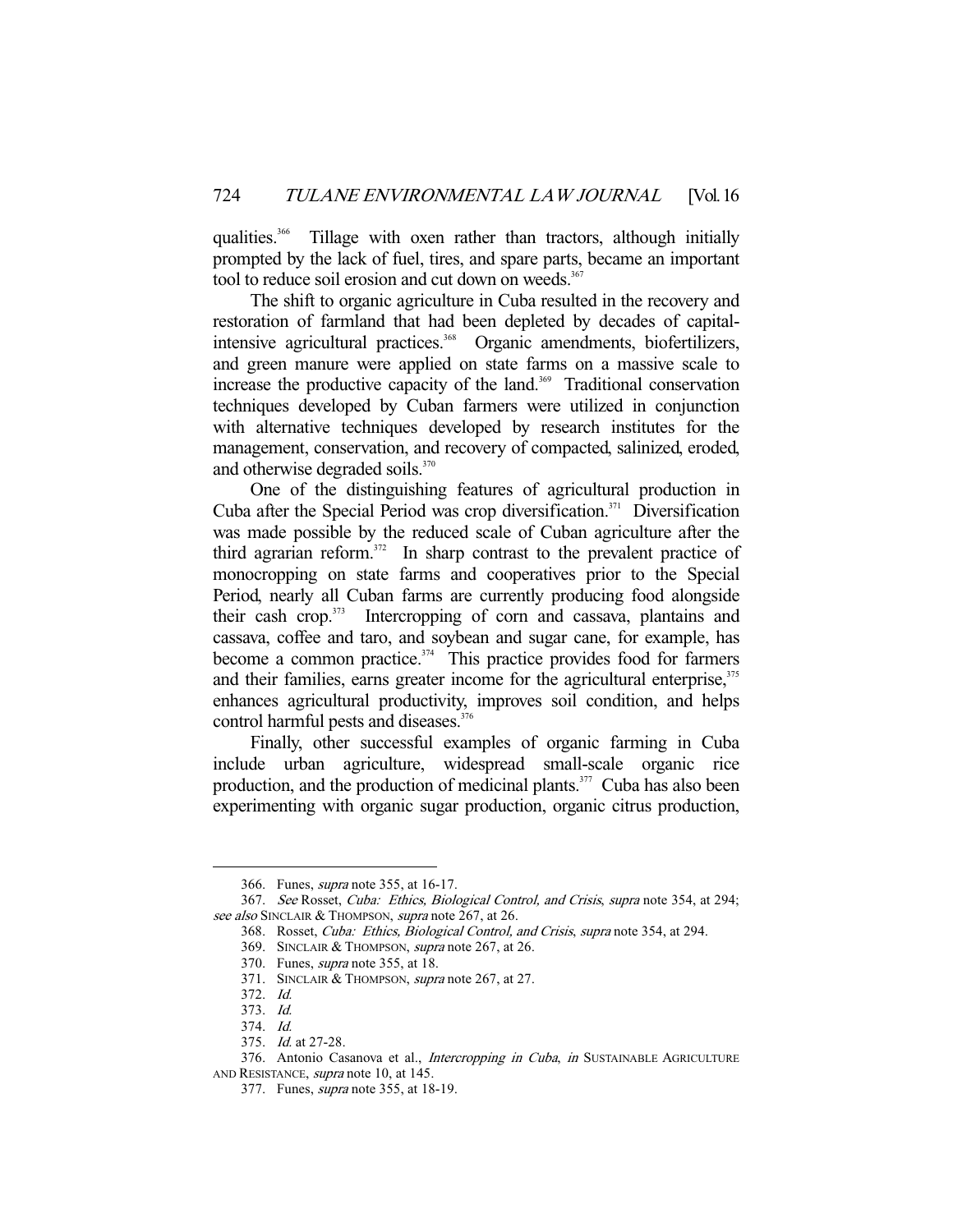qualities.<sup>366</sup> Tillage with oxen rather than tractors, although initially prompted by the lack of fuel, tires, and spare parts, became an important tool to reduce soil erosion and cut down on weeds.<sup>367</sup>

 The shift to organic agriculture in Cuba resulted in the recovery and restoration of farmland that had been depleted by decades of capitalintensive agricultural practices.<sup>368</sup> Organic amendments, biofertilizers, and green manure were applied on state farms on a massive scale to increase the productive capacity of the land.<sup>369</sup> Traditional conservation techniques developed by Cuban farmers were utilized in conjunction with alternative techniques developed by research institutes for the management, conservation, and recovery of compacted, salinized, eroded, and otherwise degraded soils.<sup>370</sup>

 One of the distinguishing features of agricultural production in Cuba after the Special Period was crop diversification.<sup>371</sup> Diversification was made possible by the reduced scale of Cuban agriculture after the third agrarian reform. $372$  In sharp contrast to the prevalent practice of monocropping on state farms and cooperatives prior to the Special Period, nearly all Cuban farms are currently producing food alongside their cash crop.373 Intercropping of corn and cassava, plantains and cassava, coffee and taro, and soybean and sugar cane, for example, has become a common practice.<sup>374</sup> This practice provides food for farmers and their families, earns greater income for the agricultural enterprise,<sup>375</sup> enhances agricultural productivity, improves soil condition, and helps control harmful pests and diseases.<sup>376</sup>

 Finally, other successful examples of organic farming in Cuba include urban agriculture, widespread small-scale organic rice production, and the production of medicinal plants. $377$  Cuba has also been experimenting with organic sugar production, organic citrus production,

 <sup>366.</sup> Funes, supra note 355, at 16-17.

 <sup>367.</sup> See Rosset, Cuba: Ethics, Biological Control, and Crisis, supra note 354, at 294; see also SINCLAIR & THOMPSON, supra note 267, at 26.

 <sup>368.</sup> Rosset, Cuba: Ethics, Biological Control, and Crisis, supra note 354, at 294.

 <sup>369.</sup> SINCLAIR & THOMPSON, supra note 267, at 26.

 <sup>370.</sup> Funes, supra note 355, at 18.

<sup>371.</sup> SINCLAIR & THOMPSON, supra note 267, at 27.

 <sup>372.</sup> Id.

 <sup>373.</sup> Id.

 <sup>374.</sup> Id.

 <sup>375.</sup> Id. at 27-28.

<sup>376.</sup> Antonio Casanova et al., Intercropping in Cuba, in SUSTAINABLE AGRICULTURE AND RESISTANCE, *supra* note 10, at 145.

 <sup>377.</sup> Funes, supra note 355, at 18-19.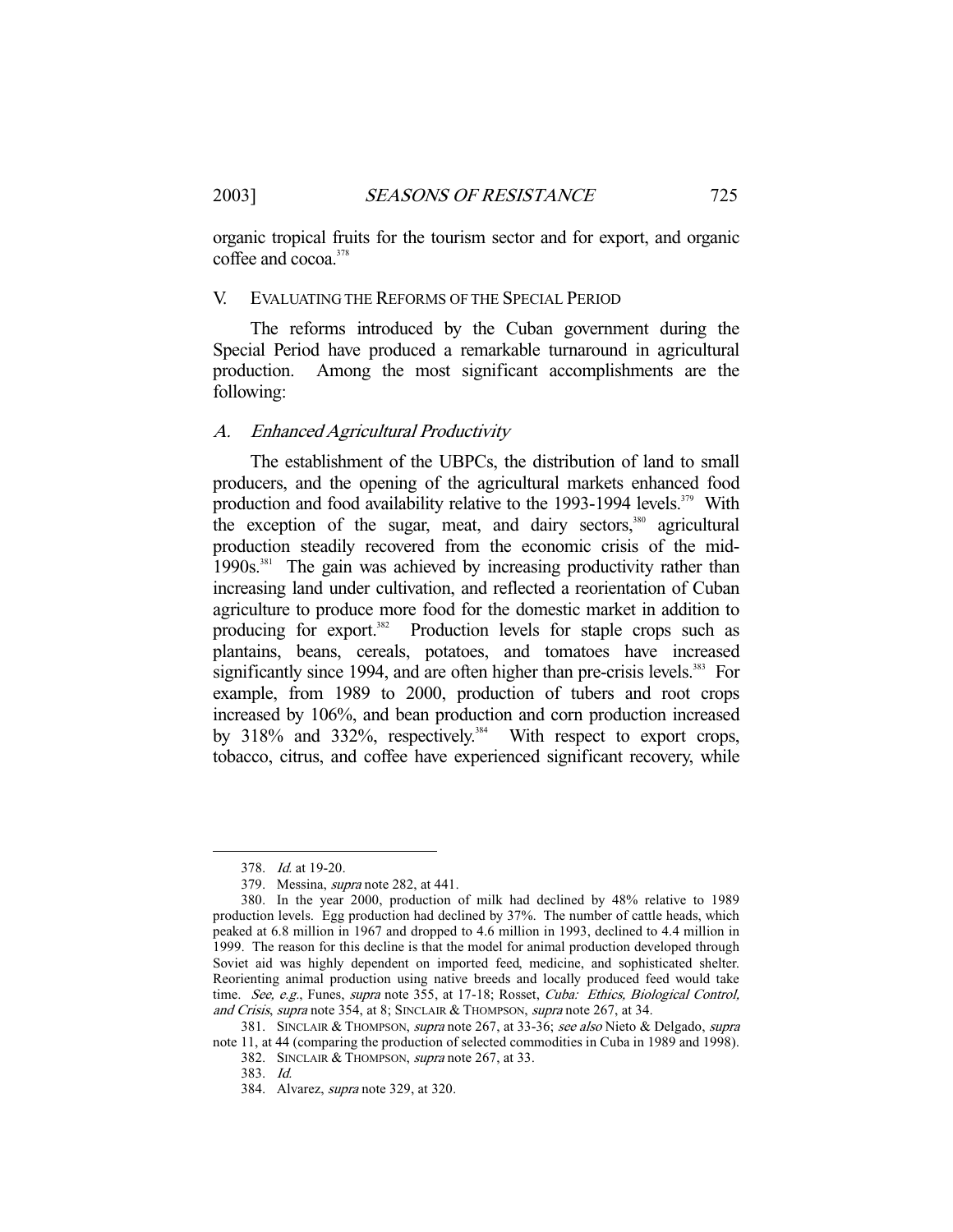organic tropical fruits for the tourism sector and for export, and organic coffee and cocoa.<sup>378</sup>

# V. EVALUATING THE REFORMS OF THE SPECIAL PERIOD

 The reforms introduced by the Cuban government during the Special Period have produced a remarkable turnaround in agricultural production. Among the most significant accomplishments are the following:

# A. Enhanced Agricultural Productivity

 The establishment of the UBPCs, the distribution of land to small producers, and the opening of the agricultural markets enhanced food production and food availability relative to the 1993-1994 levels.<sup>379</sup> With the exception of the sugar, meat, and dairy sectors, $380$  agricultural production steadily recovered from the economic crisis of the mid- $1990s$ <sup>381</sup> The gain was achieved by increasing productivity rather than increasing land under cultivation, and reflected a reorientation of Cuban agriculture to produce more food for the domestic market in addition to producing for export.<sup>382</sup> Production levels for staple crops such as plantains, beans, cereals, potatoes, and tomatoes have increased significantly since 1994, and are often higher than pre-crisis levels.<sup>383</sup> For example, from 1989 to 2000, production of tubers and root crops increased by 106%, and bean production and corn production increased by 318% and 332%, respectively.<sup>384</sup> With respect to export crops, tobacco, citrus, and coffee have experienced significant recovery, while

-

382. SINCLAIR & THOMPSON, supra note 267, at 33.

 <sup>378.</sup> Id. at 19-20.

 <sup>379.</sup> Messina, supra note 282, at 441.

 <sup>380.</sup> In the year 2000, production of milk had declined by 48% relative to 1989 production levels. Egg production had declined by 37%. The number of cattle heads, which peaked at 6.8 million in 1967 and dropped to 4.6 million in 1993, declined to 4.4 million in 1999. The reason for this decline is that the model for animal production developed through Soviet aid was highly dependent on imported feed, medicine, and sophisticated shelter. Reorienting animal production using native breeds and locally produced feed would take time. See, e.g., Funes, supra note 355, at 17-18; Rosset, Cuba: Ethics, Biological Control, and Crisis, supra note 354, at 8; SINCLAIR & THOMPSON, supra note 267, at 34.

<sup>381.</sup> SINCLAIR & THOMPSON, supra note 267, at 33-36; see also Nieto & Delgado, supra note 11, at 44 (comparing the production of selected commodities in Cuba in 1989 and 1998).

 <sup>383.</sup> Id.

 <sup>384.</sup> Alvarez, supra note 329, at 320.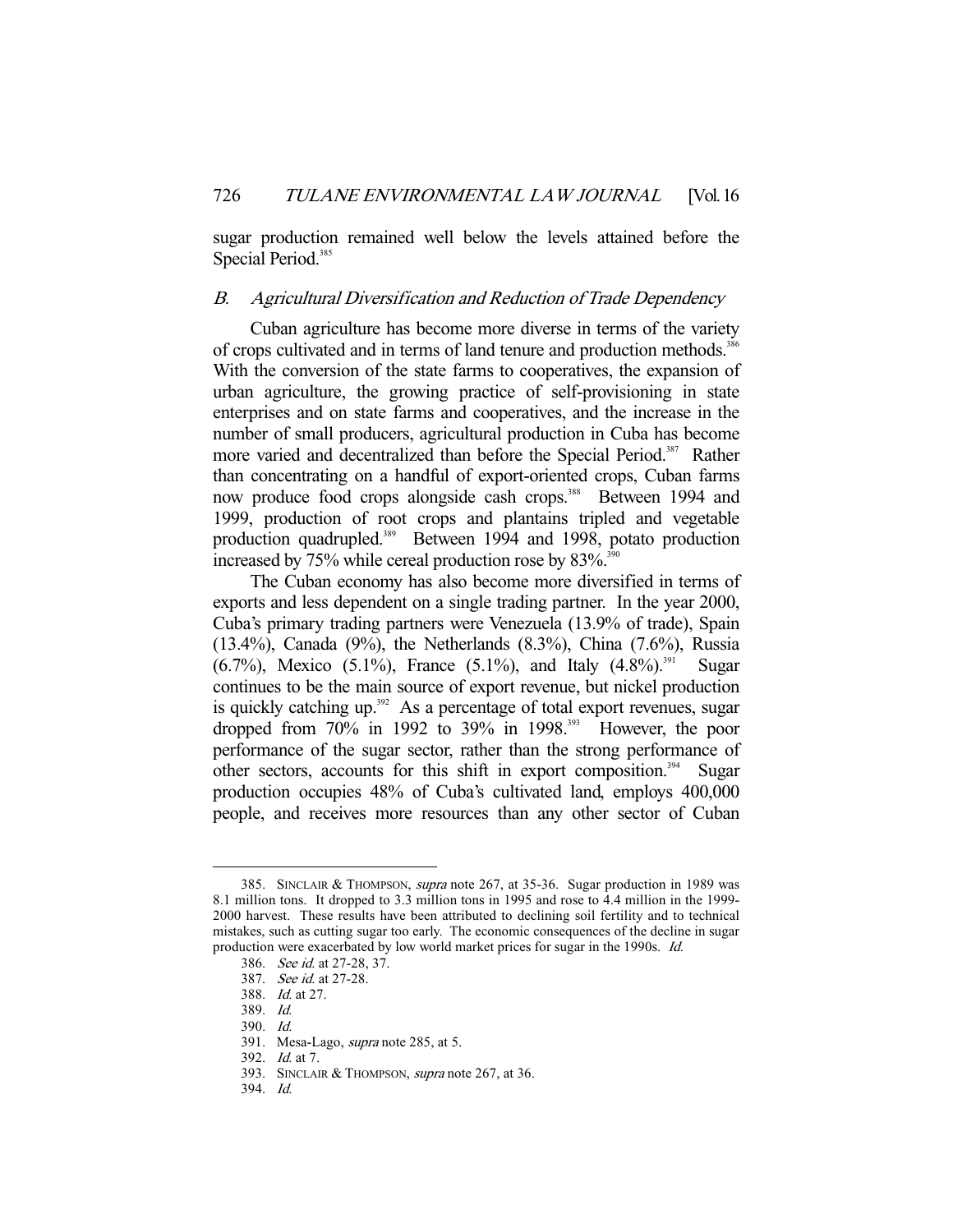sugar production remained well below the levels attained before the Special Period.<sup>385</sup>

# B. Agricultural Diversification and Reduction of Trade Dependency

 Cuban agriculture has become more diverse in terms of the variety of crops cultivated and in terms of land tenure and production methods.<sup>386</sup> With the conversion of the state farms to cooperatives, the expansion of urban agriculture, the growing practice of self-provisioning in state enterprises and on state farms and cooperatives, and the increase in the number of small producers, agricultural production in Cuba has become more varied and decentralized than before the Special Period.<sup>387</sup> Rather than concentrating on a handful of export-oriented crops, Cuban farms now produce food crops alongside cash crops.<sup>388</sup> Between 1994 and 1999, production of root crops and plantains tripled and vegetable production quadrupled.<sup>389</sup> Between 1994 and 1998, potato production increased by  $75\%$  while cereal production rose by  $83\%$ .<sup>390</sup>

 The Cuban economy has also become more diversified in terms of exports and less dependent on a single trading partner. In the year 2000, Cuba's primary trading partners were Venezuela (13.9% of trade), Spain (13.4%), Canada (9%), the Netherlands (8.3%), China (7.6%), Russia  $(6.7\%)$ , Mexico  $(5.1\%)$ , France  $(5.1\%)$ , and Italy  $(4.8\%)$ <sup>391</sup> Sugar continues to be the main source of export revenue, but nickel production is quickly catching up.<sup>392</sup> As a percentage of total export revenues, sugar dropped from  $70\%$  in 1992 to  $39\%$  in 1998.<sup>393</sup> However, the poor performance of the sugar sector, rather than the strong performance of other sectors, accounts for this shift in export composition.<sup>394</sup> Sugar production occupies 48% of Cuba's cultivated land, employs 400,000 people, and receives more resources than any other sector of Cuban

<sup>385.</sup> SINCLAIR & THOMPSON, *supra* note 267, at 35-36. Sugar production in 1989 was 8.1 million tons. It dropped to 3.3 million tons in 1995 and rose to 4.4 million in the 1999- 2000 harvest. These results have been attributed to declining soil fertility and to technical mistakes, such as cutting sugar too early. The economic consequences of the decline in sugar production were exacerbated by low world market prices for sugar in the 1990s. Id.

 <sup>386.</sup> See id. at 27-28, 37.

 <sup>387.</sup> See id. at 27-28.

 <sup>388.</sup> Id. at 27.

 <sup>389.</sup> Id.

 <sup>390.</sup> Id.

 <sup>391.</sup> Mesa-Lago, supra note 285, at 5.

 <sup>392.</sup> Id. at 7.

<sup>393.</sup> SINCLAIR & THOMPSON, *supra* note 267, at 36.

 <sup>394.</sup> Id.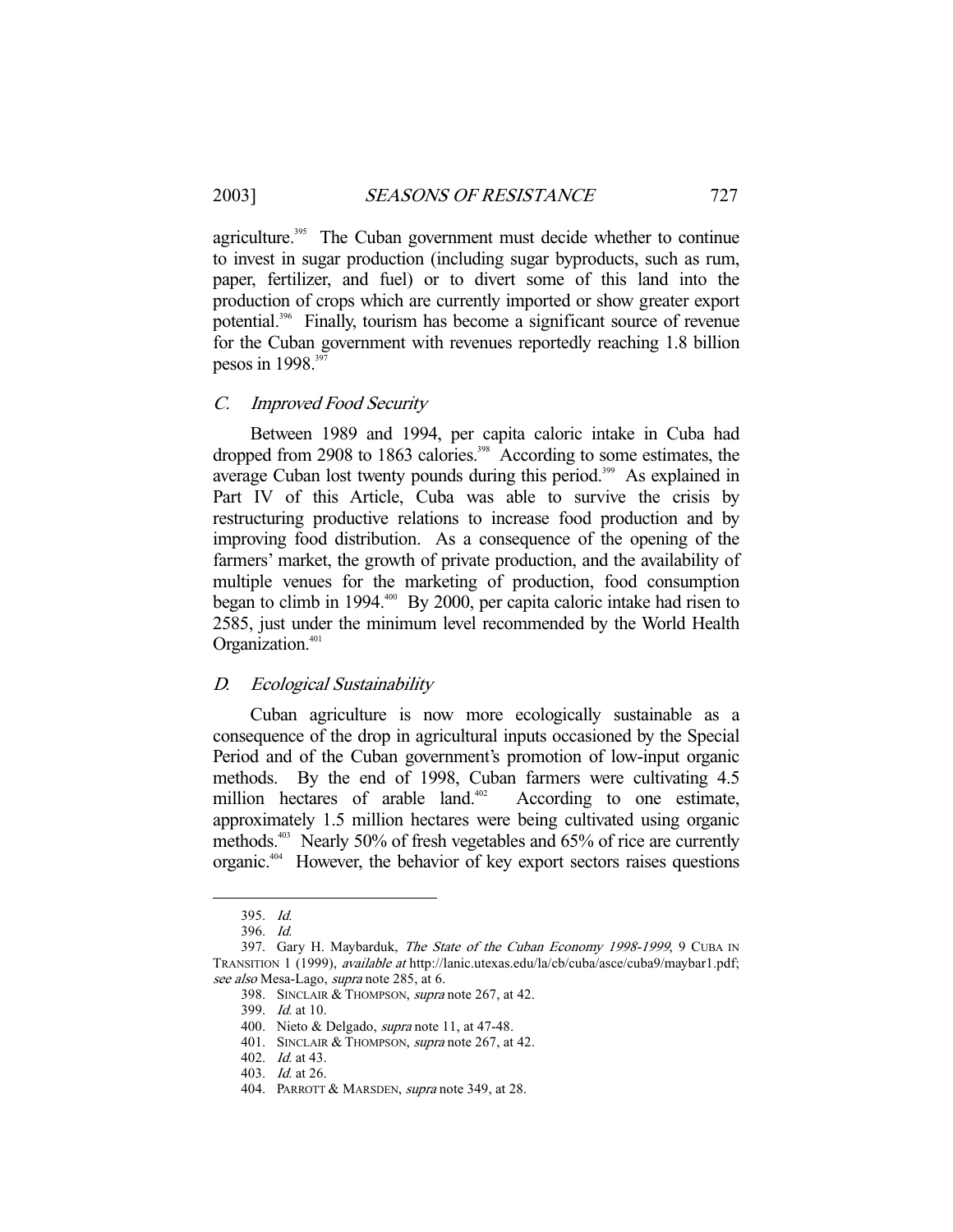agriculture.<sup>395</sup> The Cuban government must decide whether to continue to invest in sugar production (including sugar byproducts, such as rum, paper, fertilizer, and fuel) or to divert some of this land into the production of crops which are currently imported or show greater export potential.396 Finally, tourism has become a significant source of revenue for the Cuban government with revenues reportedly reaching 1.8 billion pesos in 1998.<sup>397</sup>

# C. Improved Food Security

 Between 1989 and 1994, per capita caloric intake in Cuba had dropped from 2908 to 1863 calories.<sup>398</sup> According to some estimates, the average Cuban lost twenty pounds during this period.<sup>399</sup> As explained in Part IV of this Article, Cuba was able to survive the crisis by restructuring productive relations to increase food production and by improving food distribution. As a consequence of the opening of the farmers' market, the growth of private production, and the availability of multiple venues for the marketing of production, food consumption began to climb in 1994. $^{400}$  By 2000, per capita caloric intake had risen to 2585, just under the minimum level recommended by the World Health Organization.<sup>401</sup>

# D. Ecological Sustainability

 Cuban agriculture is now more ecologically sustainable as a consequence of the drop in agricultural inputs occasioned by the Special Period and of the Cuban government's promotion of low-input organic methods. By the end of 1998, Cuban farmers were cultivating 4.5 million hectares of arable land. $402$  According to one estimate, approximately 1.5 million hectares were being cultivated using organic methods.<sup>403</sup> Nearly 50% of fresh vegetables and 65% of rice are currently organic.404 However, the behavior of key export sectors raises questions

 <sup>395.</sup> Id.

 <sup>396.</sup> Id.

<sup>397.</sup> Gary H. Maybarduk, The State of the Cuban Economy 1998-1999, 9 CUBA IN TRANSITION 1 (1999), available at http://lanic.utexas.edu/la/cb/cuba/asce/cuba9/maybar1.pdf; see also Mesa-Lago, supra note 285, at 6.

 <sup>398.</sup> SINCLAIR & THOMPSON, supra note 267, at 42.

 <sup>399.</sup> Id. at 10.

<sup>400.</sup> Nieto & Delgado, *supra* note 11, at 47-48.

<sup>401.</sup> SINCLAIR & THOMPSON, supra note 267, at 42.

 <sup>402.</sup> Id. at 43.

 <sup>403.</sup> Id. at 26.

<sup>404.</sup> PARROTT & MARSDEN, *supra* note 349, at 28.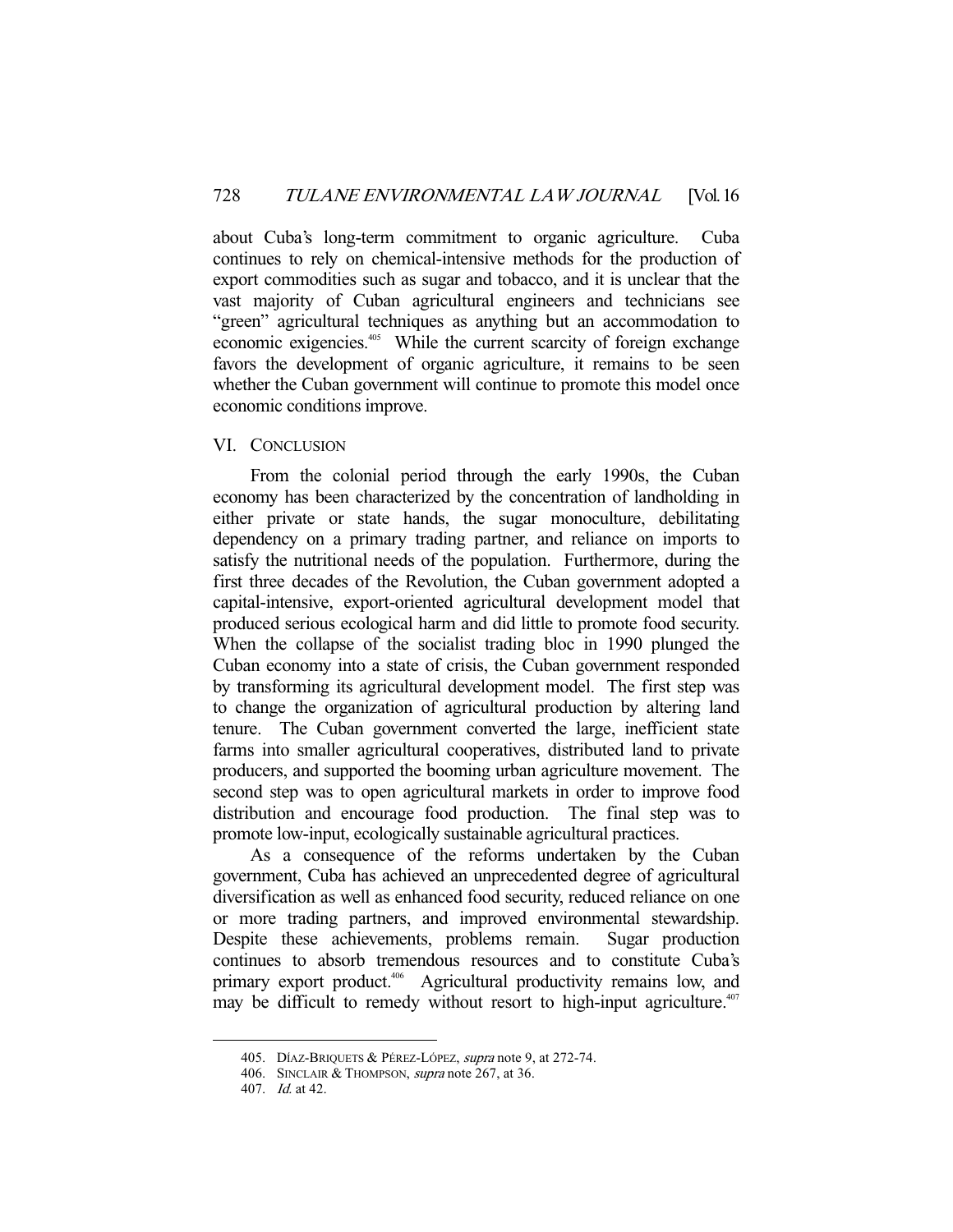about Cuba's long-term commitment to organic agriculture. Cuba continues to rely on chemical-intensive methods for the production of export commodities such as sugar and tobacco, and it is unclear that the vast majority of Cuban agricultural engineers and technicians see "green" agricultural techniques as anything but an accommodation to economic exigencies.<sup>405</sup> While the current scarcity of foreign exchange favors the development of organic agriculture, it remains to be seen whether the Cuban government will continue to promote this model once economic conditions improve.

# VI. CONCLUSION

 From the colonial period through the early 1990s, the Cuban economy has been characterized by the concentration of landholding in either private or state hands, the sugar monoculture, debilitating dependency on a primary trading partner, and reliance on imports to satisfy the nutritional needs of the population. Furthermore, during the first three decades of the Revolution, the Cuban government adopted a capital-intensive, export-oriented agricultural development model that produced serious ecological harm and did little to promote food security. When the collapse of the socialist trading bloc in 1990 plunged the Cuban economy into a state of crisis, the Cuban government responded by transforming its agricultural development model. The first step was to change the organization of agricultural production by altering land tenure. The Cuban government converted the large, inefficient state farms into smaller agricultural cooperatives, distributed land to private producers, and supported the booming urban agriculture movement. The second step was to open agricultural markets in order to improve food distribution and encourage food production. The final step was to promote low-input, ecologically sustainable agricultural practices.

 As a consequence of the reforms undertaken by the Cuban government, Cuba has achieved an unprecedented degree of agricultural diversification as well as enhanced food security, reduced reliance on one or more trading partners, and improved environmental stewardship. Despite these achievements, problems remain. Sugar production continues to absorb tremendous resources and to constitute Cuba's primary export product.<sup>406</sup> Agricultural productivity remains low, and may be difficult to remedy without resort to high-input agriculture.<sup>407</sup>

<sup>405.</sup> DÍAZ-BRIQUETS & PÉREZ-LÓPEZ, supra note 9, at 272-74.

<sup>406.</sup> SINCLAIR & THOMPSON, *supra* note 267, at 36.

 <sup>407.</sup> Id. at 42.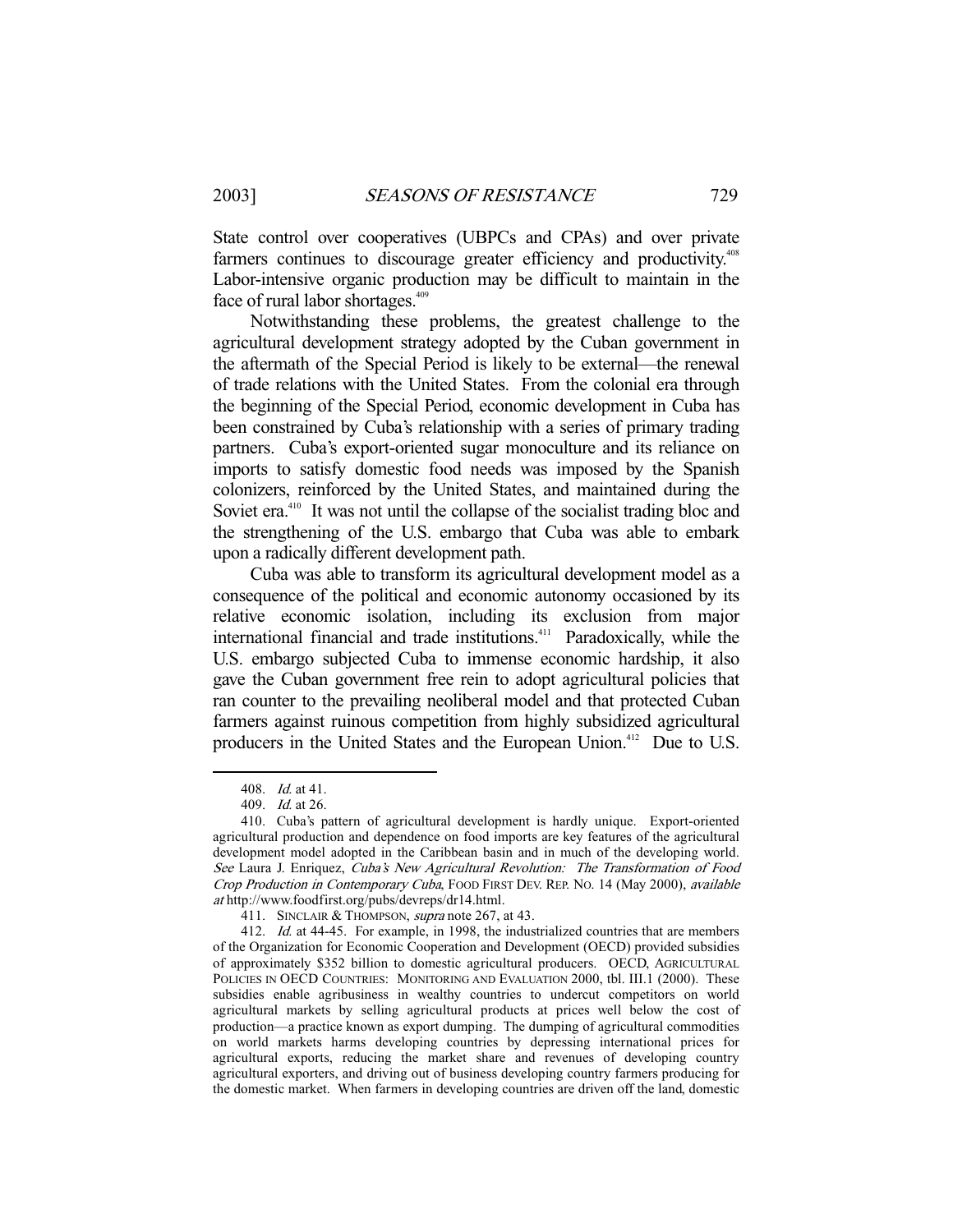State control over cooperatives (UBPCs and CPAs) and over private farmers continues to discourage greater efficiency and productivity.<sup>408</sup> Labor-intensive organic production may be difficult to maintain in the face of rural labor shortages.<sup>409</sup>

 Notwithstanding these problems, the greatest challenge to the agricultural development strategy adopted by the Cuban government in the aftermath of the Special Period is likely to be external—the renewal of trade relations with the United States. From the colonial era through the beginning of the Special Period, economic development in Cuba has been constrained by Cuba's relationship with a series of primary trading partners. Cuba's export-oriented sugar monoculture and its reliance on imports to satisfy domestic food needs was imposed by the Spanish colonizers, reinforced by the United States, and maintained during the Soviet era.<sup>410</sup> It was not until the collapse of the socialist trading bloc and the strengthening of the U.S. embargo that Cuba was able to embark upon a radically different development path.

 Cuba was able to transform its agricultural development model as a consequence of the political and economic autonomy occasioned by its relative economic isolation, including its exclusion from major international financial and trade institutions.<sup>411</sup> Paradoxically, while the U.S. embargo subjected Cuba to immense economic hardship, it also gave the Cuban government free rein to adopt agricultural policies that ran counter to the prevailing neoliberal model and that protected Cuban farmers against ruinous competition from highly subsidized agricultural producers in the United States and the European Union.<sup>412</sup> Due to U.S.

 <sup>408.</sup> Id. at 41.

 <sup>409.</sup> Id. at 26.

 <sup>410.</sup> Cuba's pattern of agricultural development is hardly unique. Export-oriented agricultural production and dependence on food imports are key features of the agricultural development model adopted in the Caribbean basin and in much of the developing world. See Laura J. Enriquez, Cuba's New Agricultural Revolution: The Transformation of Food Crop Production in Contemporary Cuba, FOOD FIRST DEV. REP. NO. 14 (May 2000), available at http://www.foodfirst.org/pubs/devreps/dr14.html.

<sup>411.</sup> SINCLAIR & THOMPSON, *supra* note 267, at 43.

<sup>412.</sup> Id. at 44-45. For example, in 1998, the industrialized countries that are members of the Organization for Economic Cooperation and Development (OECD) provided subsidies of approximately \$352 billion to domestic agricultural producers. OECD, AGRICULTURAL POLICIES IN OECD COUNTRIES: MONITORING AND EVALUATION 2000, tbl. III.1 (2000). These subsidies enable agribusiness in wealthy countries to undercut competitors on world agricultural markets by selling agricultural products at prices well below the cost of production—a practice known as export dumping. The dumping of agricultural commodities on world markets harms developing countries by depressing international prices for agricultural exports, reducing the market share and revenues of developing country agricultural exporters, and driving out of business developing country farmers producing for the domestic market. When farmers in developing countries are driven off the land, domestic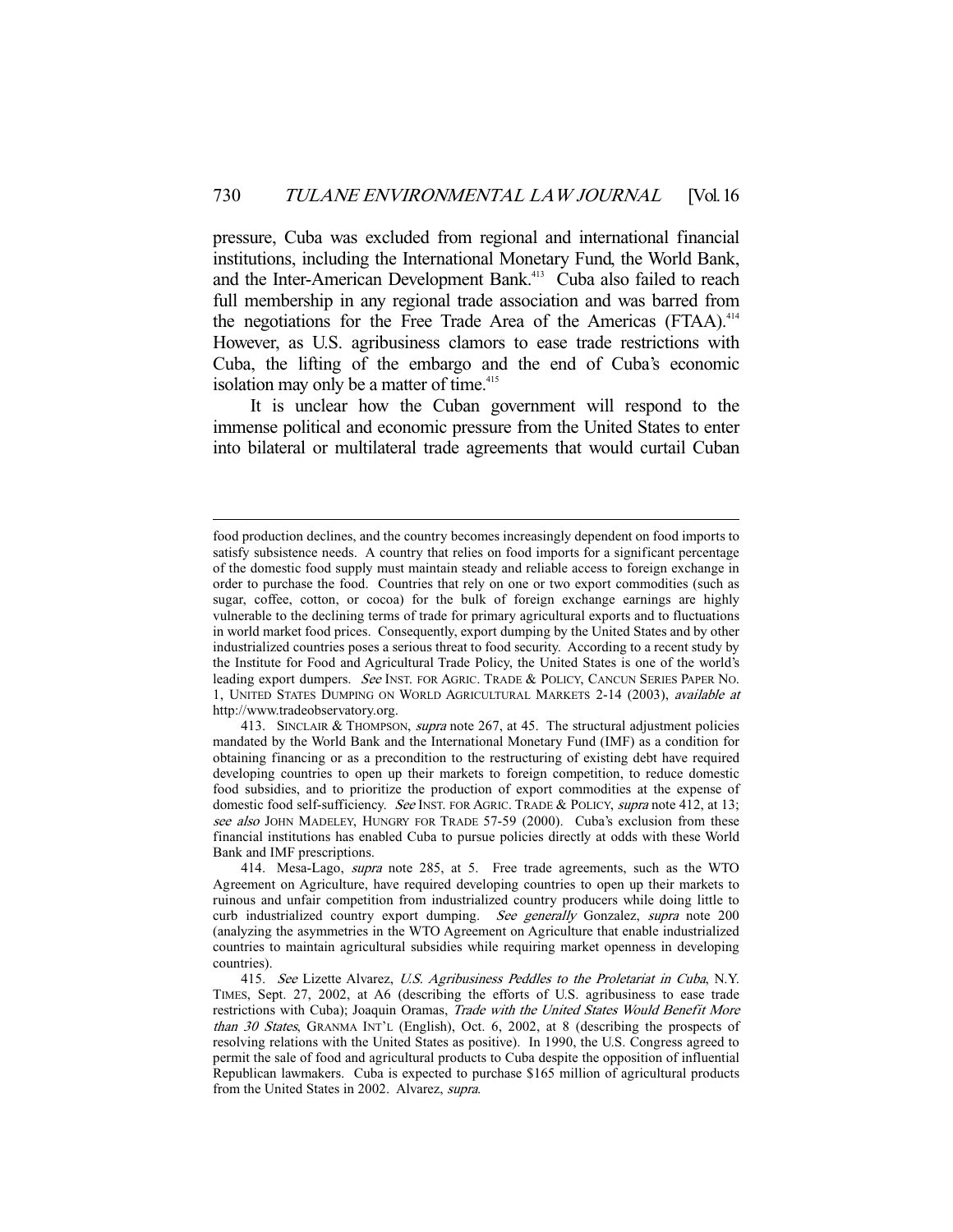pressure, Cuba was excluded from regional and international financial institutions, including the International Monetary Fund, the World Bank, and the Inter-American Development Bank.<sup>413</sup> Cuba also failed to reach full membership in any regional trade association and was barred from the negotiations for the Free Trade Area of the Americas (FTAA).<sup>414</sup> However, as U.S. agribusiness clamors to ease trade restrictions with Cuba, the lifting of the embargo and the end of Cuba's economic isolation may only be a matter of time.<sup>415</sup>

 It is unclear how the Cuban government will respond to the immense political and economic pressure from the United States to enter into bilateral or multilateral trade agreements that would curtail Cuban

food production declines, and the country becomes increasingly dependent on food imports to satisfy subsistence needs. A country that relies on food imports for a significant percentage of the domestic food supply must maintain steady and reliable access to foreign exchange in order to purchase the food. Countries that rely on one or two export commodities (such as sugar, coffee, cotton, or cocoa) for the bulk of foreign exchange earnings are highly vulnerable to the declining terms of trade for primary agricultural exports and to fluctuations in world market food prices. Consequently, export dumping by the United States and by other industrialized countries poses a serious threat to food security. According to a recent study by the Institute for Food and Agricultural Trade Policy, the United States is one of the world's leading export dumpers. See INST. FOR AGRIC. TRADE & POLICY, CANCUN SERIES PAPER NO. 1, UNITED STATES DUMPING ON WORLD AGRICULTURAL MARKETS 2-14 (2003), available at http://www.tradeobservatory.org.

<sup>413.</sup> SINCLAIR & THOMPSON, *supra* note 267, at 45. The structural adjustment policies mandated by the World Bank and the International Monetary Fund (IMF) as a condition for obtaining financing or as a precondition to the restructuring of existing debt have required developing countries to open up their markets to foreign competition, to reduce domestic food subsidies, and to prioritize the production of export commodities at the expense of domestic food self-sufficiency. See INST. FOR AGRIC. TRADE & POLICY, supra note 412, at 13; see also JOHN MADELEY, HUNGRY FOR TRADE 57-59 (2000). Cuba's exclusion from these financial institutions has enabled Cuba to pursue policies directly at odds with these World Bank and IMF prescriptions.

 <sup>414.</sup> Mesa-Lago, supra note 285, at 5. Free trade agreements, such as the WTO Agreement on Agriculture, have required developing countries to open up their markets to ruinous and unfair competition from industrialized country producers while doing little to curb industrialized country export dumping. See generally Gonzalez, supra note 200 (analyzing the asymmetries in the WTO Agreement on Agriculture that enable industrialized countries to maintain agricultural subsidies while requiring market openness in developing countries).

<sup>415.</sup> See Lizette Alvarez, U.S. Agribusiness Peddles to the Proletariat in Cuba, N.Y. TIMES, Sept. 27, 2002, at A6 (describing the efforts of U.S. agribusiness to ease trade restrictions with Cuba); Joaquin Oramas, Trade with the United States Would Benefit More than 30 States, GRANMA INT'L (English), Oct. 6, 2002, at 8 (describing the prospects of resolving relations with the United States as positive). In 1990, the U.S. Congress agreed to permit the sale of food and agricultural products to Cuba despite the opposition of influential Republican lawmakers. Cuba is expected to purchase \$165 million of agricultural products from the United States in 2002. Alvarez, supra.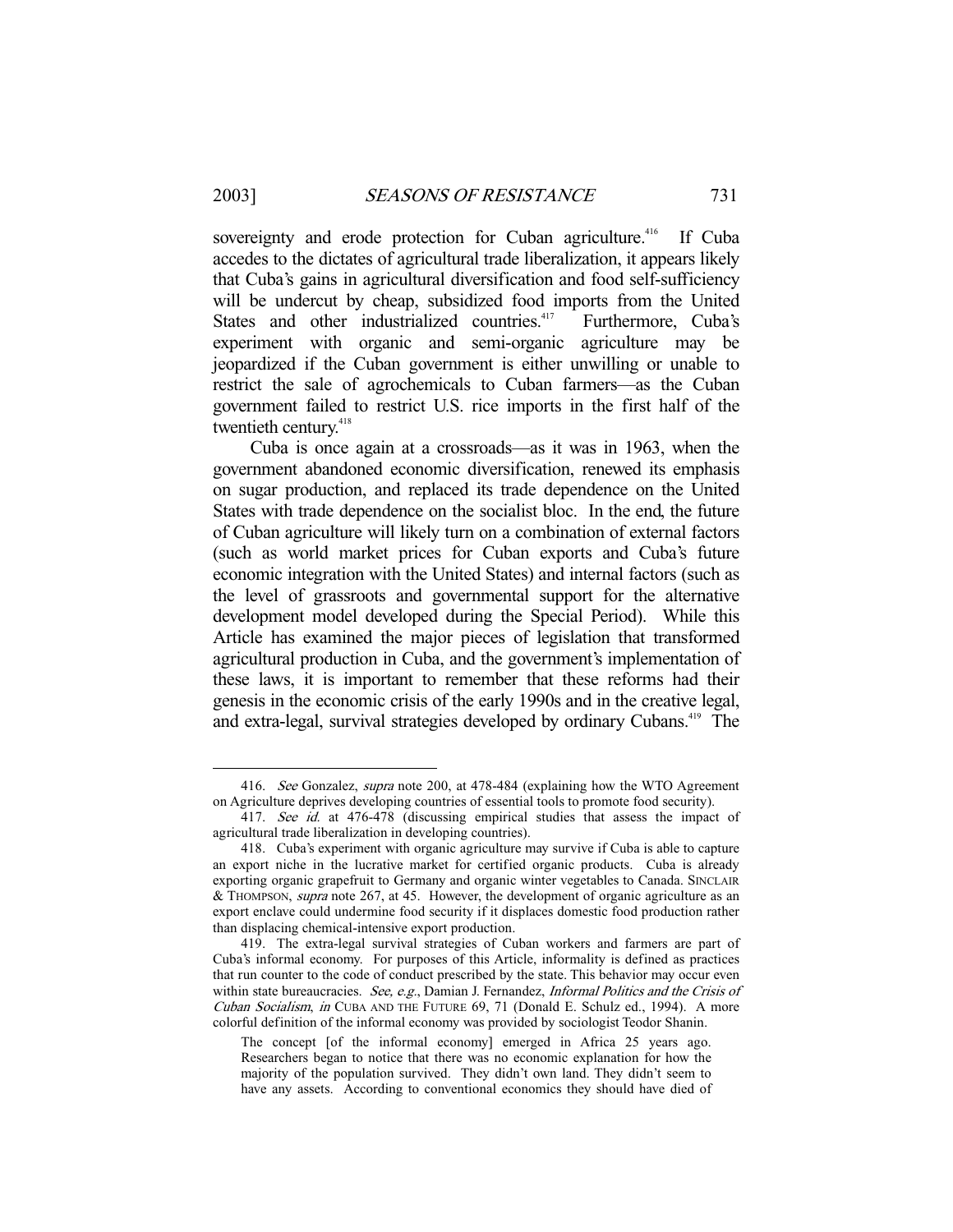-

sovereignty and erode protection for Cuban agriculture.<sup>416</sup> If Cuba accedes to the dictates of agricultural trade liberalization, it appears likely that Cuba's gains in agricultural diversification and food self-sufficiency will be undercut by cheap, subsidized food imports from the United States and other industrialized countries.<sup>417</sup> Furthermore, Cuba's experiment with organic and semi-organic agriculture may be jeopardized if the Cuban government is either unwilling or unable to restrict the sale of agrochemicals to Cuban farmers—as the Cuban government failed to restrict U.S. rice imports in the first half of the twentieth century.<sup>418</sup>

 Cuba is once again at a crossroads—as it was in 1963, when the government abandoned economic diversification, renewed its emphasis on sugar production, and replaced its trade dependence on the United States with trade dependence on the socialist bloc. In the end, the future of Cuban agriculture will likely turn on a combination of external factors (such as world market prices for Cuban exports and Cuba's future economic integration with the United States) and internal factors (such as the level of grassroots and governmental support for the alternative development model developed during the Special Period). While this Article has examined the major pieces of legislation that transformed agricultural production in Cuba, and the government's implementation of these laws, it is important to remember that these reforms had their genesis in the economic crisis of the early 1990s and in the creative legal, and extra-legal, survival strategies developed by ordinary Cubans.419 The

<sup>416.</sup> See Gonzalez, supra note 200, at 478-484 (explaining how the WTO Agreement on Agriculture deprives developing countries of essential tools to promote food security).

<sup>417.</sup> See id. at 476-478 (discussing empirical studies that assess the impact of agricultural trade liberalization in developing countries).

 <sup>418.</sup> Cuba's experiment with organic agriculture may survive if Cuba is able to capture an export niche in the lucrative market for certified organic products. Cuba is already exporting organic grapefruit to Germany and organic winter vegetables to Canada. SINCLAIR & THOMPSON, supra note 267, at 45. However, the development of organic agriculture as an export enclave could undermine food security if it displaces domestic food production rather than displacing chemical-intensive export production.

 <sup>419.</sup> The extra-legal survival strategies of Cuban workers and farmers are part of Cuba's informal economy. For purposes of this Article, informality is defined as practices that run counter to the code of conduct prescribed by the state. This behavior may occur even within state bureaucracies. See, e.g., Damian J. Fernandez, *Informal Politics and the Crisis of* Cuban Socialism, in CUBA AND THE FUTURE 69, 71 (Donald E. Schulz ed., 1994). A more colorful definition of the informal economy was provided by sociologist Teodor Shanin.

The concept [of the informal economy] emerged in Africa 25 years ago. Researchers began to notice that there was no economic explanation for how the majority of the population survived. They didn't own land. They didn't seem to have any assets. According to conventional economics they should have died of